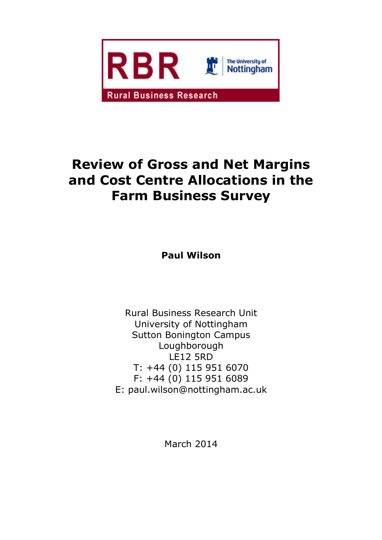

# **Review of Gross and Net Margins and Cost Centre Allocations in the Farm Business Survey**

**Paul Wilson**

Rural Business Research Unit University of Nottingham Sutton Bonington Campus Loughborough LE12 5RD T: +44 (0) 115 951 6070 F: +44 (0) 115 951 6089 E: paul.wilson@nottingham.ac.uk

March 2014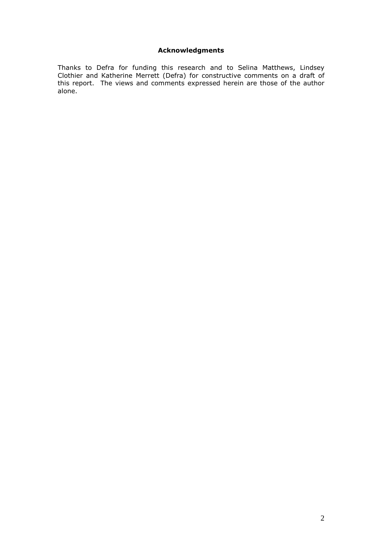## <span id="page-1-0"></span>**Acknowledgments**

Thanks to Defra for funding this research and to Selina Matthews, Lindsey Clothier and Katherine Merrett (Defra) for constructive comments on a draft of this report. The views and comments expressed herein are those of the author alone.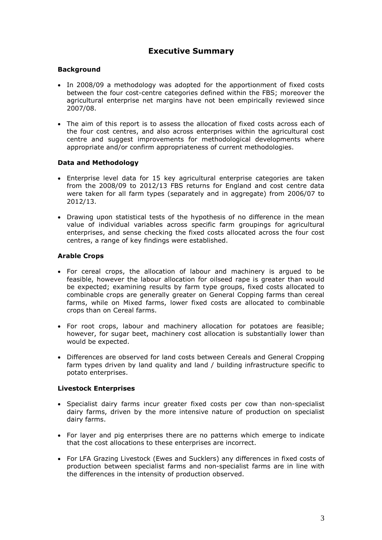# <span id="page-2-0"></span>**Executive Summary**

## **Background**

- In 2008/09 a methodology was adopted for the apportionment of fixed costs between the four cost-centre categories defined within the FBS; moreover the agricultural enterprise net margins have not been empirically reviewed since 2007/08.
- The aim of this report is to assess the allocation of fixed costs across each of the four cost centres, and also across enterprises within the agricultural cost centre and suggest improvements for methodological developments where appropriate and/or confirm appropriateness of current methodologies.

#### **Data and Methodology**

- Enterprise level data for 15 key agricultural enterprise categories are taken from the 2008/09 to 2012/13 FBS returns for England and cost centre data were taken for all farm types (separately and in aggregate) from 2006/07 to 2012/13.
- Drawing upon statistical tests of the hypothesis of no difference in the mean value of individual variables across specific farm groupings for agricultural enterprises, and sense checking the fixed costs allocated across the four cost centres, a range of key findings were established.

#### **Arable Crops**

- For cereal crops, the allocation of labour and machinery is argued to be feasible, however the labour allocation for oilseed rape is greater than would be expected; examining results by farm type groups, fixed costs allocated to combinable crops are generally greater on General Copping farms than cereal farms, while on Mixed farms, lower fixed costs are allocated to combinable crops than on Cereal farms.
- For root crops, labour and machinery allocation for potatoes are feasible; however, for sugar beet, machinery cost allocation is substantially lower than would be expected.
- Differences are observed for land costs between Cereals and General Cropping farm types driven by land quality and land / building infrastructure specific to potato enterprises.

#### **Livestock Enterprises**

- Specialist dairy farms incur greater fixed costs per cow than non-specialist dairy farms, driven by the more intensive nature of production on specialist dairy farms.
- For layer and pig enterprises there are no patterns which emerge to indicate that the cost allocations to these enterprises are incorrect.
- For LFA Grazing Livestock (Ewes and Sucklers) any differences in fixed costs of production between specialist farms and non-specialist farms are in line with the differences in the intensity of production observed.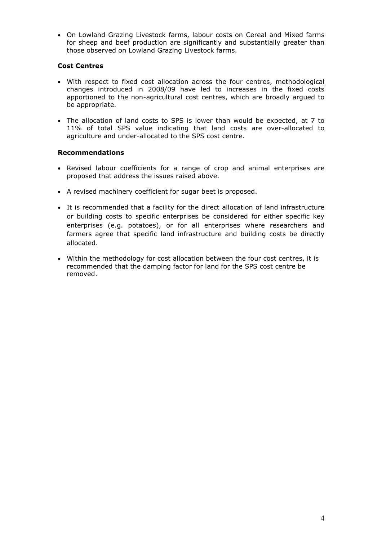On Lowland Grazing Livestock farms, labour costs on Cereal and Mixed farms for sheep and beef production are significantly and substantially greater than those observed on Lowland Grazing Livestock farms.

## **Cost Centres**

- With respect to fixed cost allocation across the four centres, methodological changes introduced in 2008/09 have led to increases in the fixed costs apportioned to the non-agricultural cost centres, which are broadly argued to be appropriate.
- The allocation of land costs to SPS is lower than would be expected, at 7 to 11% of total SPS value indicating that land costs are over-allocated to agriculture and under-allocated to the SPS cost centre.

## **Recommendations**

- Revised labour coefficients for a range of crop and animal enterprises are proposed that address the issues raised above.
- A revised machinery coefficient for sugar beet is proposed.
- It is recommended that a facility for the direct allocation of land infrastructure or building costs to specific enterprises be considered for either specific key enterprises (e.g. potatoes), or for all enterprises where researchers and farmers agree that specific land infrastructure and building costs be directly allocated.
- Within the methodology for cost allocation between the four cost centres, it is recommended that the damping factor for land for the SPS cost centre be removed.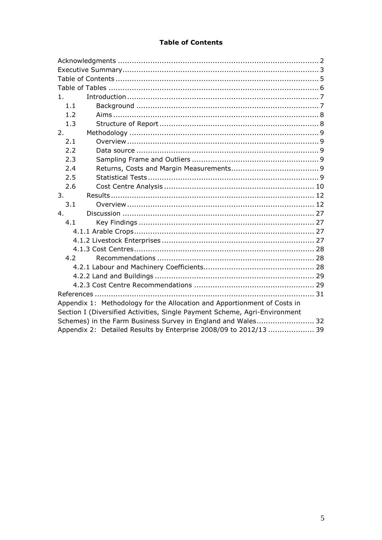## <span id="page-4-0"></span>**Table of Contents**

| 1.                                                                         |  |
|----------------------------------------------------------------------------|--|
| 1.1                                                                        |  |
| 1.2                                                                        |  |
| 1.3                                                                        |  |
| 2.                                                                         |  |
| 2.1                                                                        |  |
| 2.2                                                                        |  |
| 2.3                                                                        |  |
| 2.4                                                                        |  |
| 2.5                                                                        |  |
| 2.6                                                                        |  |
| 3.                                                                         |  |
| 3.1                                                                        |  |
| 4.                                                                         |  |
| 4.1                                                                        |  |
|                                                                            |  |
|                                                                            |  |
|                                                                            |  |
| 4.2                                                                        |  |
|                                                                            |  |
|                                                                            |  |
|                                                                            |  |
|                                                                            |  |
| Appendix 1: Methodology for the Allocation and Apportionment of Costs in   |  |
| Section I (Diversified Activities, Single Payment Scheme, Agri-Environment |  |
| Schemes) in the Farm Business Survey in England and Wales 32               |  |
| Appendix 2: Detailed Results by Enterprise 2008/09 to 2012/13  39          |  |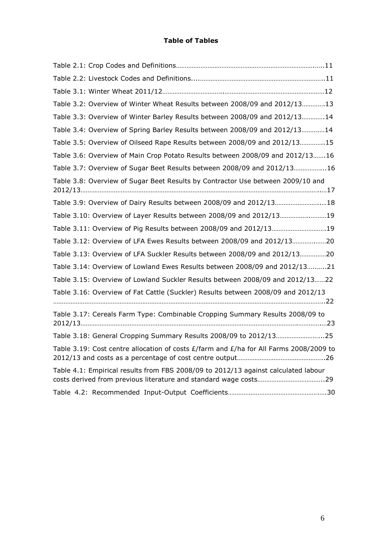# <span id="page-5-0"></span>**Table of Tables**

| Table 3.2: Overview of Winter Wheat Results between 2008/09 and 2012/1313              |
|----------------------------------------------------------------------------------------|
| Table 3.3: Overview of Winter Barley Results between 2008/09 and 2012/1314             |
| Table 3.4: Overview of Spring Barley Results between 2008/09 and 2012/1314             |
| Table 3.5: Overview of Oilseed Rape Results between 2008/09 and 2012/1315              |
| Table 3.6: Overview of Main Crop Potato Results between 2008/09 and 2012/1316          |
| Table 3.7: Overview of Sugar Beet Results between 2008/09 and 2012/1316                |
| Table 3.8: Overview of Sugar Beet Results by Contractor Use between 2009/10 and        |
| Table 3.9: Overview of Dairy Results between 2008/09 and 2012/1318                     |
| Table 3.10: Overview of Layer Results between 2008/09 and 2012/1319                    |
| Table 3.11: Overview of Pig Results between 2008/09 and 2012/1319                      |
| Table 3.12: Overview of LFA Ewes Results between 2008/09 and 2012/1320                 |
| Table 3.13: Overview of LFA Suckler Results between 2008/09 and 2012/1320              |
| Table 3.14: Overview of Lowland Ewes Results between 2008/09 and 2012/1321             |
| Table 3.15: Overview of Lowland Suckler Results between 2008/09 and 2012/1322          |
| Table 3.16: Overview of Fat Cattle (Suckler) Results between 2008/09 and 2012/13       |
| Table 3.17: Cereals Farm Type: Combinable Cropping Summary Results 2008/09 to          |
| Table 3.18: General Cropping Summary Results 2008/09 to 2012/1325                      |
| Table 3.19: Cost centre allocation of costs £/farm and £/ha for All Farms 2008/2009 to |
| Table 4.1: Empirical results from FBS 2008/09 to 2012/13 against calculated labour     |
|                                                                                        |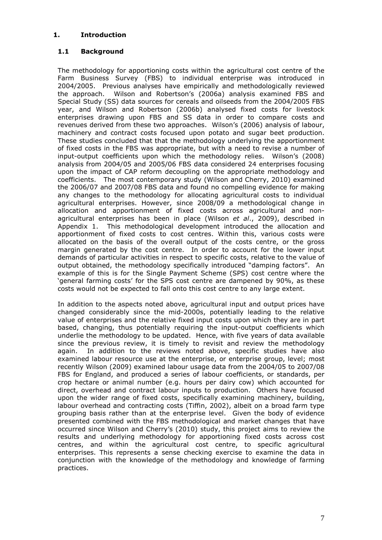## <span id="page-6-0"></span>**1. Introduction**

## <span id="page-6-1"></span>**1.1 Background**

The methodology for apportioning costs within the agricultural cost centre of the Farm Business Survey (FBS) to individual enterprise was introduced in 2004/2005. Previous analyses have empirically and methodologically reviewed the approach. Wilson and Robertson's (2006a) analysis examined FBS and Special Study (SS) data sources for cereals and oilseeds from the 2004/2005 FBS year, and Wilson and Robertson (2006b) analysed fixed costs for livestock enterprises drawing upon FBS and SS data in order to compare costs and revenues derived from these two approaches. Wilson's (2006) analysis of labour, machinery and contract costs focused upon potato and sugar beet production. These studies concluded that that the methodology underlying the apportionment of fixed costs in the FBS was appropriate, but with a need to revise a number of input-output coefficients upon which the methodology relies. Wilson's (2008) analysis from 2004/05 and 2005/06 FBS data considered 24 enterprises focusing upon the impact of CAP reform decoupling on the appropriate methodology and coefficients. The most contemporary study (Wilson and Cherry, 2010) examined the 2006/07 and 2007/08 FBS data and found no compelling evidence for making any changes to the methodology for allocating agricultural costs to individual agricultural enterprises. However, since 2008/09 a methodological change in allocation and apportionment of fixed costs across agricultural and nonagricultural enterprises has been in place (Wilson *et al*., 2009), described in Appendix 1. This methodological development introduced the allocation and apportionment of fixed costs to cost centres. Within this, various costs were allocated on the basis of the overall output of the costs centre, or the gross margin generated by the cost centre. In order to account for the lower input demands of particular activities in respect to specific costs, relative to the value of output obtained, the methodology specifically introduced "damping factors". An example of this is for the Single Payment Scheme (SPS) cost centre where the 'general farming costs' for the SPS cost centre are dampened by 90%, as these costs would not be expected to fall onto this cost centre to any large extent.

In addition to the aspects noted above, agricultural input and output prices have changed considerably since the mid-2000s, potentially leading to the relative value of enterprises and the relative fixed input costs upon which they are in part based, changing, thus potentially requiring the input-output coefficients which underlie the methodology to be updated. Hence, with five years of data available since the previous review, it is timely to revisit and review the methodology again. In addition to the reviews noted above, specific studies have also examined labour resource use at the enterprise, or enterprise group, level; most recently Wilson (2009) examined labour usage data from the 2004/05 to 2007/08 FBS for England, and produced a series of labour coefficients, or standards, per crop hectare or animal number (e.g. hours per dairy cow) which accounted for direct, overhead and contract labour inputs to production. Others have focused upon the wider range of fixed costs, specifically examining machinery, building, labour overhead and contracting costs (Tiffin, 2002), albeit on a broad farm type grouping basis rather than at the enterprise level. Given the body of evidence presented combined with the FBS methodological and market changes that have occurred since Wilson and Cherry's (2010) study, this project aims to review the results and underlying methodology for apportioning fixed costs across cost centres, and within the agricultural cost centre, to specific agricultural enterprises. This represents a sense checking exercise to examine the data in conjunction with the knowledge of the methodology and knowledge of farming practices.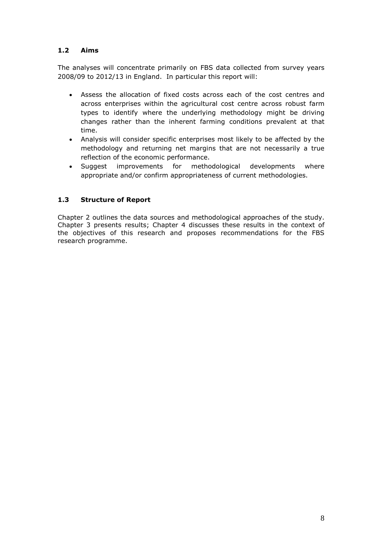## <span id="page-7-0"></span>**1.2 Aims**

The analyses will concentrate primarily on FBS data collected from survey years 2008/09 to 2012/13 in England. In particular this report will:

- Assess the allocation of fixed costs across each of the cost centres and across enterprises within the agricultural cost centre across robust farm types to identify where the underlying methodology might be driving changes rather than the inherent farming conditions prevalent at that time.
- Analysis will consider specific enterprises most likely to be affected by the methodology and returning net margins that are not necessarily a true reflection of the economic performance.
- Suggest improvements for methodological developments where appropriate and/or confirm appropriateness of current methodologies.

## <span id="page-7-1"></span>**1.3 Structure of Report**

Chapter 2 outlines the data sources and methodological approaches of the study. Chapter 3 presents results; Chapter 4 discusses these results in the context of the objectives of this research and proposes recommendations for the FBS research programme.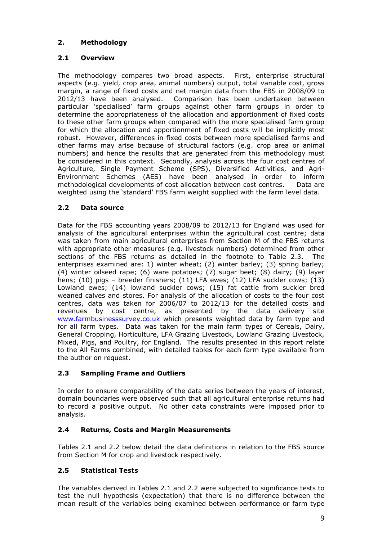## <span id="page-8-0"></span>**2. Methodology**

## <span id="page-8-1"></span>**2.1 Overview**

The methodology compares two broad aspects. First, enterprise structural aspects (e.g. yield, crop area, animal numbers) output, total variable cost, gross margin, a range of fixed costs and net margin data from the FBS in 2008/09 to 2012/13 have been analysed. Comparison has been undertaken between particular 'specialised' farm groups against other farm groups in order to determine the appropriateness of the allocation and apportionment of fixed costs to these other farm groups when compared with the more specialised farm group for which the allocation and apportionment of fixed costs will be implicitly most robust. However, differences in fixed costs between more specialised farms and other farms may arise because of structural factors (e.g. crop area or animal numbers) and hence the results that are generated from this methodology must be considered in this context. Secondly, analysis across the four cost centres of Agriculture, Single Payment Scheme (SPS), Diversified Activities, and Agri-Environment Schemes (AES) have been analysed in order to inform methodological developments of cost allocation between cost centres. Data are weighted using the 'standard' FBS farm weight supplied with the farm level data.

## <span id="page-8-2"></span>**2.2 Data source**

Data for the FBS accounting years 2008/09 to 2012/13 for England was used for analysis of the agricultural enterprises within the agricultural cost centre; data was taken from main agricultural enterprises from Section M of the FBS returns with appropriate other measures (e.g. livestock numbers) determined from other sections of the FBS returns as detailed in the footnote to Table 2.3. The enterprises examined are: 1) winter wheat; (2) winter barley; (3) spring barley; (4) winter oilseed rape; (6) ware potatoes; (7) sugar beet; (8) dairy; (9) layer hens; (10) pigs – breeder finishers; (11) LFA ewes; (12) LFA suckler cows; (13) Lowland ewes; (14) lowland suckler cows; (15) fat cattle from suckler bred weaned calves and stores. For analysis of the allocation of costs to the four cost centres, data was taken for 2006/07 to 2012/13 for the detailed costs and revenues by cost centre, as presented by the data delivery site [www.farmbusinesssurvey.co.uk](http://www.farmbusinesssurvey.co.uk/) which presents weighted data by farm type and for all farm types. Data was taken for the main farm types of Cereals, Dairy, General Cropping, Horticulture, LFA Grazing Livestock, Lowland Grazing Livestock, Mixed, Pigs, and Poultry, for England. The results presented in this report relate to the All Farms combined, with detailed tables for each farm type available from the author on request.

# <span id="page-8-3"></span>**2.3 Sampling Frame and Outliers**

In order to ensure comparability of the data series between the years of interest, domain boundaries were observed such that all agricultural enterprise returns had to record a positive output. No other data constraints were imposed prior to analysis.

## <span id="page-8-4"></span>**2.4 Returns, Costs and Margin Measurements**

Tables 2.1 and 2.2 below detail the data definitions in relation to the FBS source from Section M for crop and livestock respectively.

## <span id="page-8-5"></span>**2.5 Statistical Tests**

The variables derived in Tables 2.1 and 2.2 were subjected to significance tests to test the null hypothesis (expectation) that there is no difference between the mean result of the variables being examined between performance or farm type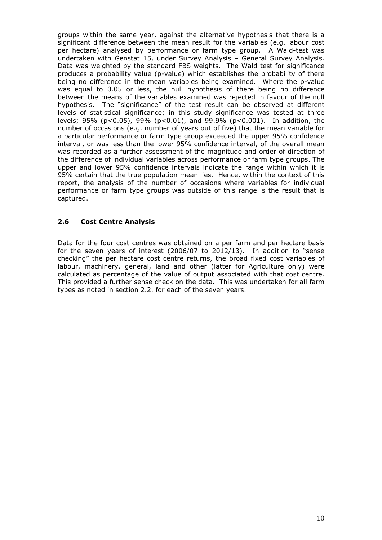groups within the same year, against the alternative hypothesis that there is a significant difference between the mean result for the variables (e.g. labour cost per hectare) analysed by performance or farm type group. A Wald-test was undertaken with Genstat 15, under Survey Analysis – General Survey Analysis. Data was weighted by the standard FBS weights. The Wald test for significance produces a probability value (p-value) which establishes the probability of there being no difference in the mean variables being examined. Where the p-value was equal to 0.05 or less, the null hypothesis of there being no difference between the means of the variables examined was rejected in favour of the null hypothesis. The "significance" of the test result can be observed at different levels of statistical significance; in this study significance was tested at three levels; 95% (p<0.05), 99% (p<0.01), and 99.9% (p<0.001). In addition, the number of occasions (e.g. number of years out of five) that the mean variable for a particular performance or farm type group exceeded the upper 95% confidence interval, or was less than the lower 95% confidence interval, of the overall mean was recorded as a further assessment of the magnitude and order of direction of the difference of individual variables across performance or farm type groups. The upper and lower 95% confidence intervals indicate the range within which it is 95% certain that the true population mean lies. Hence, within the context of this report, the analysis of the number of occasions where variables for individual performance or farm type groups was outside of this range is the result that is captured.

## <span id="page-9-0"></span>**2.6 Cost Centre Analysis**

Data for the four cost centres was obtained on a per farm and per hectare basis for the seven years of interest (2006/07 to 2012/13). In addition to "sense checking" the per hectare cost centre returns, the broad fixed cost variables of labour, machinery, general, land and other (latter for Agriculture only) were calculated as percentage of the value of output associated with that cost centre. This provided a further sense check on the data. This was undertaken for all farm types as noted in section 2.2. for each of the seven years.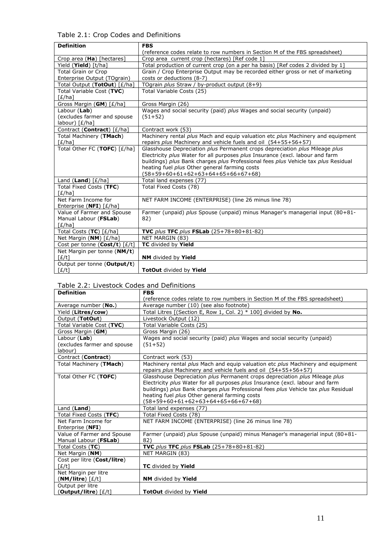Table 2.1: Crop Codes and Definitions

| <b>Definition</b>                                     | <b>FBS</b>                                                                                                                                                   |
|-------------------------------------------------------|--------------------------------------------------------------------------------------------------------------------------------------------------------------|
|                                                       | (reference codes relate to row numbers in Section M of the FBS spreadsheet)                                                                                  |
| Crop area (Ha) [hectares]                             | Crop area current crop (hectares) [Ref code 1]                                                                                                               |
| Yield (Yield) [t/ha]                                  | Total production of current crop (on a per ha basis) [Ref codes 2 divided by 1]                                                                              |
| <b>Total Grain or Crop</b>                            | Grain / Crop Enterprise Output may be recorded either gross or net of marketing                                                                              |
| Enterprise Output (TOgrain)                           | costs or deductions (8-7)                                                                                                                                    |
| Total Output (TotOut) [£/ha]                          | TOgrain plus Straw / by-product output (8+9)                                                                                                                 |
| Total Variable Cost (TVC)                             | Total Variable Costs (25)                                                                                                                                    |
| [£/ha]                                                |                                                                                                                                                              |
| Gross Margin (GM) [£/ha]                              | Gross Margin (26)                                                                                                                                            |
| Labour (Lab)                                          | Wages and social security (paid) plus Wages and social security (unpaid)                                                                                     |
| (excludes farmer and spouse                           | $(51+52)$                                                                                                                                                    |
| labour) [£/ha]                                        |                                                                                                                                                              |
| Contract (Contract) [£/ha]                            | Contract work (53)                                                                                                                                           |
| Total Machinery (TMach)                               | Machinery rental plus Mach and equip valuation etc plus Machinery and equipment                                                                              |
| $E/ha$ ]<br>Total Other FC (TOFC) [£/ha]              | repairs plus Machinery and vehicle fuels and oil (54+55+56+57)                                                                                               |
|                                                       | Glasshouse Depreciation plus Permanent crops depreciation plus Mileage plus<br>Electricity plus Water for all purposes plus Insurance (excl. labour and farm |
|                                                       | buildings) plus Bank charges plus Professional fees plus Vehicle tax plus Residual                                                                           |
|                                                       | heating fuel plus Other general farming costs                                                                                                                |
|                                                       | $(58+59+60+61+62+63+64+65+66+67+68)$                                                                                                                         |
| Land (Land) $[E/ha]$                                  | Total land expenses (77)                                                                                                                                     |
| Total Fixed Costs (TFC)                               | Total Fixed Costs (78)                                                                                                                                       |
| $E/ha$ ]                                              |                                                                                                                                                              |
| Net Farm Income for                                   | NET FARM INCOME (ENTERPRISE) (line 26 minus line 78)                                                                                                         |
| Enterprise (NFI) $\lceil \frac{E}{ha} \rceil$         |                                                                                                                                                              |
| Value of Farmer and Spouse                            | Farmer (unpaid) plus Spouse (unpaid) minus Manager's managerial input (80+81-                                                                                |
| Manual Labour (FSLab)                                 | 82)                                                                                                                                                          |
| [£/ha]                                                |                                                                                                                                                              |
| Total Costs (TC) [£/ha]                               | <b>TVC</b> plus <b>TFC</b> plus <b>FSLab</b> $(25+78+80+81-82)$                                                                                              |
| Net Margin (NM) [£/ha]                                | NET MARGIN (83)                                                                                                                                              |
| Cost per tonne $(Cost/t)$ $\lceil \frac{E}{t} \rceil$ | TC divided by Yield                                                                                                                                          |
| Net Margin per tonne (NM/t)                           |                                                                                                                                                              |
| [E/t]                                                 | <b>NM</b> divided by Yield                                                                                                                                   |
| Output per tonne (Output/t)                           |                                                                                                                                                              |
| [E/t]                                                 | TotOut divided by Yield                                                                                                                                      |

## Table 2.2: Livestock Codes and Definitions

| <b>Definition</b>           | <b>FBS</b>                                                                                                                                        |
|-----------------------------|---------------------------------------------------------------------------------------------------------------------------------------------------|
|                             | (reference codes relate to row numbers in Section M of the FBS spreadsheet)                                                                       |
| Average number (No.)        | Average number (10) (see also footnote)                                                                                                           |
| Yield (Litres/cow)          | Total Litres [(Section E, Row 1, Col. 2) $*$ 100] divided by No.                                                                                  |
| Output (TotOut)             | Livestock Output (12)                                                                                                                             |
| Total Variable Cost (TVC)   | Total Variable Costs (25)                                                                                                                         |
| Gross Margin (GM)           | Gross Margin (26)                                                                                                                                 |
| Labour (Lab)                | Wages and social security (paid) <i>plus</i> Wages and social security (unpaid)                                                                   |
| (excludes farmer and spouse | $(51+52)$                                                                                                                                         |
| labour)                     |                                                                                                                                                   |
| Contract (Contract)         | Contract work (53)                                                                                                                                |
| Total Machinery (TMach)     | Machinery rental plus Mach and equip valuation etc plus Machinery and equipment<br>repairs plus Machinery and vehicle fuels and oil (54+55+56+57) |
| Total Other FC (TOFC)       | Glasshouse Depreciation plus Permanent crops depreciation plus Mileage plus                                                                       |
|                             | Electricity plus Water for all purposes plus Insurance (excl. labour and farm                                                                     |
|                             | buildings) plus Bank charges plus Professional fees plus Vehicle tax plus Residual                                                                |
|                             | heating fuel plus Other general farming costs                                                                                                     |
|                             | $(58+59+60+61+62+63+64+65+66+67+68)$                                                                                                              |
| Land (Land)                 | Total land expenses (77)                                                                                                                          |
| Total Fixed Costs (TFC)     | Total Fixed Costs (78)                                                                                                                            |
| Net Farm Income for         | NET FARM INCOME (ENTERPRISE) (line 26 minus line 78)                                                                                              |
| Enterprise (NFI)            |                                                                                                                                                   |
| Value of Farmer and Spouse  | Farmer (unpaid) plus Spouse (unpaid) minus Manager's managerial input (80+81-                                                                     |
| Manual Labour (FSLab)       | 82)                                                                                                                                               |
| Total Costs (TC)            | <b>TVC</b> plus <b>TFC</b> plus <b>FSLab</b> $(25+78+80+81-82)$                                                                                   |
| Net Margin (NM)             | NET MARGIN (83)                                                                                                                                   |
| Cost per litre (Cost/litre) |                                                                                                                                                   |
| [£/t]                       | TC divided by Yield                                                                                                                               |
| Net Margin per litre        |                                                                                                                                                   |
| $(NM/litre)$ $E/t$ ]        | <b>NM</b> divided by Yield                                                                                                                        |
| Output per litre            |                                                                                                                                                   |
| (Output/litre) [£/t]        | <b>TotOut</b> divided by Yield                                                                                                                    |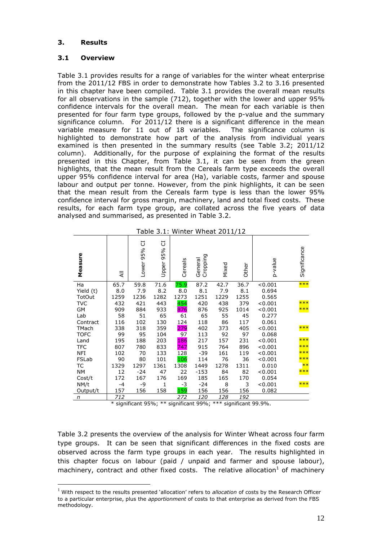## <span id="page-11-0"></span>**3. Results**

### <span id="page-11-1"></span>**3.1 Overview**

Table 3.1 provides results for a range of variables for the winter wheat enterprise from the 2011/12 FBS in order to demonstrate how Tables 3.2 to 3.16 presented in this chapter have been compiled. Table 3.1 provides the overall mean results for all observations in the sample (712), together with the lower and upper 95% confidence intervals for the overall mean. The mean for each variable is then presented for four farm type groups, followed by the p-value and the summary significance column. For 2011/12 there is a significant difference in the mean variable measure for 11 out of 18 variables. The significance column is highlighted to demonstrate how part of the analysis from individual years examined is then presented in the summary results (see Table 3.2; 2011/12 column). Additionally, for the purpose of explaining the format of the results presented in this Chapter, from Table 3.1, it can be seen from the green highlights, that the mean result from the Cereals farm type exceeds the overall upper 95% confidence interval for area (Ha), variable costs, farmer and spouse labour and output per tonne. However, from the pink highlights, it can be seen that the mean result from the Cereals farm type is less than the lower 95% confidence interval for gross margin, machinery, land and total fixed costs. These results, for each farm type group, are collated across the five years of data analysed and summarised, as presented in Table 3.2.

| Measure       | ₹    | J<br>95%<br>Lower | J<br>95%<br>Upper | Cereals | Cropping<br>Genera | Mixed | Other | p-value | Significance |
|---------------|------|-------------------|-------------------|---------|--------------------|-------|-------|---------|--------------|
| Ha            | 65.7 | 59.8              | 71.6              | 75.9    | 87.2               | 42.7  | 36.7  | < 0.001 | $***$        |
| Yield (t)     | 8.0  | 7.9               | 8.2               | 8.0     | 8.1                | 7.9   | 8.1   | 0.694   |              |
| <b>TotOut</b> | 1259 | 1236              | 1282              | 1273    | 1251               | 1229  | 1255  | 0.565   |              |
| <b>TVC</b>    | 432  | 421               | 443               | 454     | 420                | 438   | 379   | < 0.001 | $***$        |
| GM            | 909  | 884               | 933               | 876     | 876                | 925   | 1014  | < 0.001 | $***$        |
| Lab           | 58   | 51                | 65                | 61      | 65                 | 55    | 45    | 0.277   |              |
| Contract      | 116  | 102               | 130               | 124     | 118                | 86    | 117   | 0.061   |              |
| TMach         | 338  | 318               | 359               | 279     | 402                | 373   | 405   | < 0.001 | $***$        |
| <b>TOFC</b>   | 99   | 95                | 104               | 97      | 113                | 92    | 97    | 0.068   |              |
| Land          | 195  | 188               | 203               | 186     | 217                | 157   | 231   | < 0.001 | $***$        |
| <b>TFC</b>    | 807  | 780               | 833               | 747     | 915                | 764   | 896   | < 0.001 | $***$        |
| <b>NFI</b>    | 102  | 70                | 133               | 128     | $-39$              | 161   | 119   | < 0.001 | $***$        |
| FSLab         | 90   | 80                | 101               | 106     | 114                | 76    | 36    | < 0.001 | ***          |
| ТC            | 1329 | 1297              | 1361              | 1308    | 1449               | 1278  | 1311  | 0.010   | $**$         |
| <b>NM</b>     | 12   | $-24$             | 47                | 22      | $-153$             | 84    | 82    | < 0.001 | ***          |
| Cost/t        | 172  | 167               | 176               | 169     | 185                | 165   | 170   | 0.054   |              |
| NM/t          | $-4$ | -9                | $\mathbf{1}$      | -3      | -24                | 8     | 3     | < 0.001 | $***$        |
| Output/t      | 157  | 156               | 158               | 159     | 156                | 156   | 156   | 0.082   |              |
| n             | 712  |                   |                   | 272     | 120                | 128   | 192   |         |              |

Table 3.1: Winter Wheat 2011/12

\* significant 95%; \*\* significant 99%; \*\*\* significant 99.9%.

Table 3.2 presents the overview of the analysis for Winter Wheat across four farm type groups. It can be seen that significant differences in the fixed costs are observed across the farm type groups in each year. The results highlighted in this chapter focus on labour (paid / unpaid and farmer and spouse labour), machinery, contract and other fixed costs. The relative allocation<sup>[1](#page-11-2)</sup> of machinery

<span id="page-11-2"></span><sup>1</sup> With respect to the results presented 'allocation' refers to *allocation* of costs by the Research Officer to a particular enterprise, plus the *apportionment* of costs to that enterprise as derived from the FBS methodology.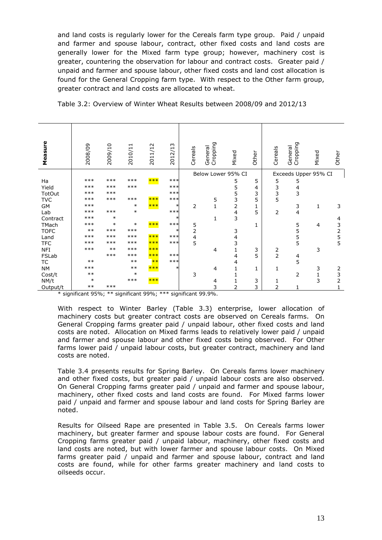and land costs is regularly lower for the Cereals farm type group. Paid / unpaid and farmer and spouse labour, contract, other fixed costs and land costs are generally lower for the Mixed farm type group; however, machinery cost is greater, countering the observation for labour and contract costs. Greater paid / unpaid and farmer and spouse labour, other fixed costs and land cost allocation is found for the General Cropping farm type. With respect to the Other farm group, greater contract and land costs are allocated to wheat.

| Measure     | 2008/09 | 2009/10 | $\overline{\phantom{0}}$<br>2010/1 | $\sim$<br>2011/1 | $\sim$<br>$\frac{1}{2}$<br>201 | Cereals        | Cropping<br>General | Mixed              | Other | Cereals                               | Cropping<br>Genera   | Mixed | Other          |
|-------------|---------|---------|------------------------------------|------------------|--------------------------------|----------------|---------------------|--------------------|-------|---------------------------------------|----------------------|-------|----------------|
|             |         |         |                                    |                  |                                |                |                     | Below Lower 95% CI |       |                                       | Exceeds Upper 95% CI |       |                |
| Ha          | $***$   | $***$   | $***$                              | ***              | $***$                          |                |                     | 5                  | 5     | 5                                     | 5                    |       |                |
| Yield       | $***$   | $***$   | $***$                              |                  | $***$                          |                |                     | 5                  | 4     | 3                                     | 4                    |       |                |
| TotOut      | $***$   | $***$   |                                    |                  | $***$                          |                |                     | 5                  | 3     | $\frac{3}{5}$                         | 3                    |       |                |
| <b>TVC</b>  | $***$   | $***$   | $***$                              | ***              | $***$                          |                | 5                   | 3                  | 5     |                                       |                      |       |                |
| GM          | $***$   |         | $\ast$                             | ***              | $\ast$                         | 2              | $\mathbf{1}$        | $\overline{2}$     | 1     |                                       | 3                    | 1     | 3              |
| Lab         | $***$   | $***$   | $\ast$                             |                  | $***$                          |                |                     | 4                  | 5     | 2                                     | $\overline{4}$       |       |                |
| Contract    | $***$   | $\ast$  |                                    |                  | $\ast$                         |                | $\mathbf{1}$        | 3                  |       |                                       |                      |       | 4              |
| TMach       | $***$   | $\ast$  | $\ast$                             | $***$            | $***$                          | 5              |                     |                    | 1     |                                       | 5                    | 4     | 3              |
| <b>TOFC</b> | $***$   | $***$   | $***$                              |                  | $\ast$                         | $\overline{2}$ |                     | 3                  |       |                                       | 5                    |       | $\overline{2}$ |
| Land        | $***$   | $***$   | $***$                              | ***              | $***$                          | 4              |                     | 4                  |       |                                       | 5                    |       | 5              |
| <b>TFC</b>  | $***$   | $***$   | $***$                              | ***              | $***$                          | 5              |                     | 3                  |       |                                       | 5                    |       | 5              |
| <b>NFI</b>  | $***$   | $***$   | $***$                              | $***$            |                                |                | 4                   | 1                  | 3     | $\begin{array}{c} 2 \\ 2 \end{array}$ |                      | 3     |                |
| FSLab       |         | $***$   | ***                                | ***              | $***$                          |                |                     | 4                  | 5     |                                       | 4                    |       |                |
| <b>TC</b>   | $***$   |         | $***$                              | $**$             | $***$                          |                |                     | 4                  |       |                                       | 5                    |       |                |
| <b>NM</b>   | $***$   |         | $***$                              | $***$            | $\ast$                         |                | $\overline{4}$      |                    | 1     | 1                                     |                      | 3     | 2              |
| Cost/t      | $***$   |         | $\ast$                             |                  |                                | 3              |                     |                    |       |                                       | 2                    | 1     | 3              |
| NM/t        | $\ast$  |         | $***$                              | ***              |                                |                | 4                   |                    | 3     | 1                                     |                      | 3     | 2              |
| Output/t    | $***$   | $***$   |                                    |                  |                                |                | 3                   | $\overline{2}$     | 3     | $\overline{2}$                        | 1                    |       |                |

Table 3.2: Overview of Winter Wheat Results between 2008/09 and 2012/13

\* significant 95%; \*\* significant 99%; \*\*\* significant 99.9%.

With respect to Winter Barley (Table 3.3) enterprise, lower allocation of machinery costs but greater contract costs are observed on Cereals farms. On General Cropping farms greater paid / unpaid labour, other fixed costs and land costs are noted. Allocation on Mixed farms leads to relatively lower paid / unpaid and farmer and spouse labour and other fixed costs being observed. For Other farms lower paid / unpaid labour costs, but greater contract, machinery and land costs are noted.

Table 3.4 presents results for Spring Barley. On Cereals farms lower machinery and other fixed costs, but greater paid / unpaid labour costs are also observed. On General Cropping farms greater paid / unpaid and farmer and spouse labour, machinery, other fixed costs and land costs are found. For Mixed farms lower paid / unpaid and farmer and spouse labour and land costs for Spring Barley are noted.

Results for Oilseed Rape are presented in Table 3.5. On Cereals farms lower machinery, but greater farmer and spouse labour costs are found. For General Cropping farms greater paid / unpaid labour, machinery, other fixed costs and land costs are noted, but with lower farmer and spouse labour costs. On Mixed farms greater paid / unpaid and farmer and spouse labour, contract and land costs are found, while for other farms greater machinery and land costs to oilseeds occur.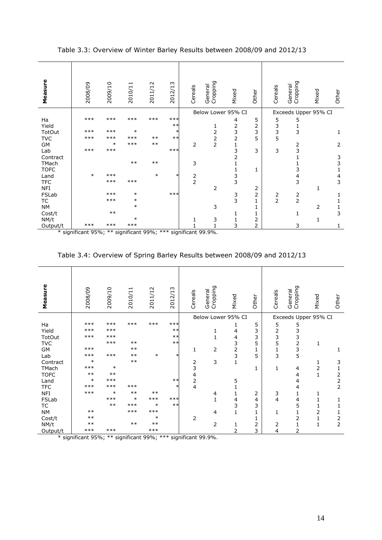| Measure     | 2008/09 | 2009/10 | 2010/11 | 2011/12 | $\sim$<br>$\frac{1}{2}$<br>201 | Cereals       | Cropping<br>General | Mixed                                      | Other          | Cereals       | Cropping<br>General  | Mixed | Other          |
|-------------|---------|---------|---------|---------|--------------------------------|---------------|---------------------|--------------------------------------------|----------------|---------------|----------------------|-------|----------------|
|             |         |         |         |         |                                |               | Below Lower 95% CI  |                                            |                |               | Exceeds Upper 95% CI |       |                |
| Ha          | $***$   | $***$   | $***$   | $***$   | $***$                          |               |                     | 4                                          | 5              | 5             | 5                    |       |                |
| Yield       |         |         |         |         | $***$                          |               | 1                   | 2                                          | 2              | 3             | $\mathbf 1$          |       |                |
| TotOut      | $***$   | $***$   | $\ast$  |         | $\ast$                         |               | 2                   | 3                                          | 3              | 3             | 3                    |       | 1              |
| <b>TVC</b>  | $***$   | $***$   | $***$   | $***$   | $***$                          |               | $\overline{2}$      | $\overline{2}$                             | 5              | 5             |                      |       |                |
| GM          |         | $\ast$  | $***$   | $***$   |                                | 2             | $\overline{2}$      | $\mathbf 1$                                |                |               | 2                    |       | $\overline{2}$ |
| Lab         | $***$   | $***$   |         |         | $***$                          |               |                     | 3                                          | 3              | 3             | 3                    |       |                |
| Contract    |         |         |         |         |                                |               |                     | $\overline{2}$                             |                |               |                      |       | 3              |
| TMach       |         |         | $***$   | $***$   |                                | 3             |                     | $\mathbf 1$                                |                |               |                      |       | 3              |
| <b>TOFC</b> |         |         |         |         |                                |               |                     |                                            | 1              |               | 3                    |       |                |
| Land        | $\ast$  | $***$   |         | $\ast$  | $\ast$                         | $\frac{2}{2}$ |                     | $\begin{array}{c} 1 \\ 3 \\ 3 \end{array}$ |                |               | $\overline{4}$       |       | 4              |
| <b>TFC</b>  |         | $***$   | $***$   |         |                                |               |                     |                                            |                |               | 3                    |       | 3              |
| <b>NFI</b>  |         |         |         |         |                                |               | 2                   |                                            | 2              |               |                      | 1     |                |
| FSLab       |         | $***$   | $\ast$  |         | $***$                          |               |                     | 3<br>3                                     | $\overline{2}$ | $\frac{2}{2}$ | $\frac{2}{2}$        |       |                |
| <b>TC</b>   |         | $***$   | $\ast$  |         |                                |               |                     |                                            | 1              |               |                      |       |                |
| <b>NM</b>   |         |         | $\ast$  |         |                                |               | 3                   |                                            | 1              |               |                      | 2     | 1              |
| Cost/t      |         | $***$   |         |         |                                |               |                     | 1                                          | 1              |               | 1                    |       | 3              |
| NM/t        |         |         | $\ast$  |         |                                | 1             | 3                   | 1                                          | 2              |               |                      | 1     |                |
| Output/t    | $***$   | $***$   | $***$   |         |                                |               | 1                   | 3                                          | $\overline{2}$ |               | 3                    |       |                |

Table 3.3: Overview of Winter Barley Results between 2008/09 and 2012/13

| Table 3.4: Overview of Spring Barley Results between 2008/09 and 2012/13 |  |  |
|--------------------------------------------------------------------------|--|--|

| Measure     | 2008/09 | 2009/10 | 2010/11 | $\sim$<br>2011/1 | $\mathsf{c}$<br>2/1<br>201 | Cereals                 | Cropping<br>Genera | Mixed                   | Other          | Cereals        | Cropping<br>General  | Mixed        | Other          |
|-------------|---------|---------|---------|------------------|----------------------------|-------------------------|--------------------|-------------------------|----------------|----------------|----------------------|--------------|----------------|
|             |         |         |         |                  |                            |                         | Below Lower 95% CI |                         |                |                | Exceeds Upper 95% CI |              |                |
| Ha          | $***$   | $***$   | $***$   | $***$            | $***$                      |                         |                    |                         | 5              | 5              | 5                    |              |                |
| Yield       | $***$   | $***$   |         |                  | $***$                      |                         | 1                  | 4                       | 3              | 2              | 3                    |              |                |
| TotOut      | $***$   | $***$   |         |                  | $***$                      |                         | 1                  | $\overline{\mathbf{4}}$ | 3              | 3              | 3                    |              |                |
| <b>TVC</b>  |         | $***$   | $**$    |                  | $***$                      |                         |                    | 3                       | 5              | 5              | $\overline{2}$       | 1            |                |
| GM          | $***$   |         | $**$    |                  |                            | 1                       | $\overline{2}$     | $\overline{2}$          | $\mathbf{1}$   | 1              | $\frac{3}{5}$        |              | 1              |
| Lab         | $***$   | $***$   | $***$   | $\ast$           | $\ast$                     |                         |                    | 3                       | 5              | $\overline{3}$ |                      |              |                |
| Contract    | $\ast$  |         | $***$   |                  |                            | 2                       | 3                  | $\mathbf{1}$            |                |                |                      |              | 3              |
| TMach       | $***$   | $\ast$  |         |                  |                            | 3                       |                    |                         | 1              | $\mathbf{1}$   | 4                    | 2            | 1              |
| <b>TOFC</b> | $***$   | $***$   |         |                  |                            | $\overline{\mathbf{4}}$ |                    |                         |                |                | 4                    | $\mathbf{1}$ | $\overline{2}$ |
| Land        | $\ast$  | $***$   |         |                  | $***$                      | $\overline{2}$          |                    | 5                       |                |                | 4                    |              | $\overline{2}$ |
| <b>TFC</b>  | $***$   | $***$   | $***$   |                  | $\ast$                     | $\overline{\mathbf{4}}$ |                    |                         |                |                | 4                    |              | $\overline{2}$ |
| <b>NFI</b>  | $***$   | $\ast$  | $***$   | $***$            |                            |                         | 4                  | 1                       | 2              | 3              | $\mathbf{1}$         | 1            |                |
| FSLab       |         | $***$   | $\ast$  | $***$            | $***$                      |                         | $\mathbf{1}$       | 4                       | 4              | 4              | 4                    | 1            | 1              |
| <b>TC</b>   |         | $***$   | $***$   | $\ast$           | $**$                       |                         |                    | 3                       | 3              |                | 5                    |              | 1              |
| <b>NM</b>   | $***$   |         | $***$   | $***$            |                            |                         | $\overline{4}$     | 1                       | $\mathbf{1}$   | 1              | 1                    | 2            | 1              |
| Cost/t      | $***$   |         |         | $\ast$           |                            | 2                       |                    |                         | 1              |                | 2                    | 1            | $\frac{2}{2}$  |
| NM/t        | $***$   |         | $***$   | $***$            |                            |                         | $\overline{2}$     | 1                       | $\overline{2}$ | 2              | 1                    | $\mathbf 1$  |                |
| Output/t    | $***$   | $***$   |         | $***$            |                            |                         |                    | $\overline{2}$          | 3              | 4              | $\overline{2}$       |              |                |

\* significant 95%; \*\* significant 99%; \*\*\* significant 99.9%.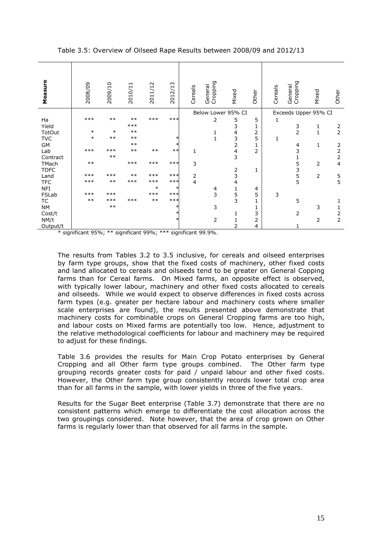| Measure     | 2008/09        | 2009/10        | 2010/11        | 2011/12        | 2012/13        | Cereals        | Cropping<br>General | Mixed              | Other          | Cereals | Cropping<br>General  | Mixed        | Other                                 |
|-------------|----------------|----------------|----------------|----------------|----------------|----------------|---------------------|--------------------|----------------|---------|----------------------|--------------|---------------------------------------|
|             |                |                |                |                |                |                |                     | Below Lower 95% CI |                |         | Exceeds Upper 95% CI |              |                                       |
| Ha<br>Yield | $***$          | $***$          | $***$<br>$***$ | $***$          | $***$          |                | $\overline{2}$      | 5<br>3             | 5<br>1         | 1       | 3                    | 1            |                                       |
| TotOut      | $\ast$         | $\ast$         | $***$          |                |                |                | 1                   | 4                  | 2              |         | $\overline{2}$       | $\mathbf{1}$ | $\begin{array}{c} 2 \\ 2 \end{array}$ |
| <b>TVC</b>  | $\ast$         | $***$          | $***$          |                |                |                | $\mathbf{1}$        | 3                  | 5              | 1       |                      |              |                                       |
| GM          |                |                | $***$          |                | $^\ast$        |                |                     | $\overline{2}$     | $\mathbf{1}$   |         | 4                    | 1            | $\mathsf{2}$                          |
| Lab         | $***$          | $***$          | $***$          | $***$          | $***$          | 1              |                     | $\frac{4}{3}$      | $\overline{2}$ |         | 3                    |              | $\overline{2}$                        |
| Contract    |                | $***$          |                |                |                |                |                     |                    |                |         | 1                    |              | $\overline{2}$                        |
| TMach       | $***$          |                | $***$          | $***$          | $***$          | 3              |                     |                    |                |         | 5                    | 2            | $\overline{4}$                        |
| <b>TOFC</b> |                |                |                |                |                |                |                     | $\mathsf{2}\,$     | 1              |         | 3                    |              |                                       |
| Land        | $***$          | $***$          | $***$          | $***$          | $***$          | 2              |                     | 3                  |                |         | $\frac{5}{5}$        | 2            | 5                                     |
| <b>TFC</b>  | $***$          | $***$          | $***$          | $***$          | $***$          | $\overline{4}$ |                     | $\overline{4}$     |                |         |                      |              | 5                                     |
| <b>NFI</b>  |                |                |                | $\ast$         | $\ast$         |                | 4                   | 1                  | 4              |         |                      |              |                                       |
| FSLab       | $***$<br>$***$ | $***$<br>$***$ | $***$          | $***$<br>$***$ | $***$<br>$***$ |                | 3                   | $\frac{5}{3}$      | 5              | 3       |                      |              |                                       |
| <b>TC</b>   |                | $***$          |                |                |                |                |                     |                    | $\mathbf{1}$   |         | 5                    |              | 1                                     |
| <b>NM</b>   |                |                |                |                |                |                | 3                   |                    | 1              |         |                      | 3            | 1                                     |
| Cost/t      |                |                |                |                |                |                |                     | 1                  | 3              |         | $\overline{2}$       |              | $\overline{2}$                        |
| NM/t        |                |                |                |                |                |                | $\overline{2}$      |                    | $\overline{c}$ |         |                      | 2            | $\overline{2}$                        |
| Output/t    |                |                |                |                |                |                |                     | 2                  | 4              |         |                      |              |                                       |

Table 3.5: Overview of Oilseed Rape Results between 2008/09 and 2012/13

The results from Tables 3.2 to 3.5 inclusive, for cereals and oilseed enterprises by farm type groups, show that the fixed costs of machinery, other fixed costs and land allocated to cereals and oilseeds tend to be greater on General Copping farms than for Cereal farms. On Mixed farms, an opposite effect is observed, with typically lower labour, machinery and other fixed costs allocated to cereals and oilseeds. While we would expect to observe differences in fixed costs across farm types (e.g. greater per hectare labour and machinery costs where smaller scale enterprises are found), the results presented above demonstrate that machinery costs for combinable crops on General Cropping farms are too high, and labour costs on Mixed farms are potentially too low. Hence, adjustment to the relative methodological coefficients for labour and machinery may be required to adjust for these findings.

Table 3.6 provides the results for Main Crop Potato enterprises by General Cropping and all Other farm type groups combined. The Other farm type grouping records greater costs for paid / unpaid labour and other fixed costs. However, the Other farm type group consistently records lower total crop area than for all farms in the sample, with lower yields in three of the five years.

Results for the Sugar Beet enterprise (Table 3.7) demonstrate that there are no consistent patterns which emerge to differentiate the cost allocation across the two groupings considered. Note however, that the area of crop grown on Other farms is regularly lower than that observed for all farms in the sample.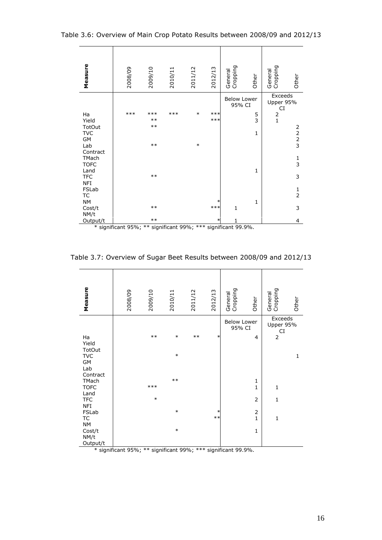Table 3.6: Overview of Main Crop Potato Results between 2008/09 and 2012/13

| Measure                                   | 2008/09                                                       | 2009/10                 | 2010/11 | 2011/12 | 2012/13        | General<br>Cropping          | Other                  | Cropping<br>General                   | Other                                        |
|-------------------------------------------|---------------------------------------------------------------|-------------------------|---------|---------|----------------|------------------------------|------------------------|---------------------------------------|----------------------------------------------|
|                                           |                                                               |                         |         |         |                | <b>Below Lower</b><br>95% CI |                        | Exceeds<br>Upper 95%<br>CI            |                                              |
| Ha<br>Yield<br>TotOut<br><b>TVC</b><br>GM | $***$                                                         | $***$<br>$***$<br>$***$ | $***$   | $\ast$  | $***$<br>$***$ |                              | 5<br>3<br>$\mathbf{1}$ | $\begin{array}{c} 2 \\ 1 \end{array}$ | $\begin{array}{c}\n2 \\ 2 \\ 3\n\end{array}$ |
| Lab<br>Contract<br>TMach<br><b>TOFC</b>   |                                                               | $***$                   |         | $\ast$  |                |                              | $\mathbf{1}$           |                                       | $\frac{1}{3}$                                |
| Land<br><b>TFC</b><br>NFI<br>FSLab        |                                                               | $***$                   |         |         |                |                              |                        |                                       | 3                                            |
| <b>TC</b><br><b>NM</b><br>Cost/t          |                                                               | $***$                   |         |         | ∗<br>$***$     | $\mathbf{1}$                 | $\mathbf{1}$           |                                       | $\frac{1}{2}$<br>3                           |
| NM/t<br>Output/t                          | * significant 95%; ** significant 99%; *** significant 99.9%. | $***$                   |         |         | $\ast$         | 1                            |                        |                                       | 4                                            |

Table 3.7: Overview of Sugar Beet Results between 2008/09 and 2012/13

| Measure                               | 2008/09 | 2009/10              | 2010/11             | 2011/12    | 2012/13      | General<br>Cropping          | Other                          | General<br>Cropping        | Other |
|---------------------------------------|---------|----------------------|---------------------|------------|--------------|------------------------------|--------------------------------|----------------------------|-------|
|                                       |         |                      |                     |            |              | <b>Below Lower</b><br>95% CI |                                | Exceeds<br>Upper 95%<br>CI |       |
| Ha                                    |         | $***$                | $\ast$              | $***$      | ∗            |                              | 4                              | $\overline{2}$             |       |
| Yield<br>TotOut                       |         |                      |                     |            |              |                              |                                |                            |       |
| <b>TVC</b>                            |         |                      | $\ast$              |            |              |                              |                                |                            | 1     |
| GM<br>Lab                             |         |                      |                     |            |              |                              |                                |                            |       |
| Contract                              |         |                      | $***$               |            |              |                              |                                |                            |       |
| TMach<br><b>TOFC</b>                  |         | $***$                |                     |            |              |                              | $\mathbf{1}$<br>$\overline{1}$ | $\mathbf{1}$               |       |
| Land                                  |         |                      |                     |            |              |                              |                                |                            |       |
| <b>TFC</b><br><b>NFI</b>              |         | $\ast$               |                     |            |              |                              | $\overline{2}$                 | $\mathbf{1}$               |       |
| FSLab                                 |         |                      | $\ast$              |            | ∗            |                              |                                |                            |       |
| <b>TC</b><br><b>NM</b>                |         |                      |                     |            | $***$        |                              | $\mathbf{1}$                   | $\mathbf{1}$               |       |
| Cost/t                                |         |                      | $\ast$              |            |              |                              | $\mathbf 1$                    |                            |       |
| NM/t                                  |         |                      |                     |            |              |                              |                                |                            |       |
| Output/t<br>$\Phi$ at a set of $\Phi$ |         | $+$ $0.501 + + + -1$ | $\cdot$ : $\cdot$ : | 1.0001.444 | $\mathbf{r}$ | $+$ 00.00/                   |                                |                            |       |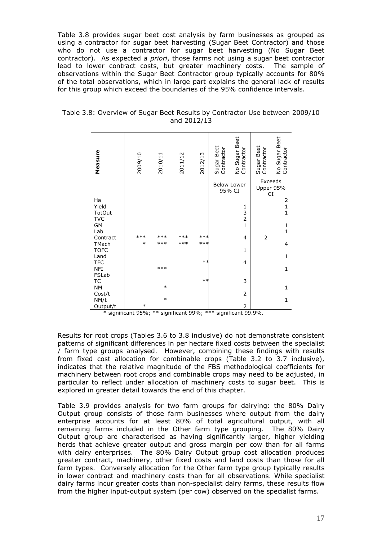Table 3.8 provides sugar beet cost analysis by farm businesses as grouped as using a contractor for sugar beet harvesting (Sugar Beet Contractor) and those who do not use a contractor for sugar beet harvesting (No Sugar Beet contractor). As expected *a priori*, those farms not using a sugar beet contractor lead to lower contract costs, but greater machinery costs. The sample of observations within the Sugar Beet Contractor group typically accounts for 80% of the total observations, which in large part explains the general lack of results for this group which exceed the boundaries of the 95% confidence intervals.

| Measure             | 2009/10         | 2010/11 | 2011/12 | 2012/13        | Sugar Beet<br>Contractor     | No Sugar Beet<br>Contractor | Sugar Beet<br>Contractor   | No Sugar Beet<br>Contractor |
|---------------------|-----------------|---------|---------|----------------|------------------------------|-----------------------------|----------------------------|-----------------------------|
|                     |                 |         |         |                | <b>Below Lower</b><br>95% CI |                             | Exceeds<br>Upper 95%<br>CI |                             |
| Ha                  |                 |         |         |                |                              |                             |                            | 2                           |
| Yield               |                 |         |         |                |                              | 1                           |                            | $\mathbf{1}$                |
| TotOut              |                 |         |         |                |                              | 3                           |                            | $\mathbf{1}$                |
| <b>TVC</b>          |                 |         |         |                |                              | $\overline{2}$              |                            |                             |
| GM                  |                 |         |         |                |                              | $\mathbf{1}$                |                            | $\mathbf{1}$                |
| Lab                 |                 |         |         |                |                              |                             |                            | $\mathbf{1}$                |
| Contract            | $***$<br>$\ast$ | $***$   | $***$   | $***$<br>$***$ |                              | $\overline{4}$              | $\overline{2}$             |                             |
| TMach               |                 | $***$   | $***$   |                |                              |                             |                            | 4                           |
| <b>TOFC</b><br>Land |                 |         |         |                |                              | $\mathbf{1}$                |                            | $\mathbf{1}$                |
| <b>TFC</b>          |                 |         |         | $***$          |                              | $\overline{4}$              |                            |                             |
| <b>NFI</b>          |                 | $***$   |         |                |                              |                             |                            | $\mathbf{1}$                |
| FSLab               |                 |         |         |                |                              |                             |                            |                             |
| <b>TC</b>           |                 |         |         | $***$          |                              | 3                           |                            |                             |
| <b>NM</b>           |                 | $\ast$  |         |                |                              |                             |                            | $\mathbf{1}$                |
| Cost/t              |                 |         |         |                |                              | $\overline{2}$              |                            |                             |
| NM/t                |                 | $\ast$  |         |                |                              |                             |                            | $\mathbf{1}$                |
| Output/t            | $\ast$          |         |         |                |                              | 2                           |                            |                             |

Table 3.8: Overview of Sugar Beet Results by Contractor Use between 2009/10 and 2012/13

\* significant 95%; \*\* significant 99%; \*\*\* significant 99.9%.

Results for root crops (Tables 3.6 to 3.8 inclusive) do not demonstrate consistent patterns of significant differences in per hectare fixed costs between the specialist / farm type groups analysed. However, combining these findings with results from fixed cost allocation for combinable crops (Table 3.2 to 3.7 inclusive), indicates that the relative magnitude of the FBS methodological coefficients for machinery between root crops and combinable crops may need to be adjusted, in particular to reflect under allocation of machinery costs to sugar beet. This is explored in greater detail towards the end of this chapter.

Table 3.9 provides analysis for two farm groups for dairying: the 80% Dairy Output group consists of those farm businesses where output from the dairy enterprise accounts for at least 80% of total agricultural output, with all remaining farms included in the Other farm type grouping. The 80% Dairy Output group are characterised as having significantly larger, higher yielding herds that achieve greater output and gross margin per cow than for all farms with dairy enterprises. The 80% Dairy Output group cost allocation produces greater contract, machinery, other fixed costs and land costs than those for all farm types. Conversely allocation for the Other farm type group typically results in lower contract and machinery costs than for all observations. While specialist dairy farms incur greater costs than non-specialist dairy farms, these results flow from the higher input-output system (per cow) observed on the specialist farms.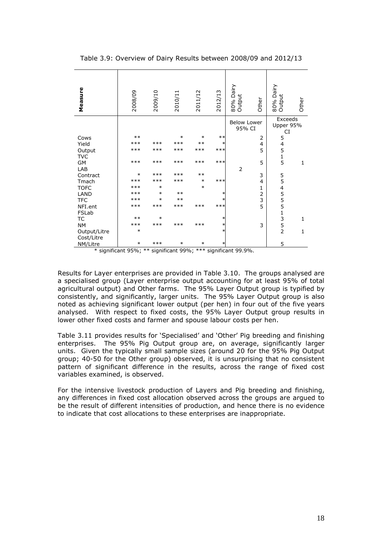| Measure      | 2008/09 | 2009/10 | 2010/11 | 2011/12 | w<br>2012/1 | 80% Dairy<br>Output          | Other          | 80% Dairy<br>Output                        | Other |
|--------------|---------|---------|---------|---------|-------------|------------------------------|----------------|--------------------------------------------|-------|
|              |         |         |         |         |             | <b>Below Lower</b><br>95% CI |                | Exceeds<br>Upper 95%<br>CI                 |       |
| Cows         | $**$    |         | $\ast$  | $\ast$  | $***$       |                              | 2              | 5                                          |       |
| Yield        | $***$   | $***$   | $***$   | $***$   | $\ast$      |                              | 4              |                                            |       |
| Output       | $***$   | $***$   | $***$   | $***$   | $***$       |                              | 5              | $\frac{4}{5}$                              |       |
| <b>TVC</b>   |         |         |         |         |             |                              |                | $\mathbf{1}$                               |       |
| GM           | $***$   | $***$   | $***$   | $***$   | $***$       |                              | 5              | 5                                          | 1     |
| LAB          |         |         |         |         |             | $\overline{2}$               |                |                                            |       |
| Contract     | $\ast$  | $***$   | $***$   | $***$   |             |                              | 3              | 5                                          |       |
| Tmach        | $***$   | $***$   | $***$   | $\ast$  | $***$       |                              | 4              | 5                                          |       |
| <b>TOFC</b>  | $***$   | $\ast$  |         | $\ast$  |             |                              | 1              | 4                                          |       |
| LAND         | $***$   | $\ast$  | $***$   |         | ∗           |                              | $\overline{2}$ | 5<br>5<br>5                                |       |
| <b>TFC</b>   | $***$   | $\ast$  | $***$   |         | $\ast$      |                              | 3              |                                            |       |
| NFI.ent      | $***$   | $***$   | $***$   | $***$   | $***$       |                              | 5              |                                            |       |
| FSLab        |         |         |         |         |             |                              |                | $\mathbf{1}$                               |       |
| <b>TC</b>    | $***$   | $\ast$  |         |         | ∗           |                              |                |                                            | 1     |
| <b>NM</b>    | $***$   | $***$   | $***$   | $***$   | $\ast$      |                              | 3              | $\begin{array}{c} 3 \\ 5 \\ 2 \end{array}$ |       |
| Output/Litre | $\ast$  |         |         |         | $\ast$      |                              |                |                                            | 1     |
| Cost/Litre   |         |         |         |         |             |                              |                |                                            |       |
| NM/Litre     | $\ast$  | $***$   | $\ast$  | $\ast$  | $\ast$      |                              |                | 5                                          |       |

Table 3.9: Overview of Dairy Results between 2008/09 and 2012/13

Results for Layer enterprises are provided in Table 3.10. The groups analysed are a specialised group (Layer enterprise output accounting for at least 95% of total agricultural output) and Other farms. The 95% Layer Output group is typified by consistently, and significantly, larger units. The 95% Layer Output group is also noted as achieving significant lower output (per hen) in four out of the five years analysed. With respect to fixed costs, the 95% Layer Output group results in lower other fixed costs and farmer and spouse labour costs per hen.

Table 3.11 provides results for 'Specialised' and 'Other' Pig breeding and finishing enterprises. The 95% Pig Output group are, on average, significantly larger units. Given the typically small sample sizes (around 20 for the 95% Pig Output group; 40-50 for the Other group) observed, it is unsurprising that no consistent pattern of significant difference in the results, across the range of fixed cost variables examined, is observed.

For the intensive livestock production of Layers and Pig breeding and finishing, any differences in fixed cost allocation observed across the groups are argued to be the result of different intensities of production, and hence there is no evidence to indicate that cost allocations to these enterprises are inappropriate.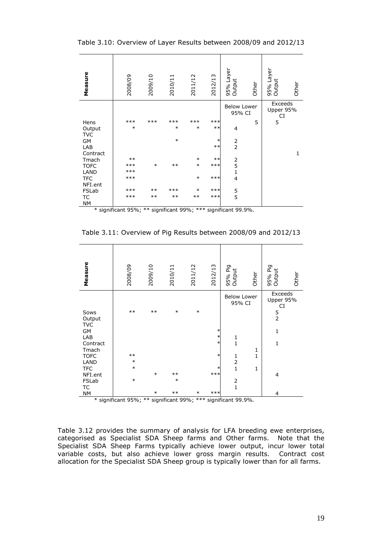Table 3.10: Overview of Layer Results between 2008/09 and 2012/13

| Measure              | 2008/09 | 2009/10 | 2010/11 | 2011/12 | 2012/13 | Layer<br>95% La<br>Output    | Other | 95% Layer<br>Output        | Other |
|----------------------|---------|---------|---------|---------|---------|------------------------------|-------|----------------------------|-------|
|                      |         |         |         |         |         | <b>Below Lower</b><br>95% CI |       | Exceeds<br>Upper 95%<br>CI |       |
| Hens                 | $***$   | $***$   | $***$   | $***$   | $***$   |                              | 5     | 5                          |       |
| Output               | $\ast$  |         | $\ast$  | $\ast$  | $***$   | $\overline{4}$               |       |                            |       |
| <b>TVC</b>           |         |         |         |         |         |                              |       |                            |       |
| <b>GM</b>            |         |         | $\ast$  |         | $\ast$  | $\overline{2}$               |       |                            |       |
| LAB                  |         |         |         |         | $***$   | $\overline{2}$               |       |                            |       |
| Contract             | $***$   |         |         | $\ast$  | $***$   |                              |       |                            | 1     |
| Tmach<br><b>TOFC</b> | $***$   | $\ast$  | $***$   | $\ast$  | $***$   | $\frac{2}{5}$                |       |                            |       |
| LAND                 | $***$   |         |         |         |         | $\overline{1}$               |       |                            |       |
| <b>TFC</b>           | $***$   |         |         | $\ast$  | $***$   | $\overline{4}$               |       |                            |       |
| NFI.ent              |         |         |         |         |         |                              |       |                            |       |
| FSLab                | $***$   | $***$   | $***$   | $\ast$  | $***$   | $\frac{5}{5}$                |       |                            |       |
| TC                   | $***$   | $***$   | $***$   | $***$   | $***$   |                              |       |                            |       |
| <b>NM</b>            |         |         |         |         |         |                              |       |                            |       |

Table 3.11: Overview of Pig Results between 2008/09 and 2012/13

| Measure          | 2008/09                                                                        | 2009/10 | 2010/11 | 2011/12 | 2012/13          | 95% Pig<br>Output             | Other        | 95% Pig<br>Output          | Other |
|------------------|--------------------------------------------------------------------------------|---------|---------|---------|------------------|-------------------------------|--------------|----------------------------|-------|
|                  |                                                                                |         |         |         |                  | <b>Below Lower</b><br>95% CI  |              | Exceeds<br>Upper 95%<br>CI |       |
| Sows<br>Output   | $***$                                                                          | $***$   | $\ast$  | $\ast$  |                  |                               |              | $\frac{5}{2}$              |       |
| <b>TVC</b><br>GM |                                                                                |         |         |         | $\ast$           |                               |              | $\mathbf{1}$               |       |
| LAB<br>Contract  |                                                                                |         |         |         | $\ast$<br>$\ast$ | $\mathbf 1$<br>$\overline{1}$ |              | $\mathbf{1}$               |       |
| Tmach            |                                                                                |         |         |         |                  |                               | 1            |                            |       |
| <b>TOFC</b>      | $***$                                                                          |         |         |         | $\ast$           | 1                             | $\mathbf{1}$ |                            |       |
| LAND             | $\ast$                                                                         |         |         |         |                  | $\overline{2}$                |              |                            |       |
| <b>TFC</b>       | $\ast$                                                                         | $\ast$  | $***$   |         | $\ast$<br>$***$  | $\mathbf{1}$                  | $\mathbf{1}$ |                            |       |
| NFI.ent<br>FSLab | $\ast$                                                                         |         | $\ast$  |         |                  | $\overline{2}$                |              | $\overline{4}$             |       |
| TC               |                                                                                |         |         |         |                  | $\mathbf{1}$                  |              |                            |       |
| <b>NM</b>        |                                                                                | $\ast$  | $***$   | $\ast$  | $***$            |                               |              | 4                          |       |
|                  | $*$ cinnificant $0.001 + * *$ cinnificant $0.001 + * * *$ cinnificant $0.0001$ |         |         |         |                  |                               |              |                            |       |

\* significant 95%; \*\* significant 99%; \*\*\* significant 99.9%.

Table 3.12 provides the summary of analysis for LFA breeding ewe enterprises, categorised as Specialist SDA Sheep farms and Other farms. Note that the Specialist SDA Sheep Farms typically achieve lower output, incur lower total variable costs, but also achieve lower gross margin results. Contract cost allocation for the Specialist SDA Sheep group is typically lower than for all farms.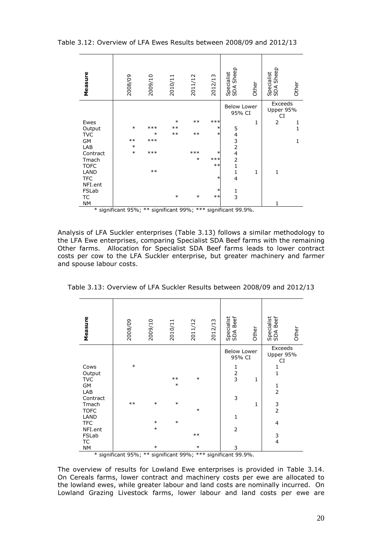Table 3.12: Overview of LFA Ewes Results between 2008/09 and 2012/13

| Measure                                                                                                                                                  | 2008/09                                                                                                                             | 2009/10 | 2010/11 | 2011/12     | 2012/13      | Sheep<br>Specialist<br>SDA Shee            | Other        | Sheep<br>Specialist<br>SDA Shee | Other |
|----------------------------------------------------------------------------------------------------------------------------------------------------------|-------------------------------------------------------------------------------------------------------------------------------------|---------|---------|-------------|--------------|--------------------------------------------|--------------|---------------------------------|-------|
|                                                                                                                                                          |                                                                                                                                     |         |         |             |              | <b>Below Lower</b><br>95% CI               |              | Exceeds<br>Upper 95%<br>CI      |       |
| Ewes                                                                                                                                                     |                                                                                                                                     |         | $\ast$  | $***$       | $***$        |                                            | 1            | $\overline{2}$                  | 1     |
| Output                                                                                                                                                   | $\ast$                                                                                                                              | $***$   | $***$   |             |              | 5                                          |              |                                 | 1     |
| <b>TVC</b>                                                                                                                                               |                                                                                                                                     | $\ast$  | $***$   | $***$       |              | $\begin{array}{c} 4 \\ 3 \\ 2 \end{array}$ |              |                                 |       |
| GM                                                                                                                                                       | $***$                                                                                                                               | $***$   |         |             |              |                                            |              |                                 | 1     |
| LAB                                                                                                                                                      | $\ast$                                                                                                                              |         |         |             |              |                                            |              |                                 |       |
| Contract                                                                                                                                                 | $\ast$                                                                                                                              | $***$   |         | $***$       |              | 4                                          |              |                                 |       |
| Tmach                                                                                                                                                    |                                                                                                                                     |         |         | $\ast$      | $***$        | $\overline{2}$                             |              |                                 |       |
| <b>TOFC</b>                                                                                                                                              |                                                                                                                                     |         |         |             | $**$         | $\mathbf{1}$                               |              |                                 |       |
| LAND                                                                                                                                                     |                                                                                                                                     | $***$   |         |             |              | $\mathbf{1}$                               | $\mathbf{1}$ | $\mathbf{1}$                    |       |
| <b>TFC</b>                                                                                                                                               |                                                                                                                                     |         |         |             | ∗            | 4                                          |              |                                 |       |
| NFI.ent                                                                                                                                                  |                                                                                                                                     |         |         |             |              |                                            |              |                                 |       |
| FSLab                                                                                                                                                    |                                                                                                                                     |         |         |             |              | $\frac{1}{3}$                              |              |                                 |       |
| TC                                                                                                                                                       |                                                                                                                                     |         | $\ast$  | $\ast$      | $***$        |                                            |              |                                 |       |
| <b>NM</b><br>$\mathcal{P}$ and $\mathcal{P}$ and $\mathcal{P}$ and $\mathcal{P}$ and $\mathcal{P}$ and $\mathcal{P}$ and $\mathcal{P}$ and $\mathcal{P}$ | $\mathbf{A}$ and $\mathbf{A}$ and $\mathbf{A}$ and $\mathbf{A}$ and $\mathbf{A}$ and $\mathbf{A}$ and $\mathbf{A}$ and $\mathbf{A}$ |         |         | $+$ 000 $+$ | $444 + 1225$ | $\sim$ 00.00/                              |              | 1                               |       |

Analysis of LFA Suckler enterprises (Table 3.13) follows a similar methodology to the LFA Ewe enterprises, comparing Specialist SDA Beef farms with the remaining Other farms. Allocation for Specialist SDA Beef farms leads to lower contract costs per cow to the LFA Suckler enterprise, but greater machinery and farmer and spouse labour costs.

| Measure               | 2008/09                                                       | 2009/10 | 2010/11 | 2011/12 | 2012/13 | Specialist<br>SDA Beef<br>Beef | Other        | Specialist<br>SDA Beef     | Other |
|-----------------------|---------------------------------------------------------------|---------|---------|---------|---------|--------------------------------|--------------|----------------------------|-------|
|                       |                                                               |         |         |         |         | <b>Below Lower</b><br>95% CI   |              | Exceeds<br>Upper 95%<br>CI |       |
| Cows                  | $\ast$                                                        |         |         |         |         |                                |              | $\mathbf{1}$               |       |
| Output<br><b>TVC</b>  |                                                               |         | $***$   | $\ast$  |         | $\frac{1}{2}$                  | $\mathbf{1}$ | $\mathbf{1}$               |       |
| GM                    |                                                               |         | $\ast$  |         |         |                                |              | 1                          |       |
| LAB                   |                                                               |         |         |         |         |                                |              | $\overline{2}$             |       |
| Contract              |                                                               |         |         |         |         | 3                              |              |                            |       |
| Tmach                 | $***$                                                         | $\ast$  | $\ast$  |         |         |                                | 1            | $\frac{3}{2}$              |       |
| <b>TOFC</b>           |                                                               |         |         | $\ast$  |         |                                |              |                            |       |
| LAND                  |                                                               | $\ast$  | $\ast$  |         |         | 1                              |              |                            |       |
| <b>TFC</b><br>NFI.ent |                                                               | $\ast$  |         |         |         | $\overline{2}$                 |              | $\overline{4}$             |       |
| FSLab                 |                                                               |         |         | $***$   |         |                                |              | 3                          |       |
| TC                    |                                                               |         |         |         |         |                                |              | $\overline{\mathbf{4}}$    |       |
| <b>NM</b>             |                                                               | $\ast$  |         | $\ast$  |         | 3                              |              |                            |       |
|                       | * significant 95%; ** significant 99%; *** significant 99.9%. |         |         |         |         |                                |              |                            |       |

Table 3.13: Overview of LFA Suckler Results between 2008/09 and 2012/13

The overview of results for Lowland Ewe enterprises is provided in Table 3.14. On Cereals farms, lower contract and machinery costs per ewe are allocated to the lowland ewes, while greater labour and land costs are nominally incurred. On Lowland Grazing Livestock farms, lower labour and land costs per ewe are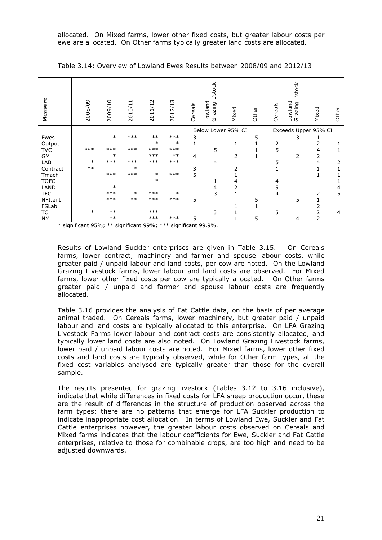allocated. On Mixed farms, lower other fixed costs, but greater labour costs per ewe are allocated. On Other farms typically greater land costs are allocated.

| Measure     | 2008/09 | 2009/10 | 2010/11 | $\sim$<br>2011/12 | $\sim$<br>$\overline{ }$<br>$\frac{1}{2}$<br>201 | Cereals       | L'stock<br>Lowland<br>Grazing | Mixed        | Other        | Cereals        | .'stock<br>Lowland<br>Grazing | Mixed          | Other |
|-------------|---------|---------|---------|-------------------|--------------------------------------------------|---------------|-------------------------------|--------------|--------------|----------------|-------------------------------|----------------|-------|
|             |         |         |         |                   |                                                  |               | Below Lower 95% CI            |              |              |                | Exceeds Upper 95% CI          |                |       |
| Ewes        |         | $\ast$  | $***$   | $***$             | $***$                                            | 3             |                               |              | 5            |                | 3                             |                |       |
| Output      |         |         |         | $\ast$            | $\ast$                                           |               |                               | 1            |              | $\frac{2}{5}$  |                               | 2              |       |
| <b>TVC</b>  | $***$   | $***$   | $***$   | $***$             | $***$                                            |               | 5                             |              |              |                |                               | 4              |       |
| GM          |         | $\ast$  |         | $***$             | $***$                                            | 4             |                               | 2            | 1            |                | 2                             | 2              |       |
| LAB         | $\ast$  | $***$   | $***$   | $***$             | $***$                                            |               | $\overline{4}$                |              |              | 5              |                               | 4              | 2     |
| Contract    | $***$   |         | $\ast$  |                   |                                                  | $\frac{3}{5}$ |                               | 2            |              |                |                               |                |       |
| Tmach       |         | $***$   | $***$   | $\ast$            | $***$                                            |               |                               |              |              |                |                               |                |       |
| <b>TOFC</b> |         |         |         | $\ast$            |                                                  |               | 1                             | 4            |              | 4              |                               |                |       |
| LAND        |         | $\ast$  |         |                   |                                                  |               | 4                             | 2            |              | 5              |                               |                | 4     |
| <b>TFC</b>  |         | $***$   | $\ast$  | $***$             | $\ast$                                           |               | 3                             | $\mathbf{1}$ |              | $\overline{4}$ |                               | 2              | 5     |
| NFI.ent     |         | $***$   | $***$   | $***$             | $***$                                            | 5             |                               |              | 5            |                | 5                             |                |       |
| FSLab       |         |         |         |                   |                                                  |               |                               |              | $\mathbf{1}$ |                |                               |                |       |
| <b>TC</b>   | $\ast$  | $***$   |         | $***$             |                                                  |               | 3                             |              |              | 5              |                               | 2              | 4     |
| <b>NM</b>   |         | $***$   |         | $***$             | $***$                                            | 5             |                               |              | 5            |                | 4                             | $\overline{2}$ |       |

Table 3.14: Overview of Lowland Ewes Results between 2008/09 and 2012/13

\* significant 95%; \*\* significant 99%; \*\*\* significant 99.9%.

Results of Lowland Suckler enterprises are given in Table 3.15. On Cereals farms, lower contract, machinery and farmer and spouse labour costs, while greater paid / unpaid labour and land costs, per cow are noted. On the Lowland Grazing Livestock farms, lower labour and land costs are observed. For Mixed farms, lower other fixed costs per cow are typically allocated. On Other farms greater paid / unpaid and farmer and spouse labour costs are frequently allocated.

Table 3.16 provides the analysis of Fat Cattle data, on the basis of per average animal traded. On Cereals farms, lower machinery, but greater paid / unpaid labour and land costs are typically allocated to this enterprise. On LFA Grazing Livestock Farms lower labour and contract costs are consistently allocated, and typically lower land costs are also noted. On Lowland Grazing Livestock farms, lower paid / unpaid labour costs are noted. For Mixed farms, lower other fixed costs and land costs are typically observed, while for Other farm types, all the fixed cost variables analysed are typically greater than those for the overall sample.

The results presented for grazing livestock (Tables 3.12 to 3.16 inclusive), indicate that while differences in fixed costs for LFA sheep production occur, these are the result of differences in the structure of production observed across the farm types; there are no patterns that emerge for LFA Suckler production to indicate inappropriate cost allocation. In terms of Lowland Ewe, Suckler and Fat Cattle enterprises however, the greater labour costs observed on Cereals and Mixed farms indicates that the labour coefficients for Ewe, Suckler and Fat Cattle enterprises, relative to those for combinable crops, are too high and need to be adjusted downwards.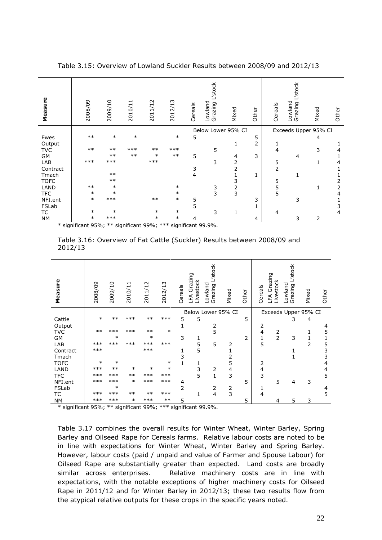| Measure     | 2008/09 | 2009/10 | 2010/11 | 2011/12 | 2/13<br>201 | Cereals | L'stock<br>Lowland<br>Grazing | Mixed          | Other          | Cereals        | L'stock<br>Lowland<br>Grazing | Mixed          | Other |
|-------------|---------|---------|---------|---------|-------------|---------|-------------------------------|----------------|----------------|----------------|-------------------------------|----------------|-------|
|             |         |         |         |         |             |         | Below Lower 95% CI            |                |                |                | Exceeds Upper 95% CI          |                |       |
| Ewes        | $***$   | $\ast$  | $\ast$  |         | $\ast$      | 5       |                               |                | 5              |                |                               | 4              |       |
| Output      |         |         |         |         |             |         |                               | 1              | $\overline{2}$ |                |                               |                |       |
| <b>TVC</b>  | $***$   | $***$   | $***$   | $***$   | $***$       |         | 5                             |                |                | 4              |                               | 3              | 4     |
| GM          |         | $***$   | $***$   | $\ast$  | $**$        | 5       |                               | 4              | 3              |                | 4                             |                |       |
| LAB         | $***$   | $***$   |         | $***$   |             |         | 3                             | 2              |                | $\frac{5}{2}$  |                               | $\mathbf{1}$   | 4     |
| Contract    |         |         |         |         |             | 3       |                               | $\overline{2}$ |                |                |                               |                |       |
| Tmach       |         | $***$   |         |         |             | 4       |                               | 1              | 1              |                |                               |                |       |
| <b>TOFC</b> |         | $***$   |         |         |             |         |                               | 3              |                | 5              |                               |                | 2     |
| LAND        | $***$   | $\ast$  |         |         |             |         | 3                             | $\frac{2}{3}$  |                | $\frac{5}{5}$  |                               |                | 2     |
| <b>TFC</b>  | $\ast$  | $\ast$  |         |         |             |         | 3                             |                |                |                |                               |                | 4     |
| NFI.ent     | $\ast$  | $***$   |         | $***$   | $\ast$      | 5<br>5  |                               |                | 3              |                | 3                             |                |       |
| FSLab       |         |         |         |         |             |         |                               |                |                |                |                               |                | 3     |
| TC          | $\ast$  | $\ast$  |         | $\ast$  | $\ast$      |         | 3                             | 1              |                | $\overline{4}$ |                               |                | 4     |
| <b>NM</b>   | $\ast$  | $***$   |         | $\ast$  |             | 4       |                               |                | 4              |                | 3                             | $\overline{2}$ |       |

Table 3.15: Overview of Lowland Suckler Results between 2008/09 and 2012/13

|         | Table 3.16: Overview of Fat Cattle (Suckler) Results between 2008/09 and |  |  |  |  |
|---------|--------------------------------------------------------------------------|--|--|--|--|
| 2012/13 |                                                                          |  |  |  |  |

| Measure     | 2008/09 | 2009/10 | $\overline{\phantom{0}}$<br>2010/1 | $\sim$<br>1/1<br>201 | $\sim$<br>$\overline{\phantom{0}}$<br>$\tilde{a}$<br>201 | Cereals        | Grazing<br>ivestock<br>$\tilde{H}$ | L'stock<br><b>Lowland</b><br>Grazing | Mixed | Other          | Cereals | Grazing<br><b>ivestock</b><br>$\tilde{H}$ | L'stock<br>puejmo<br>irazing<br>U | Mixed          | Other |
|-------------|---------|---------|------------------------------------|----------------------|----------------------------------------------------------|----------------|------------------------------------|--------------------------------------|-------|----------------|---------|-------------------------------------------|-----------------------------------|----------------|-------|
|             |         |         |                                    |                      |                                                          |                |                                    | Below Lower 95% CI                   |       |                |         |                                           | Exceeds Upper 95% CI              |                |       |
| Cattle      | $\ast$  | $**$    | $***$                              | $***$                | $***$                                                    | 5              | 5                                  |                                      |       | 5              |         |                                           | 3                                 | 4              |       |
| Output      |         |         |                                    |                      |                                                          | $\mathbf{1}$   |                                    | 2                                    |       |                | 2       |                                           |                                   |                | 4     |
| <b>TVC</b>  | $**$    | $***$   | $***$                              | $***$                | $\ast$                                                   |                |                                    | 5                                    |       |                | 4       | 2                                         |                                   | 1              | 5     |
| GM          |         | $\ast$  |                                    | $\ast$               |                                                          | 3              | 1                                  |                                      |       | $\overline{2}$ | 1       | $\overline{2}$                            | 3                                 | 1              | 1     |
| LAB         | $***$   | $***$   | $***$                              | $***$                | $***$                                                    |                | 5                                  | 5                                    | 2     |                | 5       |                                           |                                   | $\overline{2}$ | 5     |
| Contract    | $***$   |         |                                    | $***$                |                                                          |                | 5                                  |                                      |       |                |         |                                           | 1                                 |                | 3     |
| Tmach       |         |         |                                    |                      |                                                          | 3              |                                    |                                      | 2     |                |         |                                           | $\mathbf{1}$                      |                | 3     |
| <b>TOFC</b> | $\ast$  | $\ast$  |                                    |                      | $\ast$                                                   | $\mathbf{1}$   | 1                                  |                                      | 5     |                | 2       |                                           |                                   |                | 4     |
| LAND        | $***$   | $**$    | $\ast$                             | $\ast$               | $\ast$                                                   |                | 3                                  | 2                                    | 4     |                | 4       |                                           |                                   |                | 4     |
| <b>TFC</b>  | $***$   | $***$   | $***$                              | $***$                | $***$                                                    |                | 5                                  | $\mathbf{1}$                         | 3     |                | 3       |                                           |                                   |                | 5     |
| NFI.ent     | $***$   | $***$   | $\ast$                             | $***$                | $***$                                                    | 4              |                                    |                                      |       | 5              |         | 5                                         | 4                                 | 3              |       |
| FSLab       |         | $\ast$  |                                    |                      |                                                          | $\overline{2}$ |                                    | 2                                    | 2     |                | 1       |                                           |                                   |                | 4     |
| TC          | $***$   | $***$   | $***$                              | $***$                | $***$                                                    |                | 1                                  | 4                                    | 3     |                | 4       |                                           |                                   |                | 5     |
| <b>NM</b>   | $***$   | $***$   | $\ast$                             | $***$                | $***$                                                    | 5              |                                    |                                      |       | 5              |         | 4                                         | 5                                 | 3              |       |

\* significant 95%; \*\* significant 99%; \*\*\* significant 99.9%.

Table 3.17 combines the overall results for Winter Wheat, Winter Barley, Spring Barley and Oilseed Rape for Cereals farms. Relative labour costs are noted to be in line with expectations for Winter Wheat, Winter Barley and Spring Barley. However, labour costs (paid / unpaid and value of Farmer and Spouse Labour) for Oilseed Rape are substantially greater than expected. Land costs are broadly similar across enterprises. Relative machinery costs are in line with expectations, with the notable exceptions of higher machinery costs for Oilseed Rape in 2011/12 and for Winter Barley in 2012/13; these two results flow from the atypical relative outputs for these crops in the specific years noted.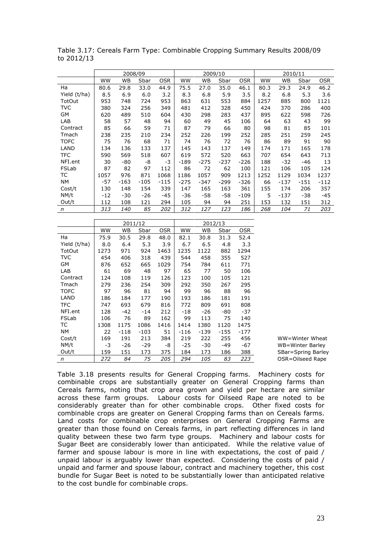|              |           | 2008/09    |        |            |           | 2009/10   |        |            |           | 2010/11 |       |            |
|--------------|-----------|------------|--------|------------|-----------|-----------|--------|------------|-----------|---------|-------|------------|
|              | <b>WW</b> | WВ         | Sbar   | <b>OSR</b> | <b>WW</b> | <b>WB</b> | Sbar   | <b>OSR</b> | <b>WW</b> | WВ      | Sbar  | <b>OSR</b> |
| Ha           | 80.6      | 29.8       | 33.0   | 44.9       | 75.5      | 27.0      | 35.0   | 46.1       | 80.3      | 29.3    | 24.9  | 46.2       |
| Yield (t/ha) | 8.5       | 6.9        | 6.0    | 3.2        | 8.3       | 6.8       | 5.9    | 3.5        | 8.2       | 6.8     | 5.3   | 3.6        |
| TotOut       | 953       | 748        | 724    | 953        | 863       | 631       | 553    | 884        | 1257      | 885     | 800   | 1121       |
| <b>TVC</b>   | 380       | 324        | 256    | 349        | 481       | 412       | 328    | 450        | 424       | 370     | 286   | 400        |
| GM           | 620       | 489        | 510    | 604        | 430       | 298       | 283    | 437        | 895       | 622     | 598   | 726        |
| LAB          | 58        | 57         | 48     | 94         | 60        | 49        | 45     | 106        | 64        | 63      | 43    | 99         |
| Contract     | 85        | 66         | 59     | 71         | 87        | 79        | 66     | 80         | 98        | 81      | 85    | 101        |
| Tmach        | 238       | 235        | 210    | 234        | 252       | 226       | 199    | 252        | 285       | 251     | 259   | 245        |
| <b>TOFC</b>  | 75        | 76         | 68     | 71         | 74        | 76        | 72     | 76         | 86        | 89      | 91    | 90         |
| LAND         | 134       | 136        | 133    | 137        | 145       | 143       | 137    | 149        | 174       | 171     | 165   | 178        |
| TFC          | 590       | 569        | 518    | 607        | 619       | 572       | 520    | 663        | 707       | 654     | 643   | 713        |
| NFI.ent      | 30        | -80        | -8     | $-3$       | $-189$    | $-275$    | $-237$ | $-226$     | 188       | $-32$   | $-46$ | 13         |
| FSLab        | 87        | 82         | 97     | 112        | 86        | 72        | 62     | 100        | 121       | 106     | 105   | 124        |
| ТC           | 1057      | 976        | 871    | 1068       | 1186      | 1057      | 909    | 1213       | 1252      | 1129    | 1034  | 1237       |
| NΜ           | -57       | $-163$     | $-105$ | $-115$     | $-275$    | -347      | $-299$ | $-326$     | 66        | $-137$  | -151  | $-112$     |
| Cost/t       | 130       | 148        | 154    | 339        | 147       | 165       | 163    | 361        | 155       | 174     | 206   | 357        |
| NM/t         | -12       | -30        | $-26$  | -45        | -36       | -58       | -58    | $-109$     | 5         | $-137$  | -38   | -45        |
| Out/t        | 112       | 108        | 121    | 294        | 105       | 94        | 94     | 251        | 153       | 132     | 151   | 312        |
| n            | 313       | <i>140</i> | 85     | 202        | 312       | 127       | 123    | 186        | 268       | 104     | 71    | 203        |

Table 3.17: Cereals Farm Type: Combinable Cropping Summary Results 2008/09 to 2012/13

|              |           |           | 2011/12 |            |        | 2012/13 |        |       |
|--------------|-----------|-----------|---------|------------|--------|---------|--------|-------|
|              | <b>WW</b> | <b>WB</b> | Sbar    | <b>OSR</b> | ww     | WB      | Sbar   | 0SR   |
| Ha           | 75.9      | 30.5      | 29.8    | 48.0       | 82.1   | 30.8    | 31.3   | 52.4  |
| Yield (t/ha) | 8.0       | 6.4       | 5.3     | 3.9        | 6.7    | 6.5     | 4.8    | 3.3   |
| TotOut       | 1273      | 971       | 924     | 1463       | 1235   | 1122    | 882    | 1294  |
| <b>TVC</b>   | 454       | 406       | 318     | 439        | 544    | 458     | 355    | 527   |
| GМ           | 876       | 652       | 665     | 1029       | 754    | 784     | 611    | 771   |
| LAB          | 61        | 69        | 48      | 97         | 65     | 77      | 50     | 106   |
| Contract     | 124       | 108       | 119     | 126        | 123    | 100     | 105    | 121   |
| Tmach        | 279       | 236       | 254     | 309        | 292    | 350     | 267    | 295   |
| <b>TOFC</b>  | 97        | 96        | 81      | 94         | 99     | 96      | 88     | 96    |
| LAND         | 186       | 184       | 177     | 190        | 193    | 186     | 181    | 191   |
| <b>TFC</b>   | 747       | 693       | 679     | 816        | 772    | 809     | 691    | 808   |
| NFI.ent      | 128       | $-42$     | $-14$   | 212        | $-18$  | $-26$   | -80    | $-37$ |
| FSLab        | 106       | 76        | 89      | 162        | 99     | 113     | 75     | 140   |
| ТC           | 1308      | 1175      | 1086    | 1416       | 1414   | 1380    | 1120   | 1475  |
| NΜ           | 22        | $-118$    | -103    | 51         | $-116$ | -139    | $-155$ | -177  |
| Cost/t       | 169       | 191       | 213     | 384        | 219    | 222     | 255    | 456   |
| NM/t         | -3        | -26       | -29     | -8         | $-25$  | $-30$   | -49    | -67   |
| Out/t        | 159       | 151       | 173     | 375        | 184    | 173     | 186    | 388   |
| n            | 272       | 84        | 75      | 205        | 294    | 105     | 83     | 223   |

WW=Winter Wheat WB=Winter Barley SBar=Spring Barley *n 272 84 75 205 294 105 83 223* OSR=Oilseed Rape

Table 3.18 presents results for General Cropping farms. Machinery costs for combinable crops are substantially greater on General Cropping farms than Cereals farms, noting that crop area grown and yield per hectare are similar across these farm groups. Labour costs for Oilseed Rape are noted to be considerably greater than for other combinable crops. Other fixed costs for combinable crops are greater on General Cropping farms than on Cereals farms. Land costs for combinable crop enterprises on General Cropping Farms are greater than those found on Cereals farms, in part reflecting differences in land quality between these two farm type groups. Machinery and labour costs for Sugar Beet are considerably lower than anticipated. While the relative value of farmer and spouse labour is more in line with expectations, the cost of paid / unpaid labour is arguably lower than expected. Considering the costs of paid / unpaid and farmer and spouse labour, contract and machinery together, this cost bundle for Sugar Beet is noted to be substantially lower than anticipated relative to the cost bundle for combinable crops.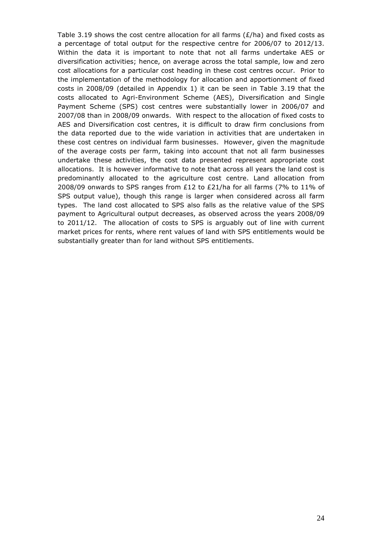Table 3.19 shows the cost centre allocation for all farms ( $E/ha$ ) and fixed costs as a percentage of total output for the respective centre for 2006/07 to 2012/13. Within the data it is important to note that not all farms undertake AES or diversification activities; hence, on average across the total sample, low and zero cost allocations for a particular cost heading in these cost centres occur. Prior to the implementation of the methodology for allocation and apportionment of fixed costs in 2008/09 (detailed in Appendix 1) it can be seen in Table 3.19 that the costs allocated to Agri-Environment Scheme (AES), Diversification and Single Payment Scheme (SPS) cost centres were substantially lower in 2006/07 and 2007/08 than in 2008/09 onwards. With respect to the allocation of fixed costs to AES and Diversification cost centres, it is difficult to draw firm conclusions from the data reported due to the wide variation in activities that are undertaken in these cost centres on individual farm businesses. However, given the magnitude of the average costs per farm, taking into account that not all farm businesses undertake these activities, the cost data presented represent appropriate cost allocations. It is however informative to note that across all years the land cost is predominantly allocated to the agriculture cost centre. Land allocation from 2008/09 onwards to SPS ranges from £12 to £21/ha for all farms (7% to 11% of SPS output value), though this range is larger when considered across all farm types. The land cost allocated to SPS also falls as the relative value of the SPS payment to Agricultural output decreases, as observed across the years 2008/09 to 2011/12. The allocation of costs to SPS is arguably out of line with current market prices for rents, where rent values of land with SPS entitlements would be substantially greater than for land without SPS entitlements.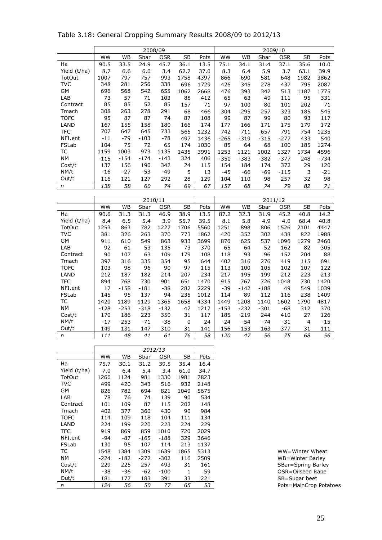|              |           |           |        | 2008/09    |      |      |           |        |        | 2009/10    |      |        |
|--------------|-----------|-----------|--------|------------|------|------|-----------|--------|--------|------------|------|--------|
|              | <b>WW</b> | <b>WB</b> | Sbar   | <b>OSR</b> | SB   | Pots | <b>WW</b> | WB     | Sbar   | <b>OSR</b> | SB   | Pots   |
| Ha           | 90.5      | 33.5      | 24.9   | 45.7       | 36.1 | 13.5 | 75.1      | 34.1   | 31.4   | 37.1       | 35.6 | 10.0   |
| Yield (t/ha) | 8.7       | 6.6       | 6.0    | 3.4        | 62.7 | 37.0 | 8.3       | 6.4    | 5.9    | 3.7        | 63.1 | 39.9   |
| TotOut       | 1007      | 797       | 757    | 993        | 1758 | 4397 | 866       | 690    | 581    | 648        | 1982 | 3862   |
| <b>TVC</b>   | 348       | 281       | 256    | 338        | 696  | 1729 | 426       | 345    | 278    | 437        | 795  | 2087   |
| GM           | 696       | 568       | 542    | 655        | 1062 | 2668 | 476       | 393    | 342    | 513        | 1187 | 1775   |
| LAB          | 73        | 57        | 71     | 103        | 88   | 412  | 65        | 63     | 49     | 111        | 95   | 331    |
| Contract     | 85        | 85        | 52     | 85         | 157  | 71   | 97        | 100    | 80     | 101        | 202  | 71     |
| Tmach        | 308       | 263       | 278    | 291        | 68   | 466  | 304       | 295    | 257    | 323        | 185  | 545    |
| <b>TOFC</b>  | 95        | 87        | 87     | 74         | 87   | 108  | 99        | 87     | 99     | 80         | 93   | 117    |
| LAND         | 167       | 155       | 158    | 180        | 166  | 174  | 177       | 166    | 171    | 175        | 179  | 172    |
| <b>TFC</b>   | 707       | 647       | 645    | 733        | 565  | 1232 | 742       | 711    | 657    | 791        | 754  | 1235   |
| NFI.ent      | $-11$     | $-79$     | $-103$ | $-78$      | 497  | 1436 | $-265$    | $-319$ | $-315$ | $-277$     | 433  | 540    |
| FSLab        | 104       | 75        | 72     | 65         | 174  | 1030 | 85        | 64     | 68     | 100        | 185  | 1274   |
| TC           | 1159      | 1003      | 973    | 1135       | 1435 | 3991 | 1253      | 1121   | 1002   | 1327       | 1734 | 4596   |
| NΜ           | $-115$    | $-154$    | $-174$ | $-143$     | 324  | 406  | $-350$    | $-383$ | $-382$ | $-377$     | 248  | $-734$ |
| Cost/t       | 137       | 156       | 190    | 342        | 24   | 115  | 154       | 184    | 174    | 372        | 29   | 120    |
| NM/t         | $-16$     | $-27$     | -53    | $-49$      | 5    | 13   | $-45$     | -66    | -69    | $-115$     | 3    | $-21$  |
| Out/t        | 116       | 121       | 127    | 292        | 28   | 129  | 104       | 110    | 98     | 257        | 32   | 98     |
| n            | 138       | 58        | 60     | 74         | 69   | 67   | 157       | 68     | 74     | 79         | 82   | 71     |

Table 3.18: General Cropping Summary Results 2008/09 to 2012/13

|              |        |        |        | 2010/11    |      |      |            |        |        | 2011/12    |                |      |
|--------------|--------|--------|--------|------------|------|------|------------|--------|--------|------------|----------------|------|
|              | WW     | WB     | Sbar   | <b>OSR</b> | SB   | Pots | WW         | WВ     | Sbar   | <b>OSR</b> | SB             | Pots |
| Ha           | 90.6   | 31.3   | 31.3   | 46.9       | 38.9 | 13.5 | 87.2       | 32.3   | 31.9   | 45.2       | 40.8           | 14.2 |
| Yield (t/ha) | 8.4    | 6.5    | 5.4    | 3.9        | 55.7 | 39.5 | 8.1        | 5.8    | 4.9    | 4.0        | 68.4           | 40.8 |
| TotOut       | 1253   | 863    | 782    | 1227       | 1706 | 5560 | 1251       | 898    | 806    | 1526       | 2101           | 4447 |
| <b>TVC</b>   | 381    | 326    | 263    | 370        | 773  | 1862 | 420        | 352    | 302    | 438        | 822            | 1988 |
| GM           | 911    | 610    | 549    | 863        | 933  | 3699 | 876        | 625    | 537    | 1096       | 1279           | 2460 |
| LAB          | 92     | 61     | 53     | 135        | 73   | 370  | 65         | 64     | 52     | 162        | 82             | 305  |
| Contract     | 90     | 107    | 63     | 109        | 179  | 108  | 118        | 93     | 96     | 152        | 204            | 88   |
| Tmach        | 397    | 316    | 335    | 354        | 95   | 644  | 402        | 316    | 276    | 419        | 115            | 691  |
| <b>TOFC</b>  | 103    | 98     | 96     | 90         | 97   | 115  | 113        | 100    | 105    | 102        | 107            | 122  |
| LAND         | 212    | 187    | 182    | 214        | 207  | 234  | 217        | 195    | 199    | 212        | 223            | 213  |
| TFC          | 894    | 768    | 730    | 901        | 651  | 1470 | 915        | 767    | 726    | 1048       | 730            | 1420 |
| NFI.ent      | 17     | $-158$ | $-181$ | -38        | 282  | 2229 | $-39$      | $-142$ | $-188$ | 49         | 549            | 1039 |
| FSLab        | 145    | 95     | 137    | 94         | 235  | 1012 | 114        | 89     | 112    | 116        | 238            | 1409 |
| ТC           | 1420   | 1189   | 1129   | 1365       | 1658 | 4334 | 1449       | 1208   | 1140   | 1602       | 1790           | 4817 |
| NΜ           | $-128$ | $-253$ | $-318$ | $-132$     | 47   | 1217 | $-153$     | $-232$ | $-301$ | -68        | 312            | 370  |
| Cost/t       | 170    | 186    | 223    | 350        | 31   | 117  | 185        | 219    | 244    | 410        | 27             | 126  |
| NM/t         | $-17$  | $-253$ | $-71$  | -38        | 0    | 24   | $-24$      | -54    | $-74$  | $-31$      | $\overline{4}$ | -15  |
| Out/t        | 149    | 131    | 147    | 310        | 31   | 141  | 156        | 153    | 163    | 377        | 31             | 111  |
| n            | 111    | 48     | 41     | 61         | 76   | 58   | <i>120</i> | 47     | 56     | 75         | 68             | 56   |

|              |      |        |        | 2012/13    |      |      |
|--------------|------|--------|--------|------------|------|------|
|              | ww   | WB.    | Sbar   | <b>OSR</b> | SB   | Pots |
| Ha           | 75.7 | 30.1   | 31.2   | 39.5       | 35.4 | 16.4 |
| Yield (t/ha) | 7.0  | 6.4    | 5.4    | 3.4        | 61.0 | 34.7 |
| TotOut       | 1266 | 1124   | 981    | 1330       | 1981 | 7823 |
| <b>TVC</b>   | 499  | 420    | 343    | 516        | 932  | 2148 |
| GM           | 826  | 782    | 694    | 821        | 1049 | 5675 |
| LAB          | 78   | 76     | 74     | 139        | 90   | 534  |
| Contract     | 101  | 109    | 87     | 115        | 202  | 148  |
| Tmach        | 402  | 377    | 360    | 430        | 90   | 984  |
| <b>TOFC</b>  | 114  | 109    | 118    | 104        | 111  | 134  |
| LAND         | 224  | 199    | 220    | 223        | 224  | 229  |
| <b>TFC</b>   | 919  | 869    | 859    | 1010       | 720  | 2029 |
| NFI.ent      | -94  | -87    | $-165$ | -188       | 329  | 3646 |
| FSLab        | 130  | 95     | 107    | 114        | 213  | 1137 |
| TC           | 1548 | 1384   | 1309   | 1639       | 1865 | 5313 |
| NM.          | -224 | $-182$ | $-272$ | -302       | 116  | 2509 |
| Cost/t       | 229  | 225    | 257    | 493        | 31   | 161  |
| NM/t         | -38  | -36    | -62    | $-100$     | 1    | 59   |
| Out/t        | 181  | 177    | 183    | 391        | 33   | 221  |
| $\mathsf{n}$ | 124  | 56     | 50     | 77         | 65   | 53   |

WW=Winter Wheat WB=Winter Barley SBar=Spring Barley OSR=Oilseed Rape Pots=MainCrop Potatoes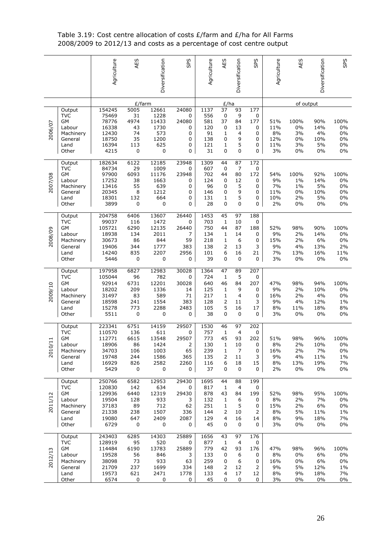# Table 3.19: Cost centre allocation of costs £/farm and £/ha for All Farms 2008/2009 to 2012/13 and costs as a percentage of cost centre output

|         |                                                                                      | Agriculture                                                            | AES                                                                | Diversification                                                   | SPS                                                                     | Agriculture                                          | AES                                                                                            | Diversification                                                                       | SPS                                                    | Agriculture                          | AES                                                | Diversification                           | SPS                                            |
|---------|--------------------------------------------------------------------------------------|------------------------------------------------------------------------|--------------------------------------------------------------------|-------------------------------------------------------------------|-------------------------------------------------------------------------|------------------------------------------------------|------------------------------------------------------------------------------------------------|---------------------------------------------------------------------------------------|--------------------------------------------------------|--------------------------------------|----------------------------------------------------|-------------------------------------------|------------------------------------------------|
| 2006/07 | Output<br><b>TVC</b><br><b>GM</b><br>Labour<br>Machinery<br>General<br>Land<br>Other | 154245<br>75469<br>78776<br>16338<br>12430<br>18750<br>16394<br>4215   | £/farm<br>5005<br>31<br>4974<br>43<br>74<br>35<br>113<br>$\pmb{0}$ | 12661<br>1228<br>11433<br>1730<br>573<br>1200<br>625<br>0         | 24080<br>0<br>24080<br>0<br>0<br>0<br>0<br>0                            | 1137<br>556<br>581<br>120<br>91<br>138<br>121<br>31  | E/ha<br>$\overline{37}$<br>$\pmb{0}$<br>37<br>$\mathbf 0$<br>1<br>0<br>$\mathbf{1}$<br>0       | 93<br>9<br>84<br>13<br>$\overline{4}$<br>9<br>5<br>0                                  | 177<br>0<br>177<br>0<br>0<br>0<br>0<br>0               | 51%<br>11%<br>8%<br>12%<br>11%<br>3% | of output<br>100%<br>$0\%$<br>3%<br>0%<br>3%<br>0% | 90%<br>14%<br>4%<br>10%<br>5%<br>0%       | 100%<br>$0\%$<br>$0\%$<br>$0\%$<br>$0\%$<br>0% |
| 2007/08 | Output<br><b>TVC</b><br>GМ<br>Labour<br>Machinery<br>General<br>Land<br>Other        | 182634<br>84734<br>97900<br>17252<br>13416<br>20345<br>18301<br>3899   | 6122<br>29<br>6093<br>38<br>55<br>8<br>132<br>0                    | 12185<br>1009<br>11176<br>1663<br>639<br>1212<br>664<br>0         | 23948<br>$\pmb{0}$<br>23948<br>0<br>0<br>0<br>0<br>0                    | 1309<br>607<br>702<br>124<br>96<br>146<br>131<br>28  | 44<br>$\pmb{0}$<br>44<br>0<br>0<br>0<br>$\mathbf{1}$<br>0                                      | 87<br>$\overline{7}$<br>80<br>12<br>5<br>9<br>5<br>0                                  | 172<br>$\pmb{0}$<br>172<br>0<br>0<br>0<br>0<br>0       | 54%<br>9%<br>7%<br>11%<br>10%<br>2%  | 100%<br>$1\%$<br>$1\%$<br>0%<br>2%<br>0%           | 92%<br>14%<br>5%<br>10%<br>5%<br>0%       | 100%<br>$0\%$<br>$0\%$<br>$0\%$<br>$0\%$<br>0% |
| 2008/09 | Output<br><b>TVC</b><br><b>GM</b><br>Labour<br>Machinery<br>General<br>Land<br>Other | 204758<br>99037<br>105721<br>18938<br>30673<br>19406<br>14240<br>5446  | 6406<br>116<br>6290<br>134<br>86<br>344<br>835<br>$\mathsf 0$      | 13607<br>1472<br>12135<br>2011<br>844<br>1777<br>2207<br>0        | 26440<br>0<br>26440<br>7<br>59<br>383<br>2956<br>0                      | 1453<br>703<br>750<br>134<br>218<br>138<br>101<br>39 | 45<br>$\mathbf{1}$<br>44<br>1<br>$\mathbf{1}$<br>2<br>6<br>$\mathbf 0$                         | 97<br>10<br>87<br>14<br>6<br>13<br>16<br>$\pmb{0}$                                    | 188<br>0<br>188<br>0<br>0<br>3<br>21<br>0              | 52%<br>9%<br>15%<br>9%<br>7%<br>3%   | 98%<br>2%<br>2%<br>4%<br>13%<br>0%                 | 90%<br>14%<br>6%<br>13%<br>16%<br>$0\%$   | 100%<br>$0\%$<br>$0\%$<br>2%<br>11%<br>0%      |
| 2009/10 | Output<br><b>TVC</b><br>GM<br>Labour<br>Machinery<br>General<br>Land<br>Other        | 197958<br>105044<br>92914<br>18202<br>31497<br>18598<br>15278<br>5511  | 6827<br>96<br>6731<br>209<br>83<br>241<br>773<br>$\pmb{0}$         | 12983<br>782<br>12201<br>1336<br>589<br>1554<br>2288<br>$\pmb{0}$ | 30028<br>0<br>30028<br>14<br>71<br>383<br>2483<br>0                     | 1364<br>724<br>640<br>125<br>217<br>128<br>105<br>38 | 47<br>$\mathbf{1}$<br>46<br>1<br>1<br>2<br>5<br>$\pmb{0}$                                      | 89<br>5<br>84<br>9<br>$\overline{\mathbf{4}}$<br>11<br>16<br>0                        | 207<br>0<br>207<br>0<br>0<br>3<br>17<br>0              | 47%<br>9%<br>16%<br>9%<br>8%<br>3%   | 98%<br>2%<br>2%<br>4%<br>11%<br>0%                 | 94%<br>10%<br>4%<br>12%<br>18%<br>$0\%$   | 100%<br>$0\%$<br>0%<br>$1\%$<br>8%<br>$0\%$    |
| 2010/1  | Output<br><b>TVC</b><br><b>GM</b><br>Labour<br>Machinery<br>General<br>Land<br>Other | 223341<br>110570<br>112771<br>18906<br>34703<br>19748<br>16929<br>5429 | 6751<br>136<br>6615<br>86<br>106<br>244<br>826<br>0                | 14159<br>611<br>13548<br>1424<br>1003<br>1586<br>2582<br>0        | 29507<br>$\pmb{0}$<br>29507<br>$\overline{2}$<br>65<br>365<br>2260<br>0 | 1530<br>757<br>773<br>130<br>239<br>135<br>116<br>37 | 46<br>$\mathbf{1}$<br>45<br>$\mathbf{1}$<br>$\mathbf 1$<br>2<br>6<br>0                         | 97<br>$\overline{4}$<br>93<br>$10\,$<br>$\overline{7}$<br>$11\,$<br>18<br>$\mathbf 0$ | 202<br>0<br>202<br>0<br>0<br>3<br>15<br>0              | 51%<br>8%<br>16%<br>9%<br>8%<br>2%   | 98%<br>2%<br>2%<br>4%<br>13%<br>0%                 | 96%<br>10%<br>7%<br>11%<br>19%<br>0%      | 100%<br>0%<br>0%<br>$1\%$<br>7%<br>0%          |
| 2011/12 | Output<br><b>TVC</b><br><b>GM</b><br>Labour<br>Machinery<br>General<br>Land<br>Other | 250766<br>120830<br>129936<br>19504<br>37183<br>21338<br>19080<br>6729 | 6582<br>142<br>6440<br>128<br>89<br>238<br>647<br>0                | 12953<br>634<br>12319<br>933<br>712<br>1507<br>2409<br>0          | 29430<br>0<br>29430<br>3<br>62<br>336<br>2087<br>0                      | 1695<br>817<br>878<br>132<br>251<br>144<br>129<br>45 | 44<br>$\mathbf{1}$<br>43<br>$\mathbf{1}$<br>$\mathbf{1}$<br>2<br>$\overline{a}$<br>$\mathbf 0$ | 88<br>$\overline{4}$<br>84<br>6<br>5<br>10<br>16<br>$\pmb{0}$                         | 199<br>0<br>199<br>0<br>0<br>$\overline{2}$<br>14<br>0 | 52%<br>8%<br>15%<br>8%<br>8%<br>3%   | 98%<br>2%<br>2%<br>5%<br>9%<br>0%                  | 95%<br>$7\%$<br>6%<br>11%<br>18%<br>$0\%$ | 100%<br>0%<br>0%<br>$1\%$<br>7%<br>0%          |
| 2012/13 | Output<br><b>TVC</b><br>GM<br>Labour<br>Machinery<br>General<br>Land<br>Other        | 243403<br>128919<br>114484<br>19528<br>38098<br>21709<br>19573<br>6574 | 6285<br>95<br>6190<br>56<br>73<br>237<br>621<br>0                  | 14303<br>520<br>13783<br>846<br>933<br>1699<br>2471<br>0          | 25889<br>0<br>25889<br>3<br>63<br>334<br>1778<br>0                      | 1656<br>877<br>779<br>133<br>259<br>148<br>133<br>45 | 43<br>$\mathbf{1}$<br>42<br>0<br>0<br>2<br>$\overline{4}$<br>0                                 | 97<br>$\overline{4}$<br>93<br>6<br>6<br>12<br>17<br>0                                 | 176<br>0<br>176<br>0<br>0<br>2<br>12<br>0              | 47%<br>8%<br>16%<br>9%<br>8%<br>3%   | 98%<br>0%<br>0%<br>5%<br>9%<br>0%                  | 96%<br>6%<br>6%<br>12%<br>18%<br>0%       | 100%<br>0%<br>0%<br>$1\%$<br>7%<br>0%          |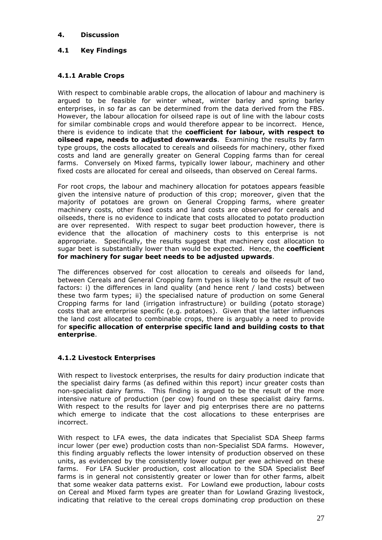## <span id="page-26-0"></span>**4. Discussion**

## <span id="page-26-1"></span>**4.1 Key Findings**

## <span id="page-26-2"></span>**4.1.1 Arable Crops**

With respect to combinable arable crops, the allocation of labour and machinery is argued to be feasible for winter wheat, winter barley and spring barley enterprises, in so far as can be determined from the data derived from the FBS. However, the labour allocation for oilseed rape is out of line with the labour costs for similar combinable crops and would therefore appear to be incorrect. Hence, there is evidence to indicate that the **coefficient for labour, with respect to oilseed rape, needs to adjusted downwards**. Examining the results by farm type groups, the costs allocated to cereals and oilseeds for machinery, other fixed costs and land are generally greater on General Copping farms than for cereal farms. Conversely on Mixed farms, typically lower labour, machinery and other fixed costs are allocated for cereal and oilseeds, than observed on Cereal farms.

For root crops, the labour and machinery allocation for potatoes appears feasible given the intensive nature of production of this crop; moreover, given that the majority of potatoes are grown on General Cropping farms, where greater machinery costs, other fixed costs and land costs are observed for cereals and oilseeds, there is no evidence to indicate that costs allocated to potato production are over represented. With respect to sugar beet production however, there is evidence that the allocation of machinery costs to this enterprise is not appropriate. Specifically, the results suggest that machinery cost allocation to sugar beet is substantially lower than would be expected. Hence, the **coefficient for machinery for sugar beet needs to be adjusted upwards**.

The differences observed for cost allocation to cereals and oilseeds for land, between Cereals and General Cropping farm types is likely to be the result of two factors: i) the differences in land quality (and hence rent / land costs) between these two farm types; ii) the specialised nature of production on some General Cropping farms for land (irrigation infrastructure) or building (potato storage) costs that are enterprise specific (e.g. potatoes). Given that the latter influences the land cost allocated to combinable crops, there is arguably a need to provide for **specific allocation of enterprise specific land and building costs to that enterprise**.

## <span id="page-26-3"></span>**4.1.2 Livestock Enterprises**

With respect to livestock enterprises, the results for dairy production indicate that the specialist dairy farms (as defined within this report) incur greater costs than non-specialist dairy farms. This finding is argued to be the result of the more intensive nature of production (per cow) found on these specialist dairy farms. With respect to the results for layer and pig enterprises there are no patterns which emerge to indicate that the cost allocations to these enterprises are incorrect.

With respect to LFA ewes, the data indicates that Specialist SDA Sheep farms incur lower (per ewe) production costs than non-Specialist SDA farms. However, this finding arguably reflects the lower intensity of production observed on these units, as evidenced by the consistently lower output per ewe achieved on these farms. For LFA Suckler production, cost allocation to the SDA Specialist Beef farms is in general not consistently greater or lower than for other farms, albeit that some weaker data patterns exist. For Lowland ewe production, labour costs on Cereal and Mixed farm types are greater than for Lowland Grazing livestock, indicating that relative to the cereal crops dominating crop production on these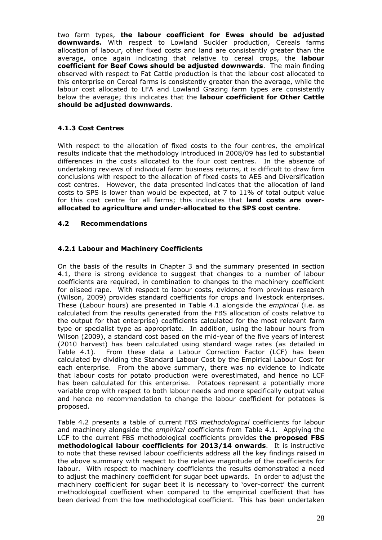two farm types, **the labour coefficient for Ewes should be adjusted downwards.** With respect to Lowland Suckler production, Cereals farms allocation of labour, other fixed costs and land are consistently greater than the average, once again indicating that relative to cereal crops, the **labour coefficient for Beef Cows should be adjusted downwards**. The main finding observed with respect to Fat Cattle production is that the labour cost allocated to this enterprise on Cereal farms is consistently greater than the average, while the labour cost allocated to LFA and Lowland Grazing farm types are consistently below the average; this indicates that the **labour coefficient for Other Cattle should be adjusted downwards**.

## <span id="page-27-0"></span>**4.1.3 Cost Centres**

With respect to the allocation of fixed costs to the four centres, the empirical results indicate that the methodology introduced in 2008/09 has led to substantial differences in the costs allocated to the four cost centres. In the absence of undertaking reviews of individual farm business returns, it is difficult to draw firm conclusions with respect to the allocation of fixed costs to AES and Diversification cost centres. However, the data presented indicates that the allocation of land costs to SPS is lower than would be expected, at 7 to 11% of total output value for this cost centre for all farms; this indicates that **land costs are overallocated to agriculture and under-allocated to the SPS cost centre**.

## <span id="page-27-1"></span>**4.2 Recommendations**

## <span id="page-27-2"></span>**4.2.1 Labour and Machinery Coefficients**

On the basis of the results in Chapter 3 and the summary presented in section 4.1, there is strong evidence to suggest that changes to a number of labour coefficients are required, in combination to changes to the machinery coefficient for oilseed rape. With respect to labour costs, evidence from previous research (Wilson, 2009) provides standard coefficients for crops and livestock enterprises. These (Labour hours) are presented in Table 4.1 alongside the *empirical* (i.e. as calculated from the results generated from the FBS allocation of costs relative to the output for that enterprise) coefficients calculated for the most relevant farm type or specialist type as appropriate. In addition, using the labour hours from Wilson (2009), a standard cost based on the mid-year of the five years of interest (2010 harvest) has been calculated using standard wage rates (as detailed in Table 4.1). From these data a Labour Correction Factor (LCF) has been calculated by dividing the Standard Labour Cost by the Empirical Labour Cost for each enterprise. From the above summary, there was no evidence to indicate that labour costs for potato production were overestimated, and hence no LCF has been calculated for this enterprise. Potatoes represent a potentially more variable crop with respect to both labour needs and more specifically output value and hence no recommendation to change the labour coefficient for potatoes is proposed.

Table 4.2 presents a table of current FBS *methodological* coefficients for labour and machinery alongside the *empirical* coefficients from Table 4.1. Applying the LCF to the current FBS methodological coefficients provides **the proposed FBS methodological labour coefficients for 2013/14 onwards**. It is instructive to note that these revised labour coefficients address all the key findings raised in the above summary with respect to the relative magnitude of the coefficients for labour. With respect to machinery coefficients the results demonstrated a need to adjust the machinery coefficient for sugar beet upwards. In order to adjust the machinery coefficient for sugar beet it is necessary to 'over-correct' the current methodological coefficient when compared to the empirical coefficient that has been derived from the low methodological coefficient. This has been undertaken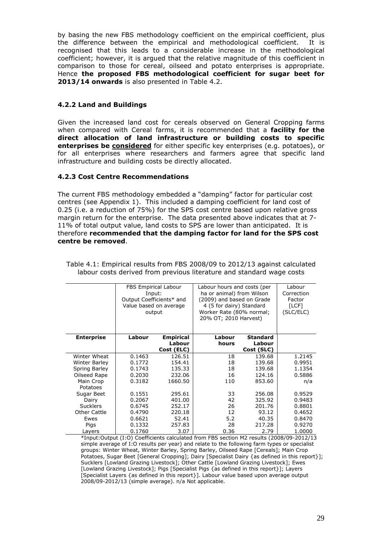by basing the new FBS methodology coefficient on the empirical coefficient, plus the difference between the empirical and methodological coefficient. It is recognised that this leads to a considerable increase in the methodological coefficient; however, it is argued that the relative magnitude of this coefficient in comparison to those for cereal, oilseed and potato enterprises is appropriate. Hence **the proposed FBS methodological coefficient for sugar beet for 2013/14 onwards** is also presented in Table 4.2.

## <span id="page-28-0"></span>**4.2.2 Land and Buildings**

Given the increased land cost for cereals observed on General Cropping farms when compared with Cereal farms, it is recommended that a **facility for the direct allocation of land infrastructure or building costs to specific enterprises be considered** for either specific key enterprises (e.g. potatoes), or for all enterprises where researchers and farmers agree that specific land infrastructure and building costs be directly allocated.

#### <span id="page-28-1"></span>**4.2.3 Cost Centre Recommendations**

The current FBS methodology embedded a "damping" factor for particular cost centres (see Appendix 1). This included a damping coefficient for land cost of 0.25 (i.e. a reduction of 75%) for the SPS cost centre based upon relative gross margin return for the enterprise. The data presented above indicates that at 7- 11% of total output value, land costs to SPS are lower than anticipated. It is therefore **recommended that the damping factor for land for the SPS cost centre be removed**.

|                   | Input:<br>Value based on average | <b>FBS Empirical Labour</b><br>Output Coefficients* and<br>output | Labour hours and costs (per<br>ha or animal) from Wilson<br>(2009) and based on Grade<br>4 (5 for dairy) Standard<br>Worker Rate (80% normal;<br>20% OT; 2010 Harvest) | Labour<br>Correction<br>Factor<br>[LCF]<br>(SLC/ELC) |        |
|-------------------|----------------------------------|-------------------------------------------------------------------|------------------------------------------------------------------------------------------------------------------------------------------------------------------------|------------------------------------------------------|--------|
| <b>Enterprise</b> | Labour                           | <b>Empirical</b>                                                  | Labour                                                                                                                                                                 | <b>Standard</b>                                      |        |
|                   |                                  | Labour<br>Cost (ELC)                                              | hours                                                                                                                                                                  | Labour<br>Cost (SLC)                                 |        |
| Winter Wheat      | 0.1463                           | 126.51                                                            | 18                                                                                                                                                                     | 139.68                                               | 1.2145 |
| Winter Barley     | 0.1772                           | 154.41                                                            | 18                                                                                                                                                                     | 139.68                                               | 0.9951 |
| Spring Barley     | 0.1743                           | 135.33                                                            | 18                                                                                                                                                                     | 139.68                                               | 1.1354 |
| Oilseed Rape      | 0.2030                           | 232.06                                                            | 16                                                                                                                                                                     | 124.16                                               | 0.5886 |
| Main Crop         | 0.3182                           | 1660.50                                                           | 110                                                                                                                                                                    | 853.60                                               | n/a    |
| Potatoes          |                                  |                                                                   |                                                                                                                                                                        |                                                      |        |
| Sugar Beet        | 0.1551                           | 295.61                                                            | 33                                                                                                                                                                     | 256.08                                               | 0.9529 |
| Dairy             | 0.2067                           | 401.00                                                            | 42                                                                                                                                                                     | 325.92                                               | 0.9483 |
| <b>Sucklers</b>   | 0.6745                           | 252.17                                                            | 26                                                                                                                                                                     | 201.76                                               | 0.8801 |
| Other Cattle      | 0.4790                           | 220.18                                                            | 12                                                                                                                                                                     | 93.12                                                | 0.4652 |
| Ewes              | 0.6621                           | 52.41                                                             | 5.2                                                                                                                                                                    | 40.35                                                | 0.8470 |
| Pigs              | 0.1332                           | 257.83                                                            | 28                                                                                                                                                                     | 217.28                                               | 0.9270 |
| Layers            | 0.1760                           | 3.07                                                              | 0.36                                                                                                                                                                   | 1.0000                                               |        |

Table 4.1: Empirical results from FBS 2008/09 to 2012/13 against calculated labour costs derived from previous literature and standard wage costs

\*Input:Output (I:O) Coefficients calculated from FBS section M2 results (2008/09-2012/13 simple average of I:O results per year) and relate to the following farm types or specialist groups: Winter Wheat, Winter Barley, Spring Barley, Oilseed Rape [Cereals]; Main Crop Potatoes, Sugar Beet [General Cropping]; Dairy [Specialist Dairy {as defined in this report}]; Sucklers [Lowland Grazing Livestock]; Other Cattle [Lowland Grazing Livestock]; Ewes [Lowland Grazing Livestock]; Pigs [Specialist Pigs {as defined in this report}]; Layers [Specialist Layers {as defined in this report}]. Labour value based upon average output 2008/09-2012/13 (simple average). n/a Not applicable.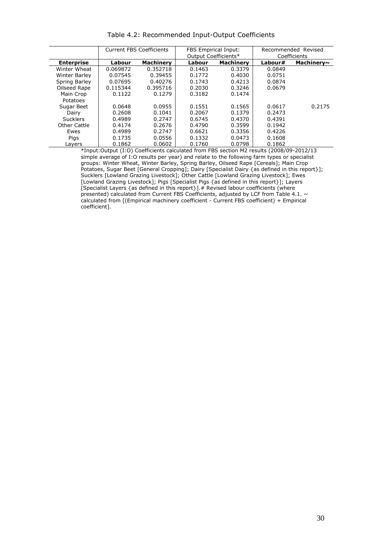|                      |          | <b>Current FBS Coefficients</b> | <b>FBS Empirical Input:</b> |                  |         | Recommended Revised |
|----------------------|----------|---------------------------------|-----------------------------|------------------|---------|---------------------|
|                      |          |                                 | Output Coefficients*        |                  |         | Coefficients        |
| <b>Enterprise</b>    | Labour   | <b>Machinery</b>                | Labour                      | <b>Machinery</b> | Labour# | Machinery~          |
| Winter Wheat         | 0.069872 | 0.352718                        | 0.1463                      | 0.3379           | 0.0849  |                     |
| <b>Winter Barley</b> | 0.07545  | 0.39455                         | 0.1772                      | 0.4030           | 0.0751  |                     |
| Spring Barley        | 0.07695  | 0.40276                         | 0.1743                      | 0.4213           | 0.0874  |                     |
| Oilseed Rape         | 0.115344 | 0.395716                        | 0.2030                      | 0.3246           | 0.0679  |                     |
| Main Crop            | 0.1122   | 0.1279                          | 0.3182                      | 0.1474           |         |                     |
| Potatoes             |          |                                 |                             |                  |         |                     |
| Sugar Beet           | 0.0648   | 0.0955                          | 0.1551                      | 0.1565           | 0.0617  | 0.2175              |
| Dairy                | 0.2608   | 0.1041                          | 0.2067                      | 0.1379           | 0.2473  |                     |
| <b>Sucklers</b>      | 0.4989   | 0.2747                          | 0.6745                      | 0.4370           | 0.4391  |                     |
| Other Cattle         | 0.4174   | 0.2676                          | 0.4790                      | 0.3599           | 0.1942  |                     |
| Ewes                 | 0.4989   | 0.2747                          | 0.6621                      | 0.3356           | 0.4226  |                     |
| Pigs                 | 0.1735   | 0.0556                          | 0.1332                      | 0.0473           | 0.1608  |                     |
| Lavers               | 0.1862   | 0.0602                          | 0.1760                      | 0.0798           | 0.1862  |                     |

Table 4.2: Recommended Input-Output Coefficients

\*Input:Output (I:O) Coefficients calculated from FBS section M2 results (2008/09-2012/13 simple average of I:O results per year) and relate to the following farm types or specialist groups: Winter Wheat, Winter Barley, Spring Barley, Oilseed Rape [Cereals]; Main Crop Potatoes, Sugar Beet [General Cropping]; Dairy [Specialist Dairy {as defined in this report}]; Sucklers [Lowland Grazing Livestock]; Other Cattle [Lowland Grazing Livestock]; Ewes [Lowland Grazing Livestock]; Pigs [Specialist Pigs {as defined in this report}]; Layers [Specialist Layers {as defined in this report}].# Revised labour coefficients (where presented) calculated from Current FBS Coefficients, adjusted by LCF from Table 4.1. ~ calculated from [(Empirical machinery coefficient - Current FBS coefficient) + Empirical coefficient].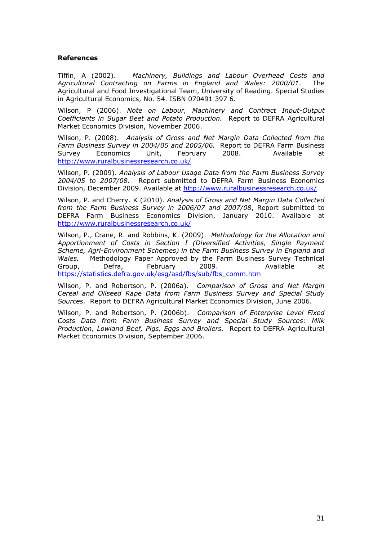#### <span id="page-30-0"></span>**References**

Tiffin, A (2002). *Machinery, Buildings and Labour Overhead Costs and Agricultural Contracting on Farms in England and Wales: 2000/01*. The Agricultural and Food Investigational Team, University of Reading. Special Studies in Agricultural Economics, No. 54. ISBN 070491 397 6.

Wilson, P (2006). *Note on Labour, Machinery and Contract Input-Output Coefficients in Sugar Beet and Potato Production.* Report to DEFRA Agricultural Market Economics Division, November 2006.

Wilson, P. (2008). *Analysis of Gross and Net Margin Data Collected from the Farm Business Survey in 2004/05 and 2005/06.* Report to DEFRA Farm Business Survey Economics Unit, February 2008. Available at <http://www.ruralbusinessresearch.co.uk/>

Wilson, P. (2009). *Analysis of Labour Usage Data from the Farm Business Survey 2004/05 to 2007/08.* Report submitted to DEFRA Farm Business Economics Division, December 2009. Available at <http://www.ruralbusinessresearch.co.uk/>

Wilson, P. and Cherry. K (2010). *Analysis of Gross and Net Margin Data Collected from the Farm Business Survey in 2006/07 and 2007/08*, Report submitted to DEFRA Farm Business Economics Division, January 2010. Available at <http://www.ruralbusinessresearch.co.uk/>

Wilson, P., Crane, R. and Robbins, K. (2009). *Methodology for the Allocation and Apportionment of Costs in Section I (Diversified Activities, Single Payment Scheme, Agri-Environment Schemes) in the Farm Business Survey in England and Wales.* Methodology Paper Approved by the Farm Business Survey Technical Group, Defra, February 2009. Available at [https://statistics.defra.gov.uk/esg/asd/fbs/sub/fbs\\_comm.htm](https://statistics.defra.gov.uk/esg/asd/fbs/sub/fbs_comm.htm)

Wilson, P. and Robertson, P. (2006a). *Comparison of Gross and Net Margin Cereal and Oilseed Rape Data from Farm Business Survey and Special Study Sources.* Report to DEFRA Agricultural Market Economics Division, June 2006.

Wilson, P. and Robertson, P. (2006b). *Comparison of Enterprise Level Fixed Costs Data from Farm Business Survey and Special Study Sources: Milk Production, Lowland Beef, Pigs, Eggs and Broilers.* Report to DEFRA Agricultural Market Economics Division, September 2006.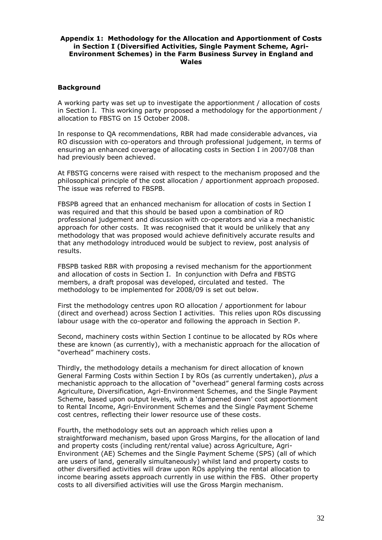#### <span id="page-31-0"></span>**Appendix 1: Methodology for the Allocation and Apportionment of Costs in Section I (Diversified Activities, Single Payment Scheme, Agri-Environment Schemes) in the Farm Business Survey in England and Wales**

#### **Background**

A working party was set up to investigate the apportionment / allocation of costs in Section I. This working party proposed a methodology for the apportionment / allocation to FBSTG on 15 October 2008.

In response to QA recommendations, RBR had made considerable advances, via RO discussion with co-operators and through professional judgement, in terms of ensuring an enhanced coverage of allocating costs in Section I in 2007/08 than had previously been achieved.

At FBSTG concerns were raised with respect to the mechanism proposed and the philosophical principle of the cost allocation / apportionment approach proposed. The issue was referred to FBSPB.

FBSPB agreed that an enhanced mechanism for allocation of costs in Section I was required and that this should be based upon a combination of RO professional judgement and discussion with co-operators and via a mechanistic approach for other costs. It was recognised that it would be unlikely that any methodology that was proposed would achieve definitively accurate results and that any methodology introduced would be subject to review, post analysis of results.

FBSPB tasked RBR with proposing a revised mechanism for the apportionment and allocation of costs in Section I. In conjunction with Defra and FBSTG members, a draft proposal was developed, circulated and tested. The methodology to be implemented for 2008/09 is set out below.

First the methodology centres upon RO allocation / apportionment for labour (direct and overhead) across Section I activities. This relies upon ROs discussing labour usage with the co-operator and following the approach in Section P.

Second, machinery costs within Section I continue to be allocated by ROs where these are known (as currently), with a mechanistic approach for the allocation of "overhead" machinery costs.

Thirdly, the methodology details a mechanism for direct allocation of known General Farming Costs within Section I by ROs (as currently undertaken), *plus* a mechanistic approach to the allocation of "overhead" general farming costs across Agriculture, Diversification, Agri-Environment Schemes, and the Single Payment Scheme, based upon output levels, with a 'dampened down' cost apportionment to Rental Income, Agri-Environment Schemes and the Single Payment Scheme cost centres, reflecting their lower resource use of these costs.

Fourth, the methodology sets out an approach which relies upon a straightforward mechanism, based upon Gross Margins, for the allocation of land and property costs (including rent/rental value) across Agriculture, Agri-Environment (AE) Schemes and the Single Payment Scheme (SPS) (all of which are users of land, generally simultaneously) whilst land and property costs to other diversified activities will draw upon ROs applying the rental allocation to income bearing assets approach currently in use within the FBS. Other property costs to all diversified activities will use the Gross Margin mechanism.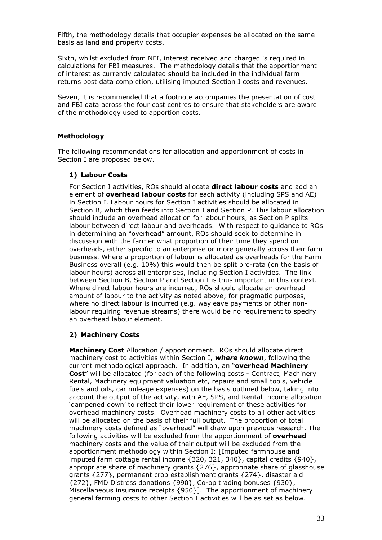Fifth, the methodology details that occupier expenses be allocated on the same basis as land and property costs.

Sixth, whilst excluded from NFI, interest received and charged is required in calculations for FBI measures. The methodology details that the apportionment of interest as currently calculated should be included in the individual farm returns post data completion, utilising imputed Section J costs and revenues.

Seven, it is recommended that a footnote accompanies the presentation of cost and FBI data across the four cost centres to ensure that stakeholders are aware of the methodology used to apportion costs.

#### **Methodology**

The following recommendations for allocation and apportionment of costs in Section I are proposed below.

#### **1) Labour Costs**

For Section I activities, ROs should allocate **direct labour costs** and add an element of **overhead labour costs** for each activity (including SPS and AE) in Section I. Labour hours for Section I activities should be allocated in Section B, which then feeds into Section I and Section P. This labour allocation should include an overhead allocation for labour hours, as Section P splits labour between direct labour and overheads. With respect to guidance to ROs in determining an "overhead" amount, ROs should seek to determine in discussion with the farmer what proportion of their time they spend on overheads, either specific to an enterprise or more generally across their farm business. Where a proportion of labour is allocated as overheads for the Farm Business overall (e.g. 10%) this would then be split pro-rata (on the basis of labour hours) across all enterprises, including Section I activities. The link between Section B, Section P and Section I is thus important in this context. Where direct labour hours are incurred, ROs should allocate an overhead amount of labour to the activity as noted above; for pragmatic purposes, where no direct labour is incurred (e.g. wayleave payments or other nonlabour requiring revenue streams) there would be no requirement to specify an overhead labour element.

## **2) Machinery Costs**

**Machinery Cost** Allocation / apportionment. ROs should allocate direct machinery cost to activities within Section I, *where known*, following the current methodological approach. In addition, an "**overhead Machinery Cost**" will be allocated (for each of the following costs - Contract, Machinery Rental, Machinery equipment valuation etc, repairs and small tools, vehicle fuels and oils, car mileage expenses) on the basis outlined below, taking into account the output of the activity, with AE, SPS, and Rental Income allocation 'dampened down' to reflect their lower requirement of these activities for overhead machinery costs. Overhead machinery costs to all other activities will be allocated on the basis of their full output. The proportion of total machinery costs defined as "overhead" will draw upon previous research. The following activities will be excluded from the apportionment of **overhead** machinery costs and the value of their output will be excluded from the apportionment methodology within Section I: [Imputed farmhouse and imputed farm cottage rental income {320, 321, 340}, capital credits {940}, appropriate share of machinery grants {276}, appropriate share of glasshouse grants {277}, permanent crop establishment grants {274}, disaster aid {272}, FMD Distress donations {990}, Co-op trading bonuses {930}, Miscellaneous insurance receipts {950}]. The apportionment of machinery general farming costs to other Section I activities will be as set as below.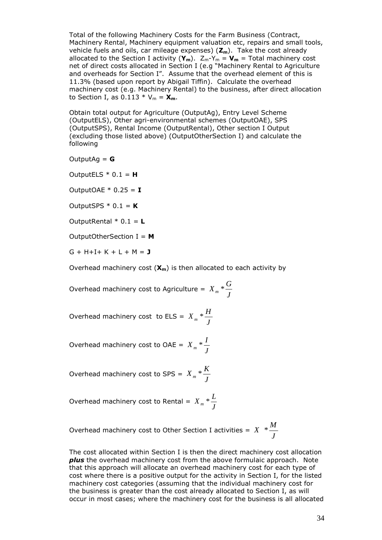Total of the following Machinery Costs for the Farm Business (Contract, Machinery Rental, Machinery equipment valuation etc, repairs and small tools, vehicle fuels and oils, car mileage expenses) (**Zm**). Take the cost already allocated to the Section I activity  $(Y_m)$ .  $Z_m-Y_m = V_m = \text{Total machinery cost}$ net of direct costs allocated in Section I (e.g "Machinery Rental to Agriculture and overheads for Section I". Assume that the overhead element of this is 11.3% (based upon report by Abigail Tiffin). Calculate the overhead machinery cost (e.g. Machinery Rental) to the business, after direct allocation to Section I, as  $0.113 * V_m = X_m$ .

Obtain total output for Agriculture (OutputAg), Entry Level Scheme (OutputELS), Other agri-environmental schemes (OutputOAE), SPS (OutputSPS), Rental Income (OutputRental), Other section I Output (excluding those listed above) (OutputOtherSection I) and calculate the following

OutputAg = **G**

OutputELS  $*$  0.1 = **H** 

OutputOAE  $*$  0.25 = **I** 

OutputSPS  $*$  0.1 = **K** 

OutputRental \* 0.1 = **L**

OutputOtherSection I = **M**

 $G + H + I + K + L + M = J$ 

Overhead machinery cost (**Xm**) is then allocated to each activity by

Overhead machinery cost to Agriculture =  $X_m * \frac{Z_m}{J}$  $X_m * \frac{G}{I}$ 

Overhead machinery cost to ELS =  $\lambda$ *J*  $X_m * \frac{H}{I}$ 

Overhead machinery cost to OAE =  $\chi$ *J*  $X_m * \frac{I}{I}$ 

Overhead machinery cost to SPS =  $X_m * \frac{1}{J}$  $X_m * \frac{K}{I}$ 

Overhead machinery cost to Rental =  $X$ *J*  $X_m * L$ 

Overhead machinery cost to Other Section I activities =  $X \times \frac{1}{J}$  $X \times \frac{M}{A}$ 

The cost allocated within Section I is then the direct machinery cost allocation *plus* the overhead machinery cost from the above formulaic approach. Note that this approach will allocate an overhead machinery cost for each type of cost where there is a positive output for the activity in Section I, for the listed machinery cost categories (assuming that the individual machinery cost for the business is greater than the cost already allocated to Section I, as will occur in most cases; where the machinery cost for the business is all allocated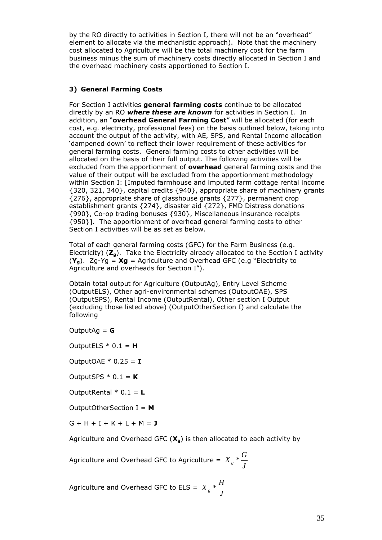by the RO directly to activities in Section I, there will not be an "overhead" element to allocate via the mechanistic approach). Note that the machinery cost allocated to Agriculture will be the total machinery cost for the farm business minus the sum of machinery costs directly allocated in Section I and the overhead machinery costs apportioned to Section I.

## **3) General Farming Costs**

For Section I activities **general farming costs** continue to be allocated directly by an RO *where these are known* for activities in Section I. In addition, an "**overhead General Farming Cost**" will be allocated (for each cost, e.g. electricity, professional fees) on the basis outlined below, taking into account the output of the activity, with AE, SPS, and Rental Income allocation 'dampened down' to reflect their lower requirement of these activities for general farming costs. General farming costs to other activities will be allocated on the basis of their full output. The following activities will be excluded from the apportionment of **overhead** general farming costs and the value of their output will be excluded from the apportionment methodology within Section I: [Imputed farmhouse and imputed farm cottage rental income {320, 321, 340}, capital credits {940}, appropriate share of machinery grants {276}, appropriate share of glasshouse grants {277}, permanent crop establishment grants {274}, disaster aid {272}, FMD Distress donations {990}, Co-op trading bonuses {930}, Miscellaneous insurance receipts {950}]. The apportionment of overhead general farming costs to other Section I activities will be as set as below.

Total of each general farming costs (GFC) for the Farm Business (e.g. Electricity) (**Zg**). Take the Electricity already allocated to the Section I activity (**Yg**). Zg-Yg = **Xg** = Agriculture and Overhead GFC (e.g "Electricity to Agriculture and overheads for Section I").

Obtain total output for Agriculture (OutputAg), Entry Level Scheme (OutputELS), Other agri-environmental schemes (OutputOAE), SPS (OutputSPS), Rental Income (OutputRental), Other section I Output (excluding those listed above) (OutputOtherSection I) and calculate the following

OutputAg = **G**

OutputELS  $*$  0.1 = **H** 

OutputOAE  $*$  0.25 = **I** 

OutputSPS  $*$  0.1 = **K** 

OutputRental \* 0.1 = **L**

OutputOtherSection I = **M**

 $G + H + I + K + L + M = J$ 

Agriculture and Overhead GFC (**Xg**) is then allocated to each activity by

Agriculture and Overhead GFC to Agriculture =  $X_{g}$   $\stackrel{*}{\rightarrow}$   $\stackrel{\sim}{J}$  $X_{g} * G$ 

Agriculture and Overhead GFC to ELS =  $X$ *J*  $X_g * \frac{H}{I}$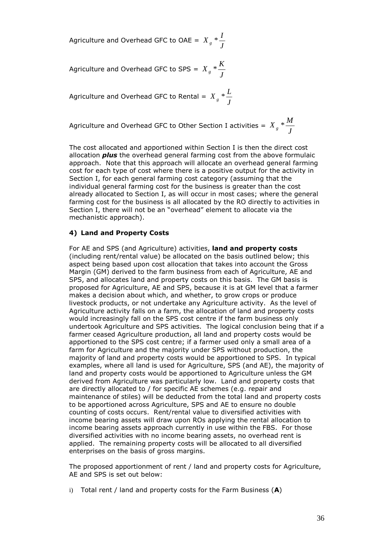Agriculture and Overhead GFC to OAE =  $X$ *J*  $X_{g}$   $*\frac{I}{I}$ 

Agriculture and Overhead GFC to SPS =  $X_{g} * \frac{1}{J}$  $X_{g}$   $*\frac{K}{I}$ 

Agriculture and Overhead GFC to Rental =  $X$ *J*  $X_{g}$   $*\frac{L}{L}$ 

Agriculture and Overhead GFC to Other Section I activities =  $X_{g}$   $\frac{2\pi}{J}$  $X_{g} * \frac{M}{I}$ 

The cost allocated and apportioned within Section I is then the direct cost allocation *plus* the overhead general farming cost from the above formulaic approach. Note that this approach will allocate an overhead general farming cost for each type of cost where there is a positive output for the activity in Section I, for each general farming cost category (assuming that the individual general farming cost for the business is greater than the cost already allocated to Section I, as will occur in most cases; where the general farming cost for the business is all allocated by the RO directly to activities in Section I, there will not be an "overhead" element to allocate via the mechanistic approach).

#### **4) Land and Property Costs**

For AE and SPS (and Agriculture) activities, **land and property costs** (including rent/rental value) be allocated on the basis outlined below; this aspect being based upon cost allocation that takes into account the Gross Margin (GM) derived to the farm business from each of Agriculture, AE and SPS, and allocates land and property costs on this basis. The GM basis is proposed for Agriculture, AE and SPS, because it is at GM level that a farmer makes a decision about which, and whether, to grow crops or produce livestock products, or not undertake any Agriculture activity. As the level of Agriculture activity falls on a farm, the allocation of land and property costs would increasingly fall on the SPS cost centre if the farm business only undertook Agriculture and SPS activities. The logical conclusion being that if a farmer ceased Agriculture production, all land and property costs would be apportioned to the SPS cost centre; if a farmer used only a small area of a farm for Agriculture and the majority under SPS without production, the majority of land and property costs would be apportioned to SPS. In typical examples, where all land is used for Agriculture, SPS (and AE), the majority of land and property costs would be apportioned to Agriculture unless the GM derived from Agriculture was particularly low. Land and property costs that are directly allocated to / for specific AE schemes (e.g. repair and maintenance of stiles) will be deducted from the total land and property costs to be apportioned across Agriculture, SPS and AE to ensure no double counting of costs occurs. Rent/rental value to diversified activities with income bearing assets will draw upon ROs applying the rental allocation to income bearing assets approach currently in use within the FBS. For those diversified activities with no income bearing assets, no overhead rent is applied. The remaining property costs will be allocated to all diversified enterprises on the basis of gross margins.

The proposed apportionment of rent / land and property costs for Agriculture, AE and SPS is set out below:

i) Total rent / land and property costs for the Farm Business (**A**)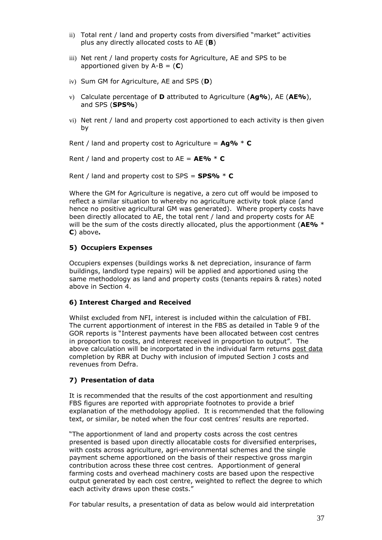- ii) Total rent / land and property costs from diversified "market" activities plus any directly allocated costs to AE (**B**)
- iii) Net rent / land property costs for Agriculture, AE and SPS to be apportioned given by A-B = (**C**)
- iv) Sum GM for Agriculture, AE and SPS (**D**)
- v) Calculate percentage of **D** attributed to Agriculture (**Ag%**), AE (**AE%**), and SPS (**SPS%**)
- vi) Net rent / land and property cost apportioned to each activity is then given by

Rent / land and property cost to Agriculture = **Ag%** \* **C**

Rent / land and property cost to AE = **AE%** \* **C**

Rent / land and property cost to SPS = **SPS%** \* **C**

Where the GM for Agriculture is negative, a zero cut off would be imposed to reflect a similar situation to whereby no agriculture activity took place (and hence no positive agricultural GM was generated). Where property costs have been directly allocated to AE, the total rent / land and property costs for AE will be the sum of the costs directly allocated, plus the apportionment (**AE%** \* **C**) above**.**

#### **5) Occupiers Expenses**

Occupiers expenses (buildings works & net depreciation, insurance of farm buildings, landlord type repairs) will be applied and apportioned using the same methodology as land and property costs (tenants repairs & rates) noted above in Section 4.

#### **6) Interest Charged and Received**

Whilst excluded from NFI, interest is included within the calculation of FBI. The current apportionment of interest in the FBS as detailed in Table 9 of the GOR reports is "Interest payments have been allocated between cost centres in proportion to costs, and interest received in proportion to output". The above calculation will be incorportated in the individual farm returns post data completion by RBR at Duchy with inclusion of imputed Section J costs and revenues from Defra.

## **7) Presentation of data**

It is recommended that the results of the cost apportionment and resulting FBS figures are reported with appropriate footnotes to provide a brief explanation of the methodology applied. It is recommended that the following text, or similar, be noted when the four cost centres' results are reported.

"The apportionment of land and property costs across the cost centres presented is based upon directly allocatable costs for diversified enterprises, with costs across agriculture, agri-environmental schemes and the single payment scheme apportioned on the basis of their respective gross margin contribution across these three cost centres. Apportionment of general farming costs and overhead machinery costs are based upon the respective output generated by each cost centre, weighted to reflect the degree to which each activity draws upon these costs."

For tabular results, a presentation of data as below would aid interpretation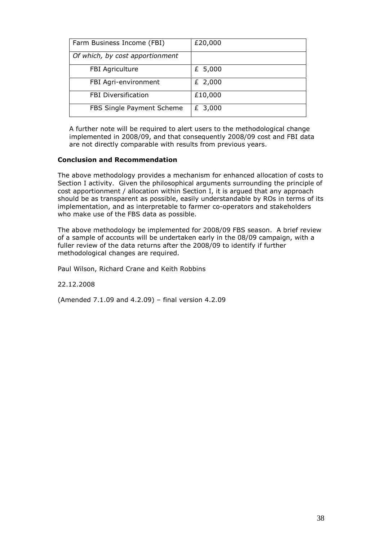| Farm Business Income (FBI)      | £20,000 |
|---------------------------------|---------|
| Of which, by cost apportionment |         |
| <b>FBI Agriculture</b>          | £ 5,000 |
| FBI Agri-environment            | £ 2,000 |
| <b>FBI Diversification</b>      | £10,000 |
| FBS Single Payment Scheme       | £ 3,000 |

A further note will be required to alert users to the methodological change implemented in 2008/09, and that consequently 2008/09 cost and FBI data are not directly comparable with results from previous years.

#### **Conclusion and Recommendation**

The above methodology provides a mechanism for enhanced allocation of costs to Section I activity. Given the philosophical arguments surrounding the principle of cost apportionment / allocation within Section I, it is argued that any approach should be as transparent as possible, easily understandable by ROs in terms of its implementation, and as interpretable to farmer co-operators and stakeholders who make use of the FBS data as possible.

The above methodology be implemented for 2008/09 FBS season. A brief review of a sample of accounts will be undertaken early in the 08/09 campaign, with a fuller review of the data returns after the 2008/09 to identify if further methodological changes are required.

Paul Wilson, Richard Crane and Keith Robbins

22.12.2008

(Amended 7.1.09 and 4.2.09) – final version 4.2.09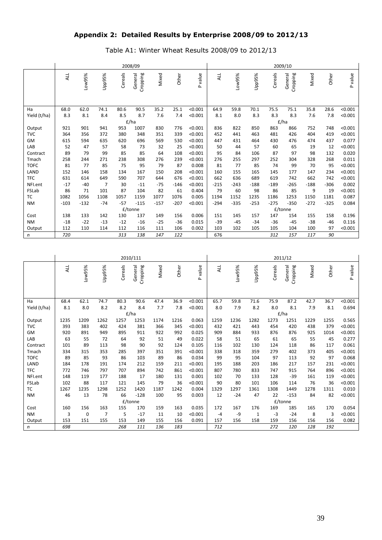# <span id="page-38-0"></span>**Appendix 2: Detailed Results by Enterprise 2008/09 to 2012/13**

|              |        |        |        |         | 2008/09             |        |        |         |        |        |        |         | 2009/10             |        |        |         |
|--------------|--------|--------|--------|---------|---------------------|--------|--------|---------|--------|--------|--------|---------|---------------------|--------|--------|---------|
|              | ALL    | Low95% | Upp95% | Cereals | General<br>Cropping | Mixed  | Other  | P value | ALL    | Low95% | Upp95% | Cereals | General<br>Cropping | Mixed  | Other  | P value |
| Ha           | 68.0   | 62.0   | 74.1   | 80.6    | 90.5                | 35.2   | 25.1   | < 0.001 | 64.9   | 59.8   | 70.1   | 75.5    | 75.1                | 35.8   | 28.6   | < 0.001 |
| Yield (t/ha) | 8.3    | 8.1    | 8.4    | 8.5     | 8.7                 | 7.6    | 7.4    | < 0.001 | 8.1    | 8.0    | 8.3    | 8.3     | 8.3                 | 7.6    | 7.8    | < 0.001 |
|              |        |        |        |         | E/ha                |        |        |         |        |        |        |         | E/ha                |        |        |         |
| Output       | 921    | 901    | 941    | 953     | 1007                | 830    | 776    | < 0.001 | 836    | 822    | 850    | 863     | 866                 | 752    | 748    | < 0.001 |
| <b>TVC</b>   | 364    | 356    | 372    | 380     | 348                 | 351    | 339    | < 0.001 | 452    | 441    | 463    | 481     | 426                 | 404    | 419    | < 0.001 |
| <b>GM</b>    | 615    | 594    | 635    | 620     | 696                 | 569    | 530    | < 0.001 | 447    | 431    | 464    | 430     | 476                 | 474    | 437    | 0.077   |
| LAB          | 52     | 47     | 57     | 58      | 73                  | 32     | 25     | < 0.001 | 50     | 44     | 57     | 60      | 65                  | 19     | 12     | < 0.001 |
| Contract     | 89     | 79     | 99     | 85      | 85                  | 64     | 108    | < 0.001 | 95     | 84     | 106    | 87      | 97                  | 98     | 132    | 0.020   |
| Tmach        | 258    | 244    | 271    | 238     | 308                 | 276    | 239    | < 0.001 | 276    | 255    | 297    | 252     | 304                 | 328    | 268    | 0.011   |
| <b>TOFC</b>  | 81     | 77     | 85     | 75      | 95                  | 79     | 87     | 0.008   | 81     | 77     | 85     | 74      | 99                  | 70     | 95     | < 0.001 |
| LAND         | 152    | 146    | 158    | 134     | 167                 | 150    | 208    | < 0.001 | 160    | 155    | 165    | 145     | 177                 | 147    | 234    | < 0.001 |
| <b>TFC</b>   | 631    | 614    | 649    | 590     | 707                 | 644    | 676    | < 0.001 | 662    | 636    | 689    | 619     | 742                 | 662    | 742    | < 0.001 |
| NFI.ent      | $-17$  | $-40$  | 7      | 30      | $-11$               | $-75$  | $-146$ | < 0.001 | $-215$ | $-243$ | $-188$ | $-189$  | $-265$              | $-188$ | $-306$ | 0.002   |
| FSLab        | 86     | 71     | 101    | 87      | 104                 | 82     | 61     | 0.404   | 79     | 60     | 98     | 86      | 85                  | 9      | 19     | < 0.001 |
| TC           | 1082   | 1056   | 1108   | 1057    | 1159                | 1077   | 1076   | 0.005   | 1194   | 1152   | 1235   | 1186    | 1253                | 1150   | 1181   | 0.087   |
| <b>NM</b>    | $-103$ | $-132$ | $-74$  | $-57$   | $-115$              | $-157$ | $-207$ | < 0.001 | $-294$ | $-335$ | $-253$ | $-275$  | $-350$              | $-272$ | $-325$ | 0.084   |
|              |        |        |        |         | £/tonne             |        |        |         |        |        |        |         | £/tonne             |        |        |         |
| Cost         | 138    | 133    | 142    | 130     | 137                 | 149    | 156    | 0.006   | 151    | 145    | 157    | 147     | 154                 | 155    | 158    | 0.196   |
| <b>NM</b>    | $-18$  | $-22$  | $-13$  | $-12$   | $-16$               | $-25$  | $-36$  | 0.015   | $-39$  | $-45$  | $-34$  | $-36$   | $-45$               | $-38$  | $-46$  | 0.116   |
| Output       | 112    | 110    | 114    | 112     | 116                 | 111    | 106    | 0.002   | 103    | 102    | 105    | 105     | 104                 | 100    | 97     | < 0.001 |
| $\mathsf{n}$ | 720    |        |        | 313     | 138                 | 147    | 122    |         | 676    |        |        | 312     | 157                 | 117    | 90     |         |

Table A1: Winter Wheat Results 2008/09 to 2012/13

|              | 2010/111<br>2011/12 |             |        |         |                     |       |       |                 |            |        |              |         |                     |       |       |         |
|--------------|---------------------|-------------|--------|---------|---------------------|-------|-------|-----------------|------------|--------|--------------|---------|---------------------|-------|-------|---------|
|              | ALL                 | Low95%      | Upp95% | Cereals | General<br>Cropping | Mixed | Other | value<br>$\sim$ | <b>ALL</b> | Low95% | Upp95%       | Cereals | Cropping<br>General | Mixed | Other | P value |
|              |                     |             |        |         |                     |       |       |                 |            |        |              |         |                     |       |       |         |
| Ha           | 68.4                | 62.1        | 74.7   | 80.3    | 90.6                | 47.4  | 36.9  | < 0.001         | 65.7       | 59.8   | 71.6         | 75.9    | 87.2                | 42.7  | 36.7  | < 0.001 |
| Yield (t/ha) | 8.1                 | 8.0         | 8.2    | 8.2     | 8.4                 | 7.7   | 7.8   | < 0.001         | 8.0        | 7.9    | 8.2          | 8.0     | 8.1                 | 7.9   | 8.1   | 0.694   |
|              |                     |             |        |         | E/ha                |       |       |                 |            |        |              |         | £/ha                |       |       |         |
| Output       | 1235                | 1209        | 1262   | 1257    | 1253                | 1174  | 1216  | 0.063           | 1259       | 1236   | 1282         | 1273    | 1251                | 1229  | 1255  | 0.565   |
| <b>TVC</b>   | 393                 | 383         | 402    | 424     | 381                 | 366   | 345   | < 0.001         | 432        | 421    | 443          | 454     | 420                 | 438   | 379   | < 0.001 |
| GM           | 920                 | 891         | 949    | 895     | 911                 | 922   | 992   | 0.025           | 909        | 884    | 933          | 876     | 876                 | 925   | 1014  | < 0.001 |
| LAB          | 63                  | 55          | 72     | 64      | 92                  | 51    | 49    | 0.022           | 58         | 51     | 65           | 61      | 65                  | 55    | 45    | 0.277   |
| Contract     | 101                 | 89          | 113    | 98      | 90                  | 92    | 124   | 0.105           | 116        | 102    | 130          | 124     | 118                 | 86    | 117   | 0.061   |
| Tmach        | 334                 | 315         | 353    | 285     | 397                 | 351   | 391   | < 0.001         | 338        | 318    | 359          | 279     | 402                 | 373   | 405   | < 0.001 |
| <b>TOFC</b>  | 89                  | 85          | 93     | 86      | 103                 | 89    | 86    | 0.034           | 99         | 95     | 104          | 97      | 113                 | 92    | 97    | 0.068   |
| LAND         | 184                 | 178         | 191    | 174     | 212                 | 159   | 211   | < 0.001         | 195        | 188    | 203          | 186     | 217                 | 157   | 231   | < 0.001 |
| <b>TFC</b>   | 772                 | 746         | 797    | 707     | 894                 | 742   | 861   | < 0.001         | 807        | 780    | 833          | 747     | 915                 | 764   | 896   | < 0.001 |
| NFI.ent      | 148                 | 119         | 177    | 188     | 17                  | 180   | 131   | 0.001           | 102        | 70     | 133          | 128     | $-39$               | 161   | 119   | < 0.001 |
| FSLab        | 102                 | 88          | 117    | 121     | 145                 | 79    | 36    | < 0.001         | 90         | 80     | 101          | 106     | 114                 | 76    | 36    | < 0.001 |
| <b>TC</b>    | 1267                | 1235        | 1298   | 1252    | 1420                | 1187  | 1242  | 0.004           | 1329       | 1297   | 1361         | 1308    | 1449                | 1278  | 1311  | 0.010   |
| <b>NM</b>    | 46                  | 13          | 78     | 66      | $-128$              | 100   | 95    | 0.003           | 12         | $-24$  | 47           | 22      | $-153$              | 84    | 82    | < 0.001 |
|              |                     |             |        |         | £/tonne             |       |       |                 |            |        |              |         | £/tonne             |       |       |         |
| Cost         | 160                 | 156         | 163    | 155     | 170                 | 159   | 163   | 0.035           | 172        | 167    | 176          | 169     | 185                 | 165   | 170   | 0.054   |
| <b>NM</b>    | 3                   | $\mathbf 0$ | 7      | 5       | $-17$               | 11    | 10    | < 0.001         | $-4$       | -9     | $\mathbf{1}$ | $-3$    | $-24$               | 8     | 3     | < 0.001 |
| Output       | 153                 | 151         | 155    | 153     | 149                 | 155   | 156   | 0.091           | 157        | 156    | 158          | 159     | 156                 | 156   | 156   | 0.082   |
| n            | 698                 |             |        | 268     | 111                 | 136   | 183   |                 | 712        |        |              | 272     | 120                 | 128   | 192   |         |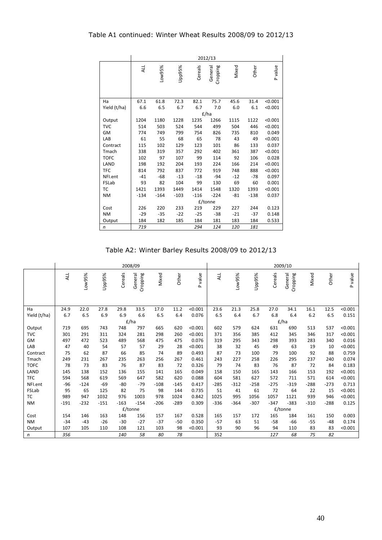|              |        |        |        |         | 2012/13             |       |        |         |
|--------------|--------|--------|--------|---------|---------------------|-------|--------|---------|
|              | ALL    | Low95% | Upp95% | Cereals | Cropping<br>General | Mixed | Other  | P value |
| Ha           | 67.1   | 61.8   | 72.3   | 82.1    | 75.7                | 45.6  | 31.4   | < 0.001 |
| Yield (t/ha) | 6.6    | 6.5    | 6.7    | 6.7     | 7.0                 | 6.0   | 6.1    | < 0.001 |
|              |        |        |        |         | E/ha                |       |        |         |
| Output       | 1204   | 1180   | 1228   | 1235    | 1266                | 1115  | 1122   | < 0.001 |
| <b>TVC</b>   | 514    | 503    | 524    | 544     | 499                 | 504   | 446    | < 0.001 |
| GM           | 774    | 749    | 799    | 754     | 826                 | 735   | 810    | 0.049   |
| LAB          | 61     | 55     | 68     | 65      | 78                  | 43    | 49     | < 0.001 |
| Contract     | 115    | 102    | 129    | 123     | 101                 | 86    | 133    | 0.037   |
| Tmach        | 338    | 319    | 357    | 292     | 402                 | 361   | 387    | < 0.001 |
| <b>TOFC</b>  | 102    | 97     | 107    | 99      | 114                 | 92    | 106    | 0.028   |
| LAND         | 198    | 192    | 204    | 193     | 224                 | 166   | 214    | < 0.001 |
| <b>TFC</b>   | 814    | 792    | 837    | 772     | 919                 | 748   | 888    | < 0.001 |
| NFI.ent      | $-41$  | $-68$  | $-13$  | $-18$   | $-94$               | $-12$ | $-78$  | 0.097   |
| FSLab        | 93     | 82     | 104    | 99      | 130                 | 69    | 60     | 0.001   |
| TC           | 1421   | 1393   | 1449   | 1414    | 1548                | 1320  | 1393   | < 0.001 |
| <b>NM</b>    | $-134$ | $-164$ | $-103$ | $-116$  | $-224$              | $-81$ | $-138$ | 0.037   |
|              |        |        |        |         | £/tonne             |       |        |         |
| Cost         | 226    | 220    | 233    | 219     | 229                 | 227   | 244    | 0.123   |
| <b>NM</b>    | $-29$  | $-35$  | $-22$  | $-25$   | $-38$               | $-21$ | $-37$  | 0.148   |
| Output       | 184    | 182    | 185    | 184     | 181                 | 183   | 184    | 0.533   |
| $\mathsf{n}$ | 719    |        |        | 294     | 124                 | 120   | 181    |         |

Table A2: Winter Barley Results 2008/09 to 2012/13

|              |        |        |        |         | 2008/09             |        |        |         |            |        |        |         | 2009/10             |        |        |         |
|--------------|--------|--------|--------|---------|---------------------|--------|--------|---------|------------|--------|--------|---------|---------------------|--------|--------|---------|
|              | ALL    | Low95% | Upp95% | Cereals | General<br>Cropping | Mixed  | Other  | P value | <b>ALL</b> | Low95% | Upp95% | Cereals | General<br>Cropping | Mixed  | Other  | P value |
| Ha           | 24.9   | 22.0   | 27.8   | 29.8    | 33.5                | 17.0   | 11.2   | < 0.001 | 23.6       | 21.3   | 25.8   | 27.0    | 34.1                | 16.1   | 12.5   | < 0.001 |
|              | 6.7    | 6.5    | 6.9    | 6.9     | 6.6                 | 6.5    | 6.4    | 0.076   | 6.5        | 6.4    | 6.7    | 6.8     | 6.4                 | $6.2$  | 6.5    | 0.151   |
| Yield (t/ha) |        |        |        |         | £/ha                |        |        |         |            |        |        |         | E/ha                |        |        |         |
| Output       | 719    | 695    | 743    | 748     | 797                 | 665    | 620    | < 0.001 | 602        | 579    | 624    | 631     | 690                 | 513    | 537    | < 0.001 |
| <b>TVC</b>   | 301    | 291    | 311    | 324     | 281                 | 298    | 260    | < 0.001 | 371        | 356    | 385    | 412     | 345                 | 346    | 317    | < 0.001 |
| GM           | 497    | 472    | 523    | 489     | 568                 | 475    | 475    | 0.076   | 319        | 295    | 343    | 298     | 393                 | 283    | 340    | 0.016   |
| LAB          | 47     | 40     | 54     | 57      | 57                  | 29     | 28     | < 0.001 | 38         | 32     | 45     | 49      | 63                  | 19     | 10     | < 0.001 |
| Contract     | 75     | 62     | 87     | 66      | 85                  | 74     | 89     | 0.493   | 87         | 73     | 100    | 79      | 100                 | 92     | 88     | 0.759   |
| Tmach        | 249    | 231    | 267    | 235     | 263                 | 256    | 267    | 0.461   | 243        | 227    | 258    | 226     | 295                 | 237    | 240    | 0.074   |
| <b>TOFC</b>  | 78     | 73     | 83     | 76      | 87                  | 83     | 72     | 0.326   | 79         | 74     | 83     | 76      | 87                  | 72     | 84     | 0.183   |
| LAND         | 145    | 138    | 152    | 136     | 155                 | 141    | 165    | 0.049   | 158        | 150    | 165    | 143     | 166                 | 153    | 192    | < 0.001 |
| <b>TFC</b>   | 594    | 568    | 619    | 569     | 647                 | 582    | 620    | 0.088   | 604        | 581    | 627    | 572     | 711                 | 571    | 614    | < 0.001 |
| NFI.ent      | $-96$  | $-124$ | $-69$  | $-80$   | $-79$               | $-108$ | $-145$ | 0.417   | $-285$     | $-312$ | $-258$ | $-275$  | $-319$              | $-288$ | $-273$ | 0.713   |
| FSLab        | 95     | 65     | 125    | 82      | 75                  | 98     | 144    | 0.735   | 51         | 41     | 61     | 72      | 64                  | 22     | 15     | < 0.001 |
| ТC           | 989    | 947    | 1032   | 976     | 1003                | 978    | 1024   | 0.842   | 1025       | 995    | 1056   | 1057    | 1121                | 939    | 946    | < 0.001 |
| <b>NM</b>    | $-191$ | $-232$ | $-151$ | $-163$  | $-154$              | $-206$ | $-289$ | 0.309   | $-336$     | $-364$ | $-307$ | $-347$  | $-383$              | $-310$ | $-288$ | 0.125   |
|              |        |        |        |         | £/tonne             |        |        |         |            |        |        |         | £/tonne             |        |        |         |
| Cost         | 154    | 146    | 163    | 148     | 156                 | 157    | 167    | 0.528   | 165        | 157    | 172    | 165     | 184                 | 161    | 150    | 0.003   |
| <b>NM</b>    | $-34$  | $-43$  | $-26$  | $-30$   | $-27$               | $-37$  | $-50$  | 0.350   | $-57$      | 63     | 51     | $-58$   | $-66$               | $-55$  | $-48$  | 0.174   |
| Output       | 107    | 105    | 110    | 108     | 121                 | 103    | 98     | < 0.001 | 93         | 90     | 96     | 94      | 110                 | 83     | 83     | < 0.001 |
| $\mathsf{n}$ | 356    |        |        | 140     | 58                  | 80     | 78     |         | 352        |        |        | 127     | 68                  | 75     | 82     |         |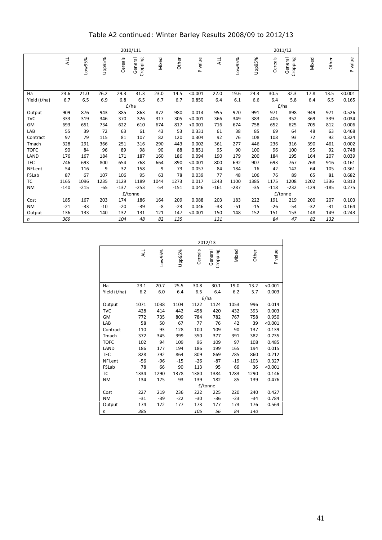| Table A2 continued: Winter Barley Results 2008/09 to 2012/13 |  |  |  |
|--------------------------------------------------------------|--|--|--|
|--------------------------------------------------------------|--|--|--|

|              |        |        |        |         | 2010/111            |       |        |         | 2011/12 |        |        |         |                     |        |        |         |
|--------------|--------|--------|--------|---------|---------------------|-------|--------|---------|---------|--------|--------|---------|---------------------|--------|--------|---------|
|              | ALL    | Low95% | Upp95% | Cereals | General<br>Cropping | Mixed | Other  | P value | ALL     | Low95% | Upp95% | Cereals | Cropping<br>General | Mixed  | Other  | P value |
|              |        |        |        |         |                     |       |        |         |         |        |        |         |                     |        |        |         |
| Ha           | 23.6   | 21.0   | 26.2   | 29.3    | 31.3                | 23.0  | 14.5   | < 0.001 | 22.0    | 19.6   | 24.3   | 30.5    | 32.3                | 17.8   | 13.5   | < 0.001 |
| Yield (t/ha) | 6.7    | 6.5    | 6.9    | 6.8     | 6.5                 | 6.7   | 6.7    | 0.850   | 6.4     | 6.1    | 6.6    | 6.4     | 5.8                 | 6.4    | 6.5    | 0.165   |
|              |        |        |        |         | E/ha                |       |        |         |         |        |        |         | E/ha                |        |        |         |
| Output       | 909    | 876    | 943    | 885     | 863                 | 872   | 980    | 0.014   | 955     | 920    | 991    | 971     | 898                 | 949    | 971    | 0.526   |
| <b>TVC</b>   | 333    | 319    | 346    | 370     | 326                 | 317   | 305    | < 0.001 | 366     | 349    | 383    | 406     | 352                 | 369    | 339    | 0.034   |
| GM           | 693    | 651    | 734    | 622     | 610                 | 674   | 817    | < 0.001 | 716     | 674    | 758    | 652     | 625                 | 705    | 812    | 0.006   |
| LAB          | 55     | 39     | 72     | 63      | 61                  | 43    | 53     | 0.331   | 61      | 38     | 85     | 69      | 64                  | 48     | 63     | 0.468   |
| Contract     | 97     | 79     | 115    | 81      | 107                 | 82    | 120    | 0.304   | 92      | 76     | 108    | 108     | 93                  | 72     | 92     | 0.324   |
| Tmach        | 328    | 291    | 366    | 251     | 316                 | 290   | 443    | 0.002   | 361     | 277    | 446    | 236     | 316                 | 390    | 461    | 0.002   |
| <b>TOFC</b>  | 90     | 84     | 96     | 89      | 98                  | 90    | 88     | 0.851   | 95      | 90     | 100    | 96      | 100                 | 95     | 92     | 0.748   |
| LAND         | 176    | 167    | 184    | 171     | 187                 | 160   | 186    | 0.094   | 190     | 179    | 200    | 184     | 195                 | 164    | 207    | 0.039   |
| <b>TFC</b>   | 746    | 693    | 800    | 654     | 768                 | 664   | 890    | < 0.001 | 800     | 692    | 907    | 693     | 767                 | 768    | 916    | 0.161   |
| NFI.ent      | $-54$  | $-116$ | 9      | $-32$   | $-158$              | 9     | $-73$  | 0.057   | $-84$   | $-184$ | 16     | $-42$   | $-142$              | $-64$  | $-105$ | 0.361   |
| FSLab        | 87     | 67     | 107    | 106     | 95                  | 63    | 78     | 0.039   | 77      | 48     | 106    | 76      | 89                  | 65     | 81     | 0.682   |
| TC           | 1165   | 1096   | 1235   | 1129    | 1189                | 1044  | 1273   | 0.017   | 1243    | 1100   | 1385   | 1175    | 1208                | 1202   | 1336   | 0.813   |
| <b>NM</b>    | $-140$ | $-215$ | $-65$  | $-137$  | $-253$              | $-54$ | $-151$ | 0.046   | $-161$  | $-287$ | $-35$  | $-118$  | $-232$              | $-129$ | $-185$ | 0.275   |
|              |        |        |        |         | £/tonne             |       |        |         |         |        |        |         | £/tonne             |        |        |         |
| Cost         | 185    | 167    | 203    | 174     | 186                 | 164   | 209    | 0.088   | 203     | 183    | 222    | 191     | 219                 | 200    | 207    | 0.103   |
| <b>NM</b>    | $-21$  | $-33$  | $-10$  | $-20$   | $-39$               | -8    | $-23$  | 0.046   | $-33$   | $-51$  | $-15$  | $-26$   | $-54$               | $-32$  | $-31$  | 0.164   |
| Output       | 136    | 133    | 140    | 132     | 131                 | 121   | 147    | < 0.001 | 150     | 148    | 152    | 151     | 153                 | 148    | 149    | 0.243   |
| $\mathsf{n}$ | 369    |        |        | 104     | 48                  | 82    | 135    |         | 131     |        |        | 84      | 47                  | 82     | 132    |         |

|              | 2012/13 |        |        |         |                     |       |        |         |  |  |  |  |
|--------------|---------|--------|--------|---------|---------------------|-------|--------|---------|--|--|--|--|
|              | ALL     | Low95% | Upp95% | Cereals | Cropping<br>General | Mixed | Other  | P value |  |  |  |  |
| Ha           | 23.1    | 20.7   | 25.5   | 30.8    | 30.1                | 19.0  | 13.2   | < 0.001 |  |  |  |  |
| Yield (t/ha) | 6.2     | 6.0    | 6.4    | 6.5     | 6.4                 | 6.2   | 5.7    | 0.003   |  |  |  |  |
|              |         |        |        |         | E/ha                |       |        |         |  |  |  |  |
| Output       | 1071    | 1038   | 1104   | 1122    | 1124                | 1053  | 996    | 0.014   |  |  |  |  |
| <b>TVC</b>   | 428     | 414    | 442    | 458     | 420                 | 432   | 393    | 0.003   |  |  |  |  |
| GM           | 772     | 735    | 809    | 784     | 782                 | 767   | 758    | 0.950   |  |  |  |  |
| LAB          | 58      | 50     | 67     | 77      | 76                  | 42    | 39     | < 0.001 |  |  |  |  |
| Contract     | 110     | 93     | 128    | 100     | 109                 | 90    | 137    | 0.139   |  |  |  |  |
| Tmach        | 372     | 345    | 399    | 350     | 377                 | 391   | 382    | 0.735   |  |  |  |  |
| <b>TOFC</b>  | 102     | 94     | 109    | 96      | 109                 | 97    | 108    | 0.485   |  |  |  |  |
| LAND         | 186     | 177    | 194    | 186     | 199                 | 165   | 194    | 0.015   |  |  |  |  |
| <b>TFC</b>   | 828     | 792    | 864    | 809     | 869                 | 785   | 860    | 0.212   |  |  |  |  |
| NFI.ent      | $-56$   | $-96$  | $-15$  | $-26$   | $-87$               | $-19$ | $-103$ | 0.327   |  |  |  |  |
| FSLab        | 78      | 66     | 90     | 113     | 95                  | 66    | 36     | < 0.001 |  |  |  |  |
| <b>TC</b>    | 1334    | 1290   | 1378   | 1380    | 1384                | 1283  | 1290   | 0.146   |  |  |  |  |
| <b>NM</b>    | $-134$  | $-175$ | -93    | $-139$  | $-182$              | $-85$ | $-139$ | 0.476   |  |  |  |  |
|              |         |        |        |         | £/tonne             |       |        |         |  |  |  |  |
| Cost         | 227     | 219    | 236    | 222     | 225                 | 220   | 240    | 0.427   |  |  |  |  |
| <b>NM</b>    | $-31$   | $-39$  | $-22$  | $-30$   | $-36$               | $-23$ | $-34$  | 0.784   |  |  |  |  |
| Output       | 174     | 172    | 177    | 173     | 177                 | 173   | 176    | 0.564   |  |  |  |  |
| n            | 385     |        |        | 105     | 56                  | 84    | 140    |         |  |  |  |  |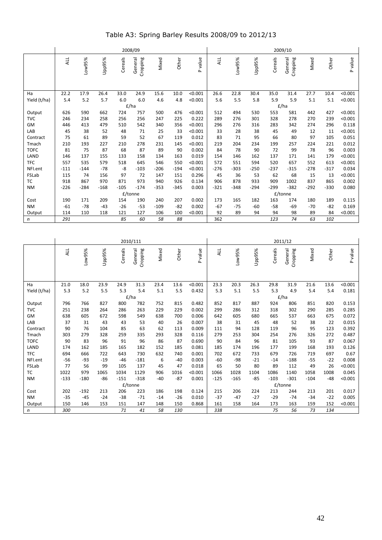| Table A3: Spring Barley Results 2008/09 to 2012/13 |  |  |  |
|----------------------------------------------------|--|--|--|
|----------------------------------------------------|--|--|--|

|              |         | 2008/09 |        |         |                     |        |        |                 |        | 2009/10 |        |         |                     |        |        |         |
|--------------|---------|---------|--------|---------|---------------------|--------|--------|-----------------|--------|---------|--------|---------|---------------------|--------|--------|---------|
|              | ALL     | Low95%  | Upp95% | Cereals | Cropping<br>General | Mixed  | Other  | value<br>$\sim$ | ALL    | Low95%  | Upp95% | Cereals | Cropping<br>General | Mixed  | Other  | P value |
| Ha           | 22.2    | 17.9    | 26.4   | 33.0    | 24.9                | 15.6   | 10.0   | < 0.001         | 26.6   | 22.8    | 30.4   | 35.0    | 31.4                | 27.7   | 10.4   | < 0.001 |
| Yield (t/ha) | 5.4     | 5.2     | 5.7    | 6.0     | 6.0                 | 4.6    | 4.8    | < 0.001         | 5.6    | 5.5     | 5.8    | 5.9     | 5.9                 | 5.1    | 5.1    | < 0.001 |
|              |         |         |        |         | £/ha                |        |        |                 |        |         |        |         | £/ha                |        |        |         |
| Output       | 626     | 590     | 662    | 724     | 757                 | 500    | 476    | < 0.001         | 512    | 494     | 530    | 553     | 581                 | 442    | 427    | < 0.001 |
| <b>TVC</b>   | 246     | 234     | 258    | 256     | 256                 | 247    | 225    | 0.222           | 289    | 276     | 301    | 328     | 278                 | 270    | 239    | < 0.001 |
| <b>GM</b>    | 446     | 413     | 479    | 510     | 542                 | 340    | 356    | < 0.001         | 296    | 276     | 316    | 283     | 342                 | 274    | 296    | 0.118   |
| LAB          | 45      | 38      | 52     | 48      | 71                  | 25     | 33     | < 0.001         | 33     | 28      | 38     | 45      | 49                  | 12     | 11     | < 0.001 |
| Contract     | 75      | 61      | 89     | 59      | 52                  | 67     | 119    | 0.012           | 83     | 71      | 95     | 66      | 80                  | 97     | 105    | 0.051   |
| Tmach        | 210     | 193     | 227    | 210     | 278                 | 231    | 145    | < 0.001         | 219    | 204     | 234    | 199     | 257                 | 224    | 221    | 0.012   |
| <b>TOFC</b>  | 81      | 75      | 87     | 68      | 87                  | 89     | 90     | 0.002           | 84     | 78      | 90     | 72      | 99                  | 78     | 96     | 0.003   |
| LAND         | 146     | 137     | 155    | 133     | 158                 | 134    | 163    | 0.019           | 154    | 146     | 162    | 137     | 171                 | 141    | 179    | < 0.001 |
| <b>TFC</b>   | 557     | 535     | 579    | 518     | 645                 | 546    | 550    | < 0.001         | 572    | 551     | 594    | 520     | 657                 | 552    | 613    | < 0.001 |
| NFI.ent      | $-111$  | $-144$  | $-78$  | -8      | $-103$              | $-206$ | $-194$ | < 0.001         | $-276$ | $-303$  | $-250$ | $-237$  | $-315$              | $-278$ | $-317$ | 0.034   |
| FSLab        | 115     | 74      | 156    | 97      | 72                  | 147    | 151    | 0.296           | 45     | 36      | 53     | 62      | 68                  | 15     | 13     | < 0.001 |
| <b>TC</b>    | 918     | 867     | 970    | 871     | 973                 | 940    | 926    | 0.134           | 906    | 878     | 933    | 909     | 1002                | 837    | 865    | 0.002   |
| <b>NM</b>    | $-226$  | $-284$  | $-168$ | $-105$  | $-174$              | $-353$ | $-345$ | 0.003           | $-321$ | $-348$  | $-294$ | $-299$  | $-382$              | $-292$ | $-330$ | 0.080   |
|              | £/tonne |         |        |         |                     |        |        |                 |        |         |        |         | £/tonne             |        |        |         |
| Cost         | 190     | 171     | 209    | 154     | 190                 | 240    | 207    | 0.002           | 173    | 165     | 182    | 163     | 174                 | 180    | 189    | 0.115   |
| <b>NM</b>    | $-61$   | $-78$   | $-43$  | $-26$   | $-53$               | $-109$ | $-82$  | 0.002           | $-67$  | $-75$   | $-60$  | $-58$   | $-69$               | $-70$  | $-82$  | 0.169   |
| Output       | 114     | 110     | 118    | 121     | 127                 | 106    | 100    | < 0.001         | 92     | 89      | 94     | 94      | 98                  | 89     | 84     | < 0.001 |
| n            | 291     |         |        | 85      | 60                  | 58     | 88     |                 | 362    |         |        | 123     | 74                  | 63     | 102    |         |

|              |        | 2010/111 |        |         |                     |       |       |            |            | 2011/12 |        |         |                     |        |       |         |
|--------------|--------|----------|--------|---------|---------------------|-------|-------|------------|------------|---------|--------|---------|---------------------|--------|-------|---------|
|              | ALL    | Low95%   | Upp95% | Cereals | General<br>Cropping | Mixed | Other | value<br>௳ | <b>ALL</b> | Low95%  | Upp95% | Cereals | General<br>Cropping | Mixed  | Other | P value |
| Ha           | 21.0   | 18.0     | 23.9   | 24.9    | 31.3                | 23.4  | 13.6  | < 0.001    | 23.3       | 20.3    | 26.3   | 29.8    | 31.9                | 21.6   | 13.6  | < 0.001 |
| Yield (t/ha) | 5.3    | 5.2      | 5.5    | 5.3     | 5.4                 | 5.1   | 5.5   | 0.432      | 5.3        | 5.1     | 5.5    | 5.3     | 4.9                 | 5.4    | 5.4   | 0.181   |
|              |        |          |        |         | f/ha                |       |       |            |            |         |        |         | E/ha                |        |       |         |
| Output       | 796    | 766      | 827    | 800     | 782                 | 752   | 815   | 0.482      | 852        | 817     | 887    | 924     | 806                 | 851    | 820   | 0.153   |
| <b>TVC</b>   | 251    | 238      | 264    | 286     | 263                 | 229   | 229   | 0.002      | 299        | 286     | 312    | 318     | 302                 | 290    | 285   | 0.285   |
| GM           | 638    | 605      | 672    | 598     | 549                 | 638   | 700   | 0.006      | 642        | 605     | 680    | 665     | 537                 | 663    | 675   | 0.072   |
| LAB          | 37     | 31       | 43     | 43      | 53                  | 40    | 26    | 0.007      | 38         | 31      | 45     | 48      | 52                  | 38     | 22    | 0.015   |
| Contract     | 90     | 76       | 104    | 85      | 63                  | 62    | 113   | 0.009      | 111        | 94      | 128    | 119     | 96                  | 95     | 123   | 0.392   |
| Tmach        | 303    | 279      | 328    | 259     | 335                 | 293   | 328   | 0.116      | 279        | 253     | 304    | 254     | 276                 | 326    | 272   | 0.487   |
| <b>TOFC</b>  | 90     | 83       | 96     | 91      | 96                  | 86    | 87    | 0.690      | 90         | 84      | 96     | 81      | 105                 | 93     | 87    | 0.067   |
| LAND         | 174    | 162      | 185    | 165     | 182                 | 152   | 185   | 0.081      | 185        | 174     | 196    | 177     | 199                 | 168    | 193   | 0.126   |
| <b>TFC</b>   | 694    | 666      | 722    | 643     | 730                 | 632   | 740   | 0.001      | 702        | 672     | 733    | 679     | 726                 | 719    | 697   | 0.67    |
| NFI.ent      | $-56$  | $-93$    | $-19$  | $-46$   | $-181$              | 6     | $-40$ | 0.003      | $-60$      | $-98$   | $-21$  | $-14$   | $-188$              | $-55$  | $-22$ | 0.008   |
| FSLab        | 77     | 56       | 99     | 105     | 137                 | 45    | 47    | 0.018      | 65         | 50      | 80     | 89      | 112                 | 49     | 26    | < 0.001 |
| ТC           | 1022   | 979      | 1065   | 1034    | 1129                | 906   | 1016  | < 0.001    | 1066       | 1028    | 1104   | 1086    | 1140                | 1058   | 1008  | 0.045   |
| <b>NM</b>    | $-133$ | $-180$   | $-86$  | $-151$  | $-318$              | $-40$ | $-87$ | 0.001      | $-125$     | $-165$  | $-85$  | $-103$  | $-301$              | $-104$ | $-48$ | < 0.001 |
|              |        |          |        |         | £/tonne             |       |       |            |            |         |        |         | £/tonne             |        |       |         |
| Cost         | 202    | $-192$   | 213    | 206     | 223                 | 186   | 198   | 0.124      | 215        | 206     | 224    | 213     | 244                 | 213    | 201   | 0.017   |
| <b>NM</b>    | $-35$  | $-45$    | $-24$  | $-38$   | $-71$               | $-14$ | $-26$ | 0.010      | $-37$      | $-47$   | $-27$  | $-29$   | $-74$               | $-34$  | $-22$ | 0.005   |
| Output       | 150    | 146      | 153    | 151     | 147                 | 148   | 150   | 0.868      | 161        | 158     | 164    | 173     | 163                 | 159    | 152   | < 0.001 |
| $\mathsf{n}$ | 300    |          |        | 71      | 41                  | 58    | 130   |            | 338        |         |        | 75      | 56                  | 73     | 134   |         |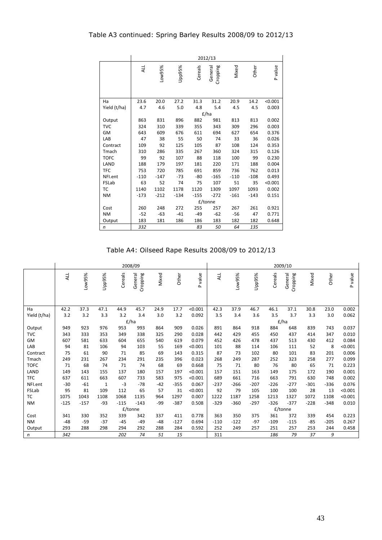|              | 2012/13 |        |        |         |                     |        |        |         |  |  |  |  |  |
|--------------|---------|--------|--------|---------|---------------------|--------|--------|---------|--|--|--|--|--|
|              | ALL     | Low95% | Upp95% | Cereals | Cropping<br>General | Mixed  | Other  | P value |  |  |  |  |  |
| Ha           | 23.6    | 20.0   | 27.2   | 31.3    | 31.2                | 20.9   | 14.2   | < 0.001 |  |  |  |  |  |
| Yield (t/ha) | 4.7     | 4.6    | 5.0    | 4.8     | 5.4                 | 4.5    | 4.5    | 0.003   |  |  |  |  |  |
|              |         |        |        |         | E/ha                |        |        |         |  |  |  |  |  |
| Output       | 863     | 831    | 896    | 882     | 981                 | 813    | 813    | 0.002   |  |  |  |  |  |
| <b>TVC</b>   | 324     | 310    | 339    | 355     | 343                 | 309    | 296    | 0.003   |  |  |  |  |  |
| GM           | 643     | 609    | 676    | 611     | 694                 | 627    | 654    | 0.376   |  |  |  |  |  |
| LAB          | 47      | 38     | 55     | 50      | 74                  | 33     | 36     | 0.026   |  |  |  |  |  |
| Contract     | 109     | 92     | 125    | 105     | 87                  | 108    | 124    | 0.353   |  |  |  |  |  |
| Tmach        | 310     | 286    | 335    | 267     | 360                 | 324    | 315    | 0.126   |  |  |  |  |  |
| <b>TOFC</b>  | 99      | 92     | 107    | 88      | 118                 | 100    | 99     | 0.230   |  |  |  |  |  |
| LAND         | 188     | 179    | 197    | 181     | 220                 | 171    | 188    | 0.004   |  |  |  |  |  |
| <b>TFC</b>   | 753     | 720    | 785    | 691     | 859                 | 736    | 762    | 0.013   |  |  |  |  |  |
| NFI.ent      | $-110$  | $-147$ | $-73$  | $-80$   | $-165$              | $-110$ | $-108$ | 0.493   |  |  |  |  |  |
| FSLab        | 63      | 52     | 74     | 75      | 107                 | 51     | 35     | < 0.001 |  |  |  |  |  |
| TC           | 1140    | 1102   | 1178   | 1120    | 1309                | 1097   | 1093   | 0.002   |  |  |  |  |  |
| <b>NM</b>    | $-173$  | $-212$ | $-134$ | $-155$  | $-272$              | $-161$ | $-143$ | 0.151   |  |  |  |  |  |
|              |         |        |        |         | £/tonne             |        |        |         |  |  |  |  |  |
| Cost         | 260     | 248    | 272    | 255     | 257                 | 267    | 261    | 0.921   |  |  |  |  |  |
| <b>NM</b>    | $-52$   | $-63$  | $-41$  | $-49$   | $-62$               | $-56$  | 47     | 0.771   |  |  |  |  |  |
| Output       | 183     | 181    | 186    | 186     | 183                 | 182    | 182    | 0.648   |  |  |  |  |  |
| n            | 332     |        |        | 83      | 50                  | 64     | 135    |         |  |  |  |  |  |

Table A4: Oilseed Rape Results 2008/09 to 2012/13

|              |            | 2008/09 |              |         |                     |       |        |         |        | 2009/10 |        |         |                     |        |        |         |
|--------------|------------|---------|--------------|---------|---------------------|-------|--------|---------|--------|---------|--------|---------|---------------------|--------|--------|---------|
|              | <b>ALL</b> | Low95%  | Upp95%       | Cereals | General<br>Cropping | Mixed | Other  | P value | ALL    | Low95%  | Upp95% | Cereals | General<br>Cropping | Mixed  | Other  | P value |
| Ha           | 42.2       | 37.3    | 47.1         | 44.9    | 45.7                | 24.9  | 17.7   | < 0.001 | 42.3   | 37.9    | 46.7   | 46.1    | 37.1                | 30.8   | 23.0   | 0.002   |
| Yield (t/ha) | 3.2        | 3.2     | 3.3          | 3.2     | 3.4                 | 3.0   | 3.2    | 0.092   | 3.5    | 3.4     | 3.6    | 3.5     | 3.7                 | 3.3    | 3.0    | 0.062   |
|              |            |         |              |         | E/ha                |       |        |         |        |         |        |         | E/ha                |        |        |         |
| Output       | 949        | 923     | 976          | 953     | 993                 | 864   | 909    | 0.026   | 891    | 864     | 918    | 884     | 648                 | 839    | 743    | 0.037   |
| <b>TVC</b>   | 343        | 333     | 353          | 349     | 338                 | 325   | 290    | 0.028   | 442    | 429     | 455    | 450     | 437                 | 414    | 347    | 0.010   |
| <b>GM</b>    | 607        | 581     | 633          | 604     | 655                 | 540   | 619    | 0.079   | 452    | 426     | 478    | 437     | 513                 | 430    | 412    | 0.084   |
| LAB          | 94         | 81      | 106          | 94      | 103                 | 55    | 169    | < 0.001 | 101    | 88      | 114    | 106     | 111                 | 52     | 8      | < 0.001 |
| Contract     | 75         | 61      | 90           | 71      | 85                  | 69    | 143    | 0.315   | 87     | 73      | 102    | 80      | 101                 | 83     | 201    | 0.006   |
| Tmach        | 249        | 231     | 267          | 234     | 291                 | 235   | 396    | 0.023   | 268    | 249     | 287    | 252     | 323                 | 258    | 277    | 0.099   |
| <b>TOFC</b>  | 71         | 68      | 74           | 71      | 74                  | 68    | 69     | 0.668   | 75     | 71      | 80     | 76      | 80                  | 65     | 71     | 0.223   |
| LAND         | 149        | 143     | 155          | 137     | 180                 | 157   | 197    | < 0.001 | 157    | 151     | 163    | 149     | 175                 | 172    | 190    | 0.001   |
| <b>TFC</b>   | 637        | 611     | 663          | 607     | 733                 | 583   | 975    | < 0.001 | 689    | 661     | 716    | 663     | 791                 | 630    | 748    | 0.002   |
| NFI.ent      | $-30$      | $-61$   | $\mathbf{1}$ | $-3$    | $-78$               | $-42$ | $-355$ | 0.067   | $-237$ | $-266$  | $-207$ | $-226$  | $-277$              | $-301$ | $-336$ | 0.076   |
| FSLab        | 95         | 81      | 109          | 112     | 65                  | 57    | 31     | < 0.001 | 92     | 79      | 105    | 100     | 100                 | 28     | 13     | < 0.001 |
| TC           | 1075       | 1043    | 1108         | 1068    | 1135                | 964   | 1297   | 0.007   | 1222   | 1187    | 1258   | 1213    | 1327                | 1072   | 1108   | < 0.001 |
| <b>NM</b>    | $-125$     | $-157$  | $-93$        | $-115$  | $-143$              | $-99$ | $-387$ | 0.508   | $-329$ | $-360$  | $-297$ | $-326$  | $-377$              | $-228$ | $-348$ | 0.010   |
|              |            |         |              |         | £/tonne             |       |        |         |        |         |        |         | £/tonne             |        |        |         |
| Cost         | 341        | 330     | 352          | 339     | 342                 | 337   | 411    | 0.778   | 363    | 350     | 375    | 361     | 372                 | 339    | 454    | 0.223   |
| <b>NM</b>    | $-48$      | $-59$   | $-37$        | $-45$   | $-49$               | $-48$ | $-127$ | 0.694   | $-110$ | $-122$  | $-97$  | $-109$  | $-115$              | $-85$  | $-205$ | 0.267   |
| Output       | 293        | 288     | 298          | 294     | 292                 | 288   | 284    | 0.592   | 252    | 249     | 257    | 251     | 257                 | 253    | 244    | 0.458   |
| $\mathsf{n}$ | 342        |         |              | 202     | 74                  | 51    | 15     |         | 311    |         |        | 186     | 79                  | 37     | 9      |         |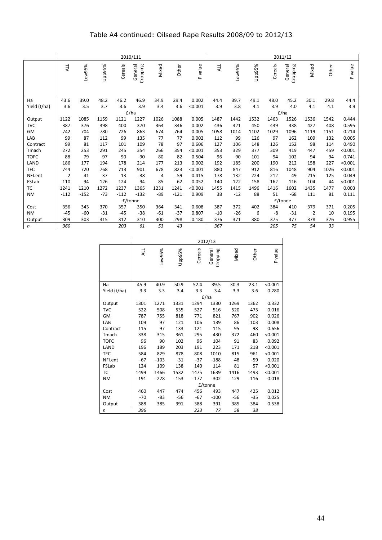# Table A4 continued: Oilseed Rape Results 2008/09 to 2012/13

|              |            | 2010/111 |        |         |                     |       |        |         |       | 2011/12 |        |         |                     |                |       |         |
|--------------|------------|----------|--------|---------|---------------------|-------|--------|---------|-------|---------|--------|---------|---------------------|----------------|-------|---------|
|              | <b>ALL</b> | Low95%   | Upp95% | Cereals | General<br>Cropping | Mixed | Other  | P value | ALL   | Low95%  | Upp95% | Cereals | General<br>Cropping | Mixed          | Other | P value |
| Ha           | 43.6       | 39.0     | 48.2   | 46.2    | 46.9                | 34.9  | 29.4   | 0.002   | 44.4  | 39.7    | 49.1   | 48.0    | 45.2                | 30.1           | 29.8  | 44.4    |
| Yield (t/ha) | 3.6        | 3.5      | 3.7    | 3.6     | 3.9                 | 3.4   | 3.6    | < 0.001 | 3.9   | 3.8     | 4.1    | 3.9     | 4.0                 | 4.1            | 4.1   | 3.9     |
|              |            |          |        |         | f/ha                |       |        |         |       |         |        |         | £/ha                |                |       |         |
| Output       | 1122       | 1085     | 1159   | 1121    | 1227                | 1026  | 1088   | 0.005   | 1487  | 1442    | 1532   | 1463    | 1526                | 1536           | 1542  | 0.444   |
| <b>TVC</b>   | 387        | 376      | 398    | 400     | 370                 | 364   | 346    | 0.002   | 436   | 421     | 450    | 439     | 438                 | 427            | 408   | 0.595   |
| GM           | 742        | 704      | 780    | 726     | 863                 | 674   | 764    | 0.005   | 1058  | 1014    | 1102   | 1029    | 1096                | 1119           | 1151  | 0.214   |
| LAB          | 99         | 87       | 112    | 99      | 135                 | 77    | 77     | 0.002   | 112   | 99      | 126    | 97      | 162                 | 109            | 132   | 0.005   |
| Contract     | 99         | 81       | 117    | 101     | 109                 | 78    | 97     | 0.606   | 127   | 106     | 148    | 126     | 152                 | 98             | 114   | 0.490   |
| Tmach        | 272        | 253      | 291    | 245     | 354                 | 266   | 354    | < 0.001 | 353   | 329     | 377    | 309     | 419                 | 447            | 459   | < 0.001 |
| <b>TOFC</b>  | 88         | 79       | 97     | 90      | 90                  | 80    | 82     | 0.504   | 96    | 90      | 101    | 94      | 102                 | 94             | 94    | 0.741   |
| LAND         | 186        | 177      | 194    | 178     | 214                 | 177   | 213    | 0.002   | 192   | 185     | 200    | 190     | 212                 | 158            | 227   | < 0.001 |
| <b>TFC</b>   | 744        | 720      | 768    | 713     | 901                 | 678   | 823    | < 0.001 | 880   | 847     | 912    | 816     | 1048                | 904            | 1026  | < 0.001 |
| NFI.ent      | $-2$       | $-41$    | 37     | 13      | $-38$               | $-4$  | $-59$  | 0.415   | 178   | 132     | 224    | 212     | 49                  | 215            | 125   | 0.049   |
| FSLab        | 110        | 94       | 126    | 124     | 94                  | 85    | 62     | 0.052   | 140   | 122     | 158    | 162     | 116                 | 104            | 44    | < 0.001 |
| <b>TC</b>    | 1241       | 1210     | 1272   | 1237    | 1365                | 1231  | 1241   | < 0.001 | 1455  | 1415    | 1496   | 1416    | 1602                | 1435           | 1477  | 0.003   |
| <b>NM</b>    | $-112$     | $-152$   | $-73$  | $-112$  | $-132$              | $-89$ | $-121$ | 0.909   | 38    | $-12$   | 88     | 51      | $-68$               | 111            | 81    | 0.111   |
|              |            |          |        |         | £/tonne             |       |        |         |       |         |        |         | £/tonne             |                |       |         |
| Cost         | 356        | 343      | 370    | 357     | 350                 | 364   | 341    | 0.608   | 387   | 372     | 402    | 384     | 410                 | 379            | 371   | 0.205   |
| <b>NM</b>    | $-45$      | $-60$    | $-31$  | $-45$   | $-38$               | $-61$ | $-37$  | 0.807   | $-10$ | $-26$   | 6      | -8      | $-31$               | $\overline{2}$ | 10    | 0.195   |
| Output       | 309        | 303      | 315    | 312     | 310                 | 300   | 298    | 0.180   | 376   | 371     | 380    | 375     | 377                 | 378            | 376   | 0.955   |
| n            | 360        |          |        | 203     | 61                  | 53    | 43     |         | 367   |         |        | 205     | 75                  | 54             | 33    |         |

|              |        |        |        |         | 2012/13             |        |        |         |
|--------------|--------|--------|--------|---------|---------------------|--------|--------|---------|
|              | ALL    | Low95% | Upp95% | Cereals | Cropping<br>General | Mixed  | Other  | P value |
| Ha           | 45.9   | 40.9   | 50.9   | 52.4    | 39.5                | 30.3   | 23.1   | < 0.001 |
| Yield (t/ha) | 3.3    | 3.3    | 3.4    | 3.3     | 3.4                 | 3.3    | 3.6    | 0.280   |
|              |        |        |        |         | E/ha                |        |        |         |
| Output       | 1301   | 1271   | 1331   | 1294    | 1330                | 1269   | 1362   | 0.332   |
| <b>TVC</b>   | 522    | 508    | 535    | 527     | 516                 | 520    | 475    | 0.016   |
| GM           | 787    | 755    | 818    | 771     | 821                 | 767    | 902    | 0.026   |
| LAB          | 109    | 97     | 121    | 106     | 139                 | 86     | 103    | 0.008   |
| Contract     | 115    | 97     | 133    | 121     | 115                 | 95     | 98     | 0.656   |
| Tmach        | 338    | 315    | 361    | 295     | 430                 | 372    | 460    | < 0.001 |
| <b>TOFC</b>  | 96     | 90     | 102    | 96      | 104                 | 91     | 83     | 0.092   |
| LAND         | 196    | 189    | 203    | 191     | 223                 | 171    | 218    | < 0.001 |
| <b>TFC</b>   | 584    | 829    | 878    | 808     | 1010                | 815    | 961    | < 0.001 |
| NFI.ent      | $-67$  | $-103$ | $-31$  | $-37$   | $-188$              | $-48$  | $-59$  | 0.020   |
| FSLab        | 124    | 109    | 138    | 140     | 114                 | 81     | 57     | < 0.001 |
| <b>TC</b>    | 1499   | 1466   | 1532   | 1475    | 1639                | 1416   | 1493   | < 0.001 |
| <b>NM</b>    | $-191$ | $-228$ | $-153$ | $-177$  | $-302$              | $-129$ | $-116$ | 0.018   |
|              |        |        |        |         | £/tonne             |        |        |         |
| Cost         | 460    | 447    | 474    | 456     | 493                 | 447    | 425    | 0.012   |
| <b>NM</b>    | $-70$  | -83    | $-56$  | $-67$   | $-100$              | $-56$  | $-35$  | 0.025   |
| Output       | 388    | 385    | 391    | 388     | 391                 | 385    | 384    | 0.538   |
| $\mathsf{n}$ | 396    |        |        | 223     | 77                  | 58     | 38     |         |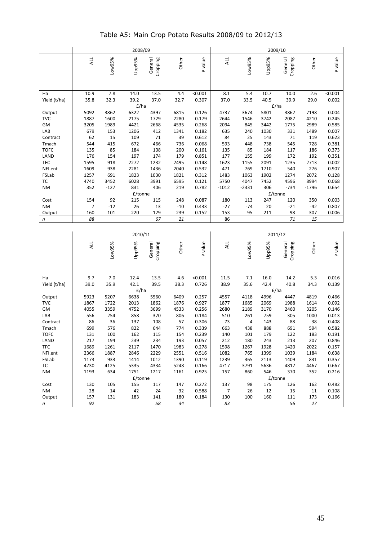|              |                |        | 2008/09 |                     |       |         | 2009/10 |         |        |                     |         |         |
|--------------|----------------|--------|---------|---------------------|-------|---------|---------|---------|--------|---------------------|---------|---------|
|              | ALL            | Low95% | Upp95%  | Cropping<br>General | Other | P value | ALL     | Low95%  | Upp95% | General<br>Cropping | Other   | P value |
| Ha           | 10.9           | 7.8    | 14.0    | 13.5                | 4.4   | < 0.001 | 8.1     | 5.4     | 10.7   | 10.0                | 2.6     | < 0.001 |
| Yield (t/ha) | 35.8           | 32.3   | 39.2    | 37.0                | 32.7  | 0.307   | 37.0    | 33.5    | 40.5   | 39.9                | 29.0    | 0.002   |
|              |                |        | E/ha    |                     |       |         |         |         |        | E/ha                |         |         |
| Output       | 5092           | 3862   | 6322    | 4397                | 6815  | 0.126   | 4737    | 3674    | 5801   | 3862                | 7198    | 0.004   |
| <b>TVC</b>   | 1887           | 1600   | 2175    | 1729                | 2280  | 0.179   | 2644    | 1546    | 3742   | 2087                | 4210    | 0.245   |
| GM           | 3205           | 1989   | 4421    | 2668                | 4535  | 0.268   | 2094    | 845     | 3442   | 1775                | 2989    | 0.585   |
| LAB          | 679            | 153    | 1206    | 412                 | 1341  | 0.182   | 635     | 240     | 1030   | 331                 | 1489    | 0.007   |
| Contract     | 62             | 15     | 109     | 71                  | 39    | 0.612   | 84      | 25      | 143    | 71                  | 119     | 0.623   |
| Tmach        | 544            | 415    | 672     | 466                 | 736   | 0.068   | 593     | 448     | 738    | 545                 | 728     | 0.381   |
| <b>TOFC</b>  | 135            | 85     | 184     | 108                 | 200   | 0.161   | 135     | 85      | 184    | 117                 | 186     | 0.373   |
| LAND         | 176            | 154    | 197     | 174                 | 179   | 0.851   | 177     | 155     | 199    | 172                 | 192     | 0.351   |
| <b>TFC</b>   | 1595           | 918    | 2272    | 1232                | 2495  | 0.148   | 1623    | 1155    | 2091   | 1235                | 2713    | 0.002   |
| NFI.ent      | 1609           | 938    | 2281    | 1436                | 2040  | 0.532   | 471     | $-769$  | 1710   | 540                 | 276     | 0.907   |
| FSLab        | 1257           | 691    | 1823    | 1030                | 1821  | 0.312   | 1483    | 1063    | 1902   | 1274                | 2072    | 0.128   |
| TC           | 4740           | 3452   | 6028    | 3991                | 6595  | 0.121   | 5750    | 4047    | 7452   | 4596                | 8994    | 0.068   |
| <b>NM</b>    | 352            | $-127$ | 831     | 406                 | 219   | 0.782   | $-1012$ | $-2331$ | 306    | $-734$              | $-1796$ | 0.654   |
|              |                |        | £/tonne |                     |       |         |         |         |        | £/tonne             |         |         |
| Cost         | 154            | 92     | 215     | 115                 | 248   | 0.087   | 180     | 113     | 247    | 120                 | 350     | 0.003   |
| <b>NM</b>    | $\overline{7}$ | $-12$  | 26      | 13                  | $-10$ | 0.433   | $-27$   | $-74$   | 20     | $-21$               | $-42$   | 0.807   |
| Output       | 160            | 101    | 220     | 129                 | 239   | 0.152   | 153     | 95      | 211    | 98                  | 307     | 0.006   |
| $\mathsf{n}$ | 88             |        |         | 67                  | 21    |         | 86      |         |        | 71                  | 15      |         |

|              |      |        | 2010/11 |                     |       |         | 2011/12    |        |        |                     |       |         |  |
|--------------|------|--------|---------|---------------------|-------|---------|------------|--------|--------|---------------------|-------|---------|--|
|              | ALL  | Low95% | Upp95%  | General<br>Cropping | Other | P value | <b>ALL</b> | Low95% | Upp95% | General<br>Cropping | Other | P value |  |
|              |      |        |         |                     |       |         |            |        |        |                     |       |         |  |
| Ha           | 9.7  | 7.0    | 12.4    | 13.5                | 4.6   | < 0.001 | 11.5       | 7.1    | 16.0   | 14.2                | 5.3   | 0.016   |  |
| Yield (t/ha) | 39.0 | 35.9   | 42.1    | 39.5                | 38.3  | 0.726   | 38.9       | 35.6   | 42.4   | 40.8                | 34.3  | 0.139   |  |
|              |      |        | £/ha    |                     |       |         |            |        |        | £/ha                |       |         |  |
| Output       | 5923 | 5207   | 6638    | 5560                | 6409  | 0.257   | 4557       | 4118   | 4996   | 4447                | 4819  | 0.466   |  |
| <b>TVC</b>   | 1867 | 1722   | 2013    | 1862                | 1876  | 0.927   | 1877       | 1685   | 2069   | 1988                | 1614  | 0.092   |  |
| GM           | 4055 | 3359   | 4752    | 3699                | 4533  | 0.256   | 2680       | 2189   | 3170   | 2460                | 3205  | 0.146   |  |
| LAB          | 556  | 254    | 858     | 370                 | 806   | 0.184   | 510        | 261    | 759    | 305                 | 1000  | 0.013   |  |
| Contract     | 86   | 36     | 137     | 108                 | 57    | 0.306   | 73         | 4      | 143    | 88                  | 38    | 0.408   |  |
| Tmach        | 699  | 576    | 822     | 644                 | 774   | 0.339   | 663        | 438    | 888    | 691                 | 594   | 0.582   |  |
| <b>TOFC</b>  | 131  | 100    | 162     | 115                 | 154   | 0.239   | 140        | 101    | 179    | 122                 | 183   | 0.191   |  |
| LAND         | 217  | 194    | 239     | 234                 | 193   | 0.057   | 212        | 180    | 243    | 213                 | 207   | 0.846   |  |
| <b>TFC</b>   | 1689 | 1261   | 2117    | 1470                | 1983  | 0.278   | 1598       | 1267   | 1928   | 1420                | 2022  | 0.157   |  |
| NFI.ent      | 2366 | 1887   | 2846    | 2229                | 2551  | 0.516   | 1082       | 765    | 1399   | 1039                | 1184  | 0.638   |  |
| FSLab        | 1173 | 933    | 1414    | 1012                | 1390  | 0.119   | 1239       | 365    | 2113   | 1409                | 831   | 0.357   |  |
| TC           | 4730 | 4125   | 5335    | 4334                | 5248  | 0.166   | 4717       | 3791   | 5636   | 4817                | 4467  | 0.667   |  |
| <b>NM</b>    | 1193 | 634    | 1751    | 1217                | 1161  | 0.925   | $-157$     | $-860$ | 546    | 370                 | 352   | 0.216   |  |
|              |      |        | £/tonne |                     |       |         |            |        |        | £/tonne             |       |         |  |
| Cost         | 130  | 105    | 155     | 117                 | 147   | 0.272   | 137        | 98     | 175    | 126                 | 162   | 0.482   |  |
| <b>NM</b>    | 28   | 14     | 42      | 24                  | 32    | 0.588   | $-7$       | $-26$  | 12     | $-15$               | 11    | 0.108   |  |
| Output       | 157  | 131    | 183     | 141                 | 180   | 0.184   | 130        | 100    | 160    | 111                 | 173   | 0.166   |  |
| $\mathsf{n}$ | 92   |        |         | 58                  | 34    |         | 83         |        |        | 56                  | 27    |         |  |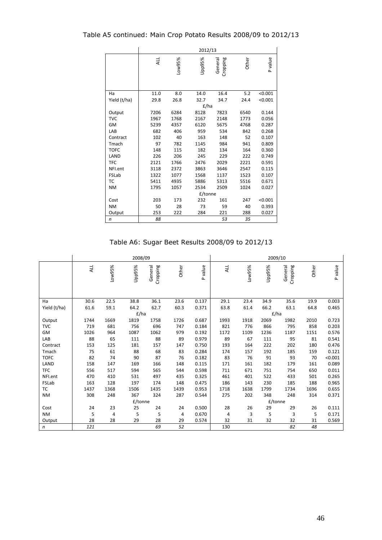|              |            |        | 2012/13 |                     |       |         |
|--------------|------------|--------|---------|---------------------|-------|---------|
|              | <b>ALL</b> | Low95% | Upp95%  | Cropping<br>General | Other | P value |
| Ha           | 11.0       | 8.0    | 14.0    | 16.4                | 5.2   | < 0.001 |
| Yield (t/ha) | 29.8       | 26.8   | 32.7    | 34.7                | 24.4  | < 0.001 |
|              |            |        | E/ha    |                     |       |         |
| Output       | 7206       | 6284   | 8128    | 7823                | 6540  | 0.144   |
| <b>TVC</b>   | 1967       | 1768   | 2167    | 2148                | 1773  | 0.056   |
| GM           | 5239       | 4357   | 6120    | 5675                | 4768  | 0.287   |
| LAB          | 682        | 406    | 959     | 534                 | 842   | 0.268   |
| Contract     | 102        | 40     | 163     | 148                 | 52    | 0.107   |
| Tmach        | 97         | 782    | 1145    | 984                 | 941   | 0.809   |
| <b>TOFC</b>  | 148        | 115    | 182     | 134                 | 164   | 0.360   |
| LAND         | 226        | 206    | 245     | 229                 | 222   | 0.749   |
| <b>TFC</b>   | 2121       | 1766   | 2476    | 2029                | 2221  | 0.591   |
| NFI.ent      | 3118       | 2372   | 3863    | 3646                | 2547  | 0.115   |
| FSLab        | 1322       | 1077   | 1568    | 1137                | 1523  | 0.107   |
| TC           | 5411       | 4935   | 5886    | 5313                | 5516  | 0.671   |
| <b>NM</b>    | 1795       | 1057   | 2534    | 2509                | 1024  | 0.027   |
|              |            |        | £/tonne |                     |       |         |
| Cost         | 203        | 173    | 232     | 161                 | 247   | < 0.001 |
| <b>NM</b>    | 50         | 28     | 73      | 59                  | 40    | 0.393   |
| Output       | 253        | 222    | 284     | 221                 | 288   | 0.027   |
| n            | 88         |        |         | 53                  | 35    |         |

Table A6: Sugar Beet Results 2008/09 to 2012/13

|              |      |        | 2008/09 |                     |       |         |                |        |        | 2009/10             |       |         |
|--------------|------|--------|---------|---------------------|-------|---------|----------------|--------|--------|---------------------|-------|---------|
|              | ALL  | Low95% | Upp95%  | General<br>Cropping | Other | P value | ALL            | Low95% | Upp95% | General<br>Cropping | Other | P value |
| Ha           | 30.6 | 22.5   | 38.8    | 36.1                | 23.6  | 0.137   | 29.1           | 23.4   | 34.9   | 35.6                | 19.9  | 0.003   |
| Yield (t/ha) | 61.6 | 59.1   | 64.2    | 62.7                | 60.3  | 0.371   | 63.8           | 61.4   | 66.2   | 63.1                | 64.8  | 0.465   |
|              |      |        | E/ha    |                     |       |         |                |        |        | E/ha                |       |         |
| Output       | 1744 | 1669   | 1819    | 1758                | 1726  | 0.687   | 1993           | 1918   | 2069   | 1982                | 2010  | 0.723   |
| TVC          | 719  | 681    | 756     | 696                 | 747   | 0.184   | 821            | 776    | 866    | 795                 | 858   | 0.203   |
| GM           | 1026 | 964    | 1087    | 1062                | 979   | 0.192   | 1172           | 1109   | 1236   | 1187                | 1151  | 0.576   |
| LAB          | 88   | 65     | 111     | 88                  | 89    | 0.979   | 89             | 67     | 111    | 95                  | 81    | 0.541   |
| Contract     | 153  | 125    | 181     | 157                 | 147   | 0.750   | 193            | 164    | 222    | 202                 | 180   | 0.476   |
| Tmach        | 75   | 61     | 88      | 68                  | 83    | 0.284   | 174            | 157    | 192    | 185                 | 159   | 0.121   |
| <b>TOFC</b>  | 82   | 74     | 90      | 87                  | 76    | 0.182   | 83             | 76     | 91     | 93                  | 70    | < 0.001 |
| LAND         | 158  | 147    | 169     | 166                 | 148   | 0.115   | 171            | 161    | 182    | 179                 | 161   | 0.089   |
| <b>TFC</b>   | 556  | 517    | 594     | 565                 | 544   | 0.598   | 711            | 671    | 751    | 754                 | 650   | 0.011   |
| NFI.ent      | 470  | 410    | 531     | 497                 | 435   | 0.325   | 461            | 401    | 522    | 433                 | 501   | 0.265   |
| FSLab        | 163  | 128    | 197     | 174                 | 148   | 0.475   | 186            | 143    | 230    | 185                 | 188   | 0.965   |
| ТC           | 1437 | 1368   | 1506    | 1435                | 1439  | 0.953   | 1718           | 1638   | 1799   | 1734                | 1696  | 0.655   |
| <b>NM</b>    | 308  | 248    | 367     | 324                 | 287   | 0.544   | 275            | 202    | 348    | 248                 | 314   | 0.371   |
|              |      |        | £/tonne |                     |       |         |                |        |        | £/tonne             |       |         |
| Cost         | 24   | 23     | 25      | 24                  | 24    | 0.500   | 28             | 26     | 29     | 29                  | 26    | 0.111   |
| <b>NM</b>    | 5    | 4      | 5       | 5                   | 4     | 0.670   | $\overline{a}$ | 3      | 5      | 3                   | 5     | 0.171   |
| Output       | 28   | 28     | 29      | 28                  | 29    | 0.574   | 32             | 31     | 32     | 32                  | 31    | 0.569   |
| $\mathsf{n}$ | 121  |        |         | 69                  | 52    |         | 130            |        |        | 82                  | 48    |         |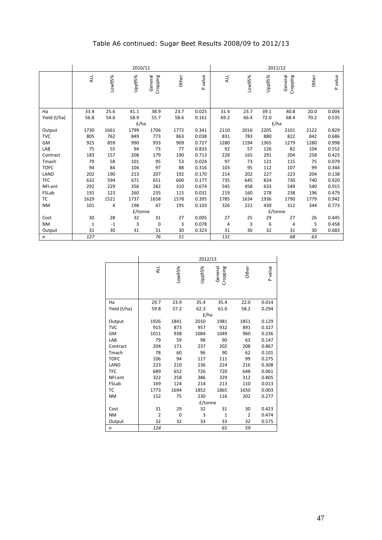|              |              |        | 2010/11 |                     |       |         |                |        |        | 2011/12             |       |         |
|--------------|--------------|--------|---------|---------------------|-------|---------|----------------|--------|--------|---------------------|-------|---------|
|              | ALL          | Low95% | Upp95%  | Cropping<br>General | Other | P value | ALL            | Low95% | Upp95% | Cropping<br>General | Other | P value |
| Ha           | 33.4         | 25.6   | 41.1    | 38.9                | 23.7  | 0.025   | 31.4           | 23.7   | 39.1   | 40.8                | 20.0  | 0.004   |
| Yield (t/ha) | 56.8         | 54.6   | 58.9    | 55.7                | 58.6  | 0.161   | 69.2           | 66.4   | 72.0   | 68.4                | 70.2  | 0.535   |
|              |              |        | E/ha    |                     |       |         |                |        |        | E/ha                |       |         |
| Output       | 1730         | 1661   | 1799    | 1706                | 1772  | 0.341   | 2110           | 2016   | 2205   | 2101                | 2122  | 0.829   |
| <b>TVC</b>   | 805          | 762    | 849     | 773                 | 863   | 0.038   | 831            | 783    | 880    | 822                 | 842   | 0.686   |
| GM           | 925          | 859    | 990     | 933                 | 909   | 0.727   | 1280           | 1194   | 1365   | 1279                | 1280  | 0.998   |
| LAB          | 75           | 55     | 94      | 73                  | 77    | 0.833   | 92             | 57     | 126    | 82                  | 104   | 0.552   |
| Contract     | 183          | 157    | 208     | 179                 | 190   | 0.713   | 228            | 165    | 291    | 204                 | 258   | 0.423   |
| Tmach        | 79           | 58     | 101     | 95                  | 53    | 0.024   | 97             | 73     | 121    | 115                 | 75    | 0.079   |
| <b>TOFC</b>  | 94           | 84     | 104     | 97                  | 88    | 0.316   | 103            | 95     | 112    | 107                 | 99    | 0.344   |
| LAND         | 202          | 190    | 213     | 207                 | 192   | 0.170   | 214            | 202    | 227    | 223                 | 204   | 0.138   |
| <b>TFC</b>   | 632          | 594    | 671     | 651                 | 600   | 0.177   | 735            | 645    | 824    | 730                 | 740   | 0.920   |
| NFI.ent      | 292          | 229    | 356     | 282                 | 310   | 0.674   | 545            | 458    | 633    | 549                 | 540   | 0.915   |
| FSLab        | 191          | 123    | 260     | 235                 | 115   | 0.031   | 219            | 160    | 278    | 238                 | 196   | 0.479   |
| ТC           | 1629         | 1521   | 1737    | 1658                | 1578  | 0.395   | 1785           | 1634   | 1936   | 1790                | 1779  | 0.942   |
| <b>NM</b>    | 101          | 4      | 198     | 47                  | 195   | 0.103   | 326            | 222    | 430    | 312                 | 344   | 0.773   |
|              |              |        | £/tonne |                     |       |         |                |        |        | £/tonne             |       |         |
| Cost         | 30           | 28     | 32      | 31                  | 27    | 0.005   | 27             | 25     | 29     | 27                  | 26    | 0.445   |
| <b>NM</b>    | $\mathbf{1}$ | $-1$   | 3       | $\mathbf 0$         | 3     | 0.078   | $\overline{4}$ | 3      | 6      | $\overline{4}$      | 5     | 0.458   |
| Output       | 31           | 30     | 31      | 31                  | 30    | 0.323   | 31             | 30     | 32     | 31                  | 30    | 0.683   |
| $\mathsf{n}$ | 127          |        |         | 76                  | 51    |         | 131            |        |        | 68                  | 63    |         |

# Table A6 continued: Sugar Beet Results 2008/09 to 2012/13

|              | 2012/13        |        |        |                     |                |         |  |  |  |  |
|--------------|----------------|--------|--------|---------------------|----------------|---------|--|--|--|--|
|              | <b>ALL</b>     | Low95% | Upp95% | Cropping<br>General | Other          | P value |  |  |  |  |
| Ha           | 29.7           | 23.9   | 35.4   | 35.4                | 22.0           | 0.014   |  |  |  |  |
| Yield (t/ha) | 59.8           | 57.2   | 62.3   | 61.0                | 58.2           | 0.294   |  |  |  |  |
|              |                |        |        | £/ha                |                |         |  |  |  |  |
| Output       | 1926           | 1841   | 2010   | 1981                | 1851           | 0.129   |  |  |  |  |
| <b>TVC</b>   | 915            | 873    | 957    | 932                 | 891            | 0.327   |  |  |  |  |
| GM           | 1011           | 938    | 1084   | 1049                | 960            | 0.236   |  |  |  |  |
| LAB          | 79             | 59     | 98     | 90                  | 63             | 0.147   |  |  |  |  |
| Contract     | 204            | 171    | 237    | 202                 | 208            | 0.867   |  |  |  |  |
| Tmach        | 78             | 60     | 96     | 90                  | 62             | 0.101   |  |  |  |  |
| <b>TOFC</b>  | 106            | 94     | 117    | 111                 | 99             | 0.275   |  |  |  |  |
| LAND         | 223            | 210    | 236    | 224                 | 216            | 0.308   |  |  |  |  |
| <b>TFC</b>   | 689            | 652    | 726    | 720                 | 648            | 0.061   |  |  |  |  |
| NFI.ent      | 322            | 258    | 386    | 329                 | 312            | 0.805   |  |  |  |  |
| FSLab        | 169            | 124    | 214    | 213                 | 110            | 0.013   |  |  |  |  |
| <b>TC</b>    | 1773           | 1694   | 1852   | 1865                | 1650           | 0.003   |  |  |  |  |
| <b>NM</b>    | 152            | 75     | 230    | 116                 | 202            | 0.277   |  |  |  |  |
|              |                |        |        | £/tonne             |                |         |  |  |  |  |
| Cost         | 31             | 29     | 32     | 31                  | 30             | 0.423   |  |  |  |  |
| <b>NM</b>    | $\overline{2}$ | 0      | 3      | $\mathbf{1}$        | $\overline{2}$ | 0.474   |  |  |  |  |
| Output       | 32             | 32     | 33     | 33                  | 32             | 0.575   |  |  |  |  |
| $\mathsf{n}$ | 124            |        |        | 65                  | 59             |         |  |  |  |  |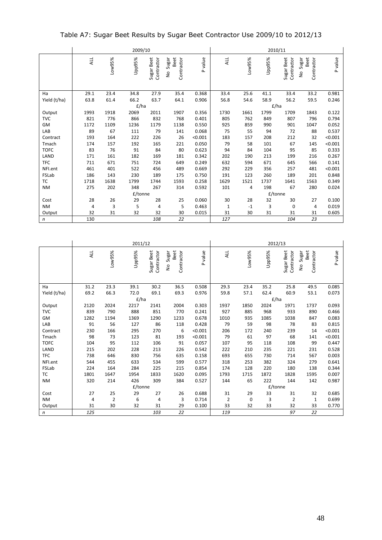Table A7: Sugar Beet Results by Sugar Beet Contractor Use 2009/10 to 2012/13

|                  |      |        | 2009/10 |                          |                                              |         |            |        |        | 2010/11                  |                                |         |
|------------------|------|--------|---------|--------------------------|----------------------------------------------|---------|------------|--------|--------|--------------------------|--------------------------------|---------|
|                  | ALL  | Low95% | Upp95%  | Sugar Beet<br>Contractor | Beet<br>Sugar<br>Contractor<br>$\frac{1}{2}$ | P value | <b>ALL</b> | Low95% | Upp95% | Sugar Beet<br>Contractor | No Sugar<br>Beet<br>Contractor | P value |
| Ha               | 29.1 | 23.4   | 34.8    | 27.9                     | 35.4                                         | 0.368   | 33.4       | 25.6   | 41.1   | 33.4                     | 33.2                           | 0.981   |
| Yield (t/ha)     | 63.8 | 61.4   | 66.2    | 63.7                     | 64.1                                         | 0.906   | 56.8       | 54.6   | 58.9   | 56.2                     | 59.5                           | 0.246   |
|                  |      |        | E/ha    |                          |                                              |         |            |        |        | E/ha                     |                                |         |
| Output           | 1993 | 1918   | 2069    | 2011                     | 1907                                         | 0.356   | 1730       | 1661   | 1799   | 1709                     | 1843                           | 0.122   |
| <b>TVC</b>       | 821  | 776    | 866     | 832                      | 768                                          | 0.401   | 805        | 762    | 849    | 807                      | 796                            | 0.794   |
| GM               | 1172 | 1109   | 1236    | 1179                     | 1138                                         | 0.550   | 925        | 859    | 990    | 901                      | 1047                           | 0.052   |
| LAB              | 89   | 67     | 111     | 79                       | 141                                          | 0.068   | 75         | 55     | 94     | 72                       | 88                             | 0.537   |
| Contract         | 193  | 164    | 222     | 226                      | 26                                           | < 0.001 | 183        | 157    | 208    | 212                      | 32                             | < 0.001 |
| Tmach            | 174  | 157    | 192     | 165                      | 221                                          | 0.050   | 79         | 58     | 101    | 67                       | 145                            | < 0.001 |
| <b>TOFC</b>      | 83   | 76     | 91      | 84                       | 80                                           | 0.623   | 94         | 84     | 104    | 95                       | 85                             | 0.333   |
| LAND             | 171  | 161    | 182     | 169                      | 181                                          | 0.342   | 202        | 190    | 213    | 199                      | 216                            | 0.267   |
| <b>TFC</b>       | 711  | 671    | 751     | 724                      | 649                                          | 0.249   | 632        | 594    | 671    | 645                      | 566                            | 0.141   |
| NFI.ent          | 461  | 401    | 522     | 456                      | 489                                          | 0.669   | 292        | 229    | 356    | 257                      | 481                            | < 0.001 |
| FSLab            | 186  | 143    | 230     | 189                      | 175                                          | 0.750   | 191        | 123    | 260    | 189                      | 201                            | 0.848   |
| ТC               | 1718 | 1638   | 1799    | 1744                     | 1593                                         | 0.258   | 1629       | 1521   | 1737   | 1641                     | 1563                           | 0.349   |
| <b>NM</b>        | 275  | 202    | 348     | 267                      | 314                                          | 0.592   | 101        | 4      | 198    | 67                       | 280                            | 0.024   |
|                  |      |        | £/tonne |                          |                                              |         |            |        |        | £/tonne                  |                                |         |
| Cost             | 28   | 26     | 29      | 28                       | 25                                           | 0.060   | 30         | 28     | 32     | 30                       | 27                             | 0.100   |
| <b>NM</b>        | 4    | 3      | 5       | 4                        | 5                                            | 0.463   | 1          | $-1$   | 3      | $\mathbf 0$              | 4                              | 0.019   |
| Output           | 32   | 31     | 32      | 32                       | 30                                           | 0.015   | 31         | 30     | 31     | 31                       | 31                             | 0.605   |
| $\boldsymbol{n}$ | 130  |        |         | 108                      | 22                                           |         | 127        |        |        | 104                      | 23                             |         |

|              |      |                | 2011/12 |                          |                                              |         |                |        |        | 2012/13                  |                                |         |
|--------------|------|----------------|---------|--------------------------|----------------------------------------------|---------|----------------|--------|--------|--------------------------|--------------------------------|---------|
|              | ALL  | Low95%         | Upp95%  | Sugar Beet<br>Contractor | Sugar<br>Beet<br>Contractor<br>$\frac{1}{2}$ | P value | ALL            | Low95% | Upp95% | Contractor<br>Sugar Beet | Beet<br>Contractor<br>No Sugar | P value |
| Ha           | 31.2 | 23.3           | 39.1    | 30.2                     | 36.5                                         | 0.508   | 29.3           | 23.4   | 35.2   | 25.8                     | 49.5                           | 0.085   |
| Yield (t/ha) | 69.2 | 66.3           | 72.0    | 69.1                     | 69.3                                         | 0.976   | 59.8           | 57.1   | 62.4   | 60.9                     | 53.1                           | 0.073   |
|              |      |                | £/ha    |                          |                                              |         |                |        |        | E/ha                     |                                |         |
| Output       | 2120 | 2024           | 2217    | 2141                     | 2004                                         | 0.303   | 1937           | 1850   | 2024   | 1971                     | 1737                           | 0.093   |
| <b>TVC</b>   | 839  | 790            | 888     | 851                      | 770                                          | 0.241   | 927            | 885    | 968    | 933                      | 890                            | 0.466   |
| GM           | 1282 | 1194           | 1369    | 1290                     | 1233                                         | 0.678   | 1010           | 935    | 1085   | 1038                     | 847                            | 0.083   |
| LAB          | 91   | 56             | 127     | 86                       | 118                                          | 0.428   | 79             | 59     | 98     | 78                       | 83                             | 0.815   |
| Contract     | 230  | 166            | 295     | 270                      | 6                                            | < 0.001 | 206            | 172    | 240    | 239                      | 14                             | < 0.001 |
| Tmach        | 98   | 73             | 123     | 81                       | 193                                          | < 0.001 | 79             | 61     | 97     | 68                       | 141                            | < 0.001 |
| <b>TOFC</b>  | 104  | 95             | 112     | 106                      | 91                                           | 0.057   | 107            | 95     | 118    | 108                      | 99                             | 0.447   |
| LAND         | 215  | 202            | 228     | 213                      | 226                                          | 0.542   | 222            | 210    | 235    | 221                      | 231                            | 0.528   |
| <b>TFC</b>   | 738  | 646            | 830     | 756                      | 635                                          | 0.158   | 693            | 655    | 730    | 714                      | 567                            | 0.003   |
| NFI.ent      | 544  | 455            | 633     | 534                      | 599                                          | 0.577   | 318            | 253    | 382    | 324                      | 279                            | 0.641   |
| FSLab        | 224  | 164            | 284     | 225                      | 215                                          | 0.854   | 174            | 128    | 220    | 180                      | 138                            | 0.344   |
| TC           | 1801 | 1647           | 1954    | 1833                     | 1620                                         | 0.095   | 1793           | 1715   | 1872   | 1828                     | 1595                           | 0.007   |
| <b>NM</b>    | 320  | 214            | 426     | 309                      | 384                                          | 0.527   | 144            | 65     | 222    | 144                      | 142                            | 0.987   |
|              |      |                | £/tonne |                          |                                              |         |                |        |        | £/tonne                  |                                |         |
| Cost         | 27   | 25             | 29      | 27                       | 26                                           | 0.688   | 31             | 29     | 33     | 31                       | 32                             | 0.685   |
| <b>NM</b>    | 4    | $\overline{2}$ | 6       | 4                        | 3                                            | 0.714   | $\overline{2}$ | 0      | 3      | $\overline{2}$           | $\mathbf 1$                    | 0.699   |
| Output       | 31   | 30             | 32      | 31                       | 29                                           | 0.100   | 33             | 32     | 33     | 32                       | 33                             | 0.770   |
| $\mathsf{n}$ | 125  |                |         | 103                      | 22                                           |         | 119            |        |        | 97                       | 22                             |         |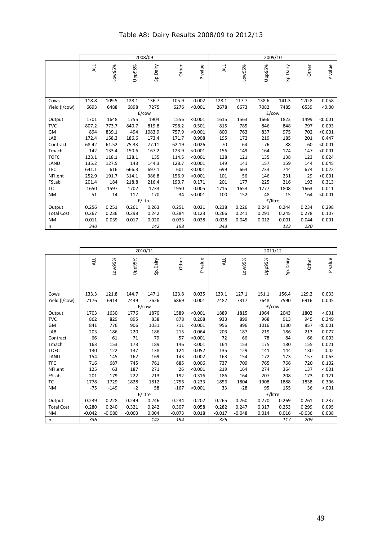|                   |          |          |        | 2008/09  |          |         |            |          | 2009/10  |          |          |         |
|-------------------|----------|----------|--------|----------|----------|---------|------------|----------|----------|----------|----------|---------|
|                   | ALL      | Low95%   | Upp95% | Sp.Dairy | Other    | P value | <b>ALL</b> | Low95%   | Upp95%   | Sp.Dairy | Other    | P value |
| Cows              | 118.8    | 109.5    | 128.1  | 136.7    | 105.9    | 0.002   | 128.1      | 117.7    | 138.6    | 141.3    | 120.8    | 0.058   |
| Yield (I/cow)     | 6693     | 6488     | 6898   | 7275     | 6276     | < 0.001 | 2678       | 6673     | 7082     | 7485     | 6539     | < 0.00  |
|                   |          |          |        | £/cow    |          |         |            |          | £/cow    |          |          |         |
| Output            | 1701     | 1648     | 1755   | 1904     | 1556     | < 0.001 | 1615       | 1563     | 1666     | 1823     | 1499     | < 0.001 |
| <b>TVC</b>        | 807.2    | 773.7    | 840.7  | 819.8    | 798.2    | 0.501   | 815        | 785      | 846      | 848      | 797      | 0.093   |
| <b>GM</b>         | 894      | 839.1    | 494    | 1083.9   | 757.9    | < 0.001 | 800        | 763      | 837      | 975      | 702      | < 0.001 |
| LAB               | 172.4    | 158.3    | 186.6  | 173.4    | 171.7    | 0.908   | 195        | 172      | 219      | 185      | 201      | 0.447   |
| Contract          | 68.42    | 61.52    | 75.33  | 77.11    | 62.19    | 0.026   | 70         | 64       | 76       | 88       | 60       | < 0.001 |
| Tmach             | 142      | 133.4    | 150.6  | 167.2    | 123.9    | < 0.001 | 156        | 149      | 164      | 174      | 147      | < 0.001 |
| <b>TOFC</b>       | 123.1    | 118.1    | 128.1  | 135      | 114.5    | < 0.001 | 128        | 121      | 135      | 138      | 123      | 0.024   |
| LAND              | 135.2    | 127.5    | 143    | 144.3    | 128.7    | < 0.001 | 149        | 141      | 157      | 159      | 144      | 0.045   |
| <b>TFC</b>        | 641.1    | 616      | 666.3  | 697.1    | 601      | < 0.001 | 699        | 664      | 733      | 744      | 674      | 0.022   |
| NFI.ent           | 252.9    | 191.7    | 314.1  | 386.8    | 156.9    | < 0.001 | 101        | 56       | 146      | 231      | 29       | < 0.001 |
| FSLab             | 201.4    | 184      | 218.8  | 216.4    | 190.7    | 0.171   | 201        | 177      | 225      | 216      | 193      | 0.313   |
| TC                | 1650     | 1597     | 1702   | 1733     | 1950     | 0.005   | 1715       | 1653     | 1777     | 1808     | 1663     | 0.011   |
| <b>NM</b>         | 51       | $-14$    | 117    | 170      | $-34$    | < 0.001 | $-100$     | $-152$   | $-48$    | 15       | $-164$   | < 0.001 |
|                   |          |          |        | £/litre  |          |         |            |          | £/litre  |          |          |         |
| Output            | 0.256    | 0.251    | 0.261  | 0.263    | 0.251    | 0.021   | 0.238      | 0.226    | 0.249    | 0.244    | 0.234    | 0.298   |
| <b>Total Cost</b> | 0.267    | 0.236    | 0.298  | 0.242    | 0.284    | 0.123   | 0.266      | 0.241    | 0.291    | 0.245    | 0.278    | 0.107   |
| <b>NM</b>         | $-0.011$ | $-0.039$ | 0.017  | 0.020    | $-0.033$ | 0.028   | $-0.028$   | $-0.045$ | $-0.012$ | $-0.001$ | $-0.044$ | 0.001   |
| n                 | 340      |          |        | 142      | 198      |         | 343        |          |          | 123      | 220      |         |

|                   |          |          |          | 2010/11  |          |         |          |          | 2011/12 |          |          |         |
|-------------------|----------|----------|----------|----------|----------|---------|----------|----------|---------|----------|----------|---------|
|                   | ALL      | Low95%   | Upp95%   | Sp.Dairy | Other    | P value | ALL      | Low95%   | Upp95%  | Sp.Dairy | Other    | P value |
| Cows              | 133.3    | 121.8    | 144.7    | 147.1    | 123.8    | 0.035   | 139.1    | 127.1    | 151.1   | 156.4    | 129.2    | 0.033   |
| Yield (I/cow)     | 7176     | 6914     | 7439     | 7626     | 6869     | 0.001   | 7482     | 7317     | 7648    | 7590     | 6916     | 0.005   |
|                   |          |          |          | £/cow    |          |         |          |          | £/cow   |          |          |         |
| Output            | 1703     | 1630     | 1776     | 1870     | 1589     | < 0.001 | 1889     | 1815     | 1964    | 2043     | 1802     | < .001  |
| <b>TVC</b>        | 862      | 829      | 895      | 838      | 878      | 0.208   | 933      | 899      | 968     | 913      | 945      | 0.349   |
| GM                | 841      | 776      | 906      | 1031     | 711      | < 0.001 | 956      | 896      | 1016    | 1130     | 857      | < 0.001 |
| LAB               | 203      | 186      | 220      | 186      | 215      | 0.064   | 203      | 187      | 219     | 186      | 213      | 0.077   |
| Contract          | 66       | 61       | 71       | 79       | 57       | < 0.001 | 72       | 66       | 78      | 84       | 66       | 0.003   |
| Tmach             | 163      | 153      | 173      | 189      | 146      | < .001  | 164      | 153      | 175     | 180      | 155      | 0.021   |
| <b>TOFC</b>       | 130      | 122      | 137      | 138      | 124      | 0.052   | 135      | 129      | 141     | 144      | 130      | 0.02    |
| LAND              | 154      | 145      | 162      | 169      | 143      | 0.002   | 163      | 154      | 172     | 173      | 157      | 0.063   |
| <b>TFC</b>        | 716      | 687      | 745      | 761      | 685      | 0.006   | 737      | 709      | 765     | 766      | 720      | 0.102   |
| NFI.ent           | 125      | 63       | 187      | 271      | 26       | < 0.001 | 219      | 164      | 274     | 364      | 137      | < .001  |
| FSLab             | 201      | 179      | 222      | 213      | 192      | 0.316   | 186      | 164      | 207     | 208      | 173      | 0.121   |
| ТC                | 1778     | 1729     | 1828     | 1812     | 1756     | 0.233   | 1856     | 1804     | 1908    | 1888     | 1838     | 0.306   |
| <b>NM</b>         | $-75$    | $-149$   | $-2$     | 58       | $-167$   | < 0.001 | 33       | $-28$    | 95      | 155      | 36       | < .001  |
|                   |          |          |          | £/litre  |          |         |          |          | £/litre |          |          |         |
| Output            | 0.239    | 0.228    | 0.249    | 0.246    | 0.234    | 0.202   | 0.265    | 0.260    | 0.270   | 0.269    | 0.261    | 0.237   |
| <b>Total Cost</b> | 0.280    | 0.240    | 0.321    | 0.242    | 0.307    | 0.058   | 0.282    | 0.247    | 0.317   | 0.253    | 0.299    | 0.095   |
| <b>NM</b>         | $-0.042$ | $-0.080$ | $-0.003$ | 0.004    | $-0.073$ | 0.018   | $-0.017$ | $-0.048$ | 0.014   | 0.016    | $-0.036$ | 0.038   |
| n                 | 336      |          |          | 142      | 194      |         | 326      |          |         | 117      | 209      |         |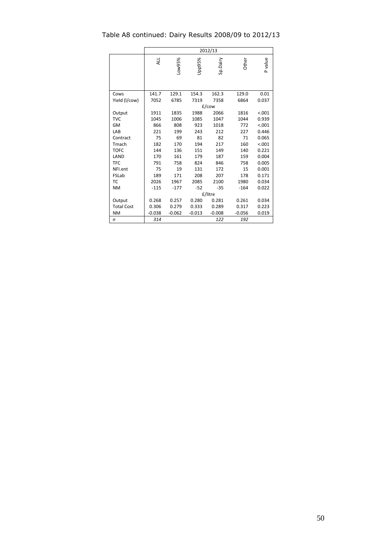# Table A8 continued: Dairy Results 2008/09 to 2012/13

|                   |          |          |          | 2012/13  |          |         |
|-------------------|----------|----------|----------|----------|----------|---------|
|                   | ALL      | Low95%   | %Seddr   | Sp.Dairy | Other    | P value |
| Cows              | 141.7    | 129.1    | 154.3    | 162.3    | 129.0    | 0.01    |
| Yield (I/cow)     | 7052     | 6785     | 7319     | 7358     | 6864     | 0.037   |
|                   |          |          |          | £/cow    |          |         |
| Output            | 1911     | 1835     | 1988     | 2066     | 1816     | < .001  |
| <b>TVC</b>        | 1045     | 1006     | 1085     | 1047     | 1044     | 0.939   |
| GM                | 866      | 808      | 923      | 1018     | 772      | < .001  |
| LAB               | 221      | 199      | 243      | 212      | 227      | 0.446   |
| Contract          | 75       | 69       | 81       | 82       | 71       | 0.065   |
| Tmach             | 182      | 170      | 194      | 217      | 160      | < .001  |
| <b>TOFC</b>       | 144      | 136      | 151      | 149      | 140      | 0.221   |
| LAND              | 170      | 161      | 179      | 187      | 159      | 0.004   |
| <b>TFC</b>        | 791      | 758      | 824      | 846      | 758      | 0.005   |
| NFI.ent           | 75       | 19       | 131      | 172      | 15       | 0.001   |
| FSLab             | 189      | 171      | 208      | 207      | 178      | 0.171   |
| ТC                | 2026     | 1967     | 2085     | 2100     | 1980     | 0.034   |
| <b>NM</b>         | $-115$   | $-177$   | $-52$    | $-35$    | $-164$   | 0.022   |
|                   |          |          |          | £/litre  |          |         |
| Output            | 0.268    | 0.257    | 0.280    | 0.281    | 0.261    | 0.034   |
| <b>Total Cost</b> | 0.306    | 0.279    | 0.333    | 0.289    | 0.317    | 0.223   |
| <b>NM</b>         | $-0.038$ | $-0.062$ | $-0.013$ | $-0.008$ | $-0.056$ | 0.019   |
| n                 | 314      |          |          | 122      | 192      |         |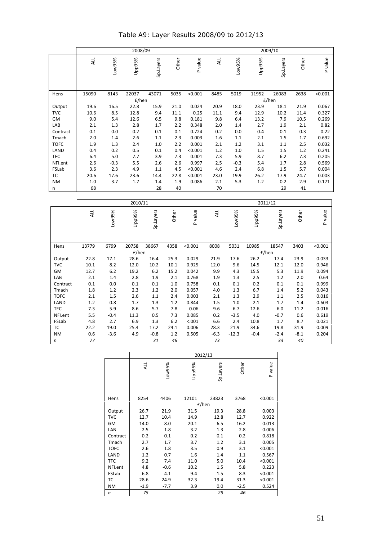Table A9: Layer Results 2008/09 to 2012/13

|             |            |        | 2008/09 |           |        |         |            |        |        | 2009/10   |        |         |
|-------------|------------|--------|---------|-----------|--------|---------|------------|--------|--------|-----------|--------|---------|
|             | <b>ALL</b> | Low95% | Upp95%  | Sp.Layers | Other  | P value | <b>ALL</b> | Low95% | Upp95% | Sp.Layers | Other  | P value |
| Hens        | 15090      | 8143   | 22037   | 43071     | 5035   | < 0.001 | 8485       | 5019   | 11952  | 26083     | 2638   | < 0.001 |
|             |            |        | E/hen   |           |        |         |            |        |        | £/hen     |        |         |
| Output      | 19.6       | 16.5   | 22.8    | 15.9      | 21.0   | 0.024   | 20.9       | 18.0   | 23.9   | 18.1      | 21.9   | 0.067   |
| <b>TVC</b>  | 10.6       | 8.5    | 12.8    | 9.4       | 11.1   | 0.25    | 11.1       | 9.4    | 12.9   | 10.2      | 11.4   | 0.327   |
| GM          | 9.0        | 5.4    | 12.6    | 6.5       | 9.8    | 0.181   | 9.8        | 6.4    | 13.2   | 7.9       | 10.5   | 0.269   |
| LAB         | 2.1        | 1.3    | 2.8     | 1.7       | 2.2    | 0.348   | 2.0        | 1.4    | 2.7    | 1.9       | 2.1    | 0.82    |
| Contract    | 0.1        | 0.0    | 0.2     | 0.1       | 0.1    | 0.724   | 0.2        | 0.0    | 0.4    | 0.1       | 0.3    | 0.22    |
| Tmach       | 2.0        | 1.4    | 2.6     | 1.1       | 2.3    | 0.003   | 1.6        | 1.1    | 2.1    | 1.5       | 1.7    | 0.692   |
| <b>TOFC</b> | 1.9        | 1.3    | 2.4     | 1.0       | 2.2    | 0.001   | 2.1        | 1.2    | 3.1    | 1.1       | 2.5    | 0.032   |
| LAND        | 0.4        | 0.2    | 0.5     | 0.1       | 0.4    | < 0.001 | 1.2        | 1.0    | 1.5    | 1.5       | 1.2    | 0.241   |
| <b>TFC</b>  | 6.4        | 5.0    | 7.7     | 3.9       | 7.3    | 0.001   | 7.3        | 5.9    | 8.7    | 6.2       | 7.3    | 0.205   |
| NFI.ent     | 2.6        | $-0.3$ | 5.5     | 2.6       | 2.6    | 0.997   | 2.5        | $-0.3$ | 5.4    | 1.7       | 2.8    | 0.569   |
| FSLab       | 3.6        | 2.3    | 4.9     | 1.1       | 4.5    | < 0.001 | 4.6        | 2.4    | 6.8    | 1.5       | 5.7    | 0.004   |
| TC          | 20.6       | 17.6   | 23.6    | 14.4      | 22.8   | < 0.001 | 23.0       | 19.9   | 26.2   | 17.9      | 24.7   | 0.003   |
| NM          | $-1.0$     | $-3.7$ | 1.7     | 1.4       | $-1.9$ | 0.086   | $-2.1$     | $-5.3$ | 1.2    | 0.2       | $-2.9$ | 0.171   |
| n           | 68         |        |         | 28        | 40     |         | 70         |        |        | 29        | 41     |         |

|              |            |        | 2010/11 |           |       |         |        |         |        | 2011/12   |        |         |
|--------------|------------|--------|---------|-----------|-------|---------|--------|---------|--------|-----------|--------|---------|
|              | <b>ALL</b> | Low95% | Upp95%  | Sp.Layers | Other | P value | ALL    | Low95%  | Upp95% | Sp.Layers | Other  | P value |
| Hens         | 13779      | 6799   | 20758   | 38667     | 4358  | < 0.001 | 8008   | 5031    | 10985  | 18547     | 3403   | < 0.001 |
|              |            |        | E/hen   |           |       |         |        |         |        | E/hen     |        |         |
| Output       | 22.8       | 17.1   | 28.6    | 16.4      | 25.3  | 0.029   | 21.9   | 17.6    | 26.2   | 17.4      | 23.9   | 0.033   |
| <b>TVC</b>   | 10.1       | 8.2    | 12.0    | 10.2      | 10.1  | 0.925   | 12.0   | 9.6     | 14.5   | 12.1      | 12.0   | 0.946   |
| GM           | 12.7       | 6.2    | 19.2    | 6.2       | 15.2  | 0.042   | 9.9    | 4.3     | 15.5   | 5.3       | 11.9   | 0.094   |
| LAB          | 2.1        | 1.4    | 2.8     | 1.9       | 2.1   | 0.768   | 1.9    | 1.3     | 2.5    | 1.2       | 2.0    | 0.64    |
| Contract     | 0.1        | 0.0    | 0.1     | 0.1       | 1.0   | 0.758   | 0.1    | 0.1     | 0.2    | 0.1       | 0.1    | 0.999   |
| Tmach        | 1.8        | 1.2    | 2.3     | 1.2       | 2.0   | 0.057   | 4.0    | 1.3     | 6.7    | 1.4       | 5.2    | 0.043   |
| <b>TOFC</b>  | 2.1        | 1.5    | 2.6     | 1.1       | 2.4   | 0.003   | 2.1    | 1.3     | 2.9    | 1.1       | 2.5    | 0.016   |
| LAND         | 1.2        | 0.8    | 1.7     | 1.3       | 1.2   | 0.844   | 1.5    | 1.0     | 2.1    | 1.7       | 1.4    | 0.603   |
| TFC          | 7.3        | 5.9    | 8.6     | 5.7       | 7.8   | 0.06    | 9.6    | 6.7     | 12.6   | 6.0       | 11.2   | 0.016   |
| NFI.ent      | 5.5        | $-0.4$ | 11.3    | 0.5       | 7.3   | 0.085   | 0.2    | $-3.5$  | 4.0    | $-0.7$    | 0.6    | 0.619   |
| FSLab        | 4.8        | 2.7    | 6.9     | 1.3       | 6.2   | < .001  | 6.6    | 2.4     | 10.8   | 1.7       | 8.7    | 0.021   |
| TC           | 22.2       | 19.0   | 25.4    | 17.2      | 24.1  | 0.006   | 28.3   | 21.9    | 34.6   | 19.8      | 31.9   | 0.009   |
| <b>NM</b>    | 0.6        | $-3.6$ | 4.9     | $-0.8$    | 1.2   | 0.505   | $-6.3$ | $-12.3$ | $-0.4$ | $-2.4$    | $-8.1$ | 0.204   |
| $\mathsf{n}$ | 77         |        |         | 31        | 46    |         | 73     |         |        | 33        | 40     |         |

|              |            |        |        | 2012/13   |        |         |
|--------------|------------|--------|--------|-----------|--------|---------|
|              | <b>ALL</b> | Low95% | Upp95% | Sp.Layers | Other  | P value |
| Hens         | 8254       | 4406   | 12101  | 23823     | 3768   | < 0.001 |
|              |            |        |        | £/hen     |        |         |
| Output       | 26.7       | 21.9   | 31.5   | 19.3      | 28.8   | 0.003   |
| <b>TVC</b>   | 12.7       | 10.4   | 14.9   | 12.8      | 12.7   | 0.922   |
| GM           | 14.0       | 8.0    | 20.1   | 6.5       | 16.2   | 0.013   |
| LAB          | 2.5        | 1.8    | 3.2    | 1.3       | 2.8    | 0.006   |
| Contract     | 0.2        | 0.1    | 0.2    | 0.1       | 0.2    | 0.818   |
| Tmach        | 2.7        | 1.7    | 3.7    | 1.2       | 3.1    | 0.005   |
| <b>TOFC</b>  | 2.6        | 1.8    | 3.5    | 0.9       | 3.1    | < 0.001 |
| LAND         | 1.2        | 0.7    | 1.6    | 1.4       | 1.1    | 0.567   |
| <b>TFC</b>   | 9.2        | 7.4    | 11.0   | 5.0       | 10.4   | < 0.001 |
| NFI.ent      | 4.8        | $-0.6$ | 10.2   | 1.5       | 5.8    | 0.223   |
| FSLab        | 6.8        | 4.1    | 9.4    | 1.5       | 8.3    | < 0.001 |
| TC           | 28.6       | 24.9   | 32.3   | 19.4      | 31.3   | < 0.001 |
| <b>NM</b>    | $-1.9$     | $-7.7$ | 3.9    | 0.0       | $-2.5$ | 0.524   |
| $\mathsf{n}$ | 75         |        |        | 29        | 46     |         |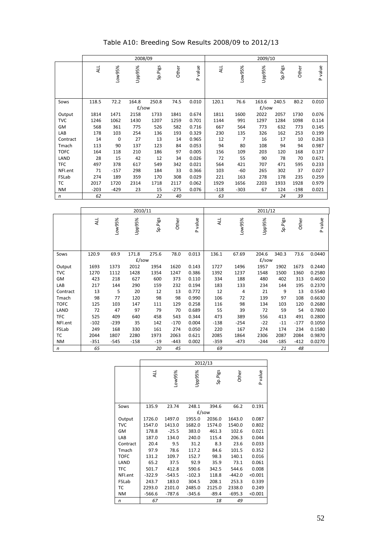|              |            |             | 2008/09        |         |        |         |        |        | 2009/10           |         |        |         |
|--------------|------------|-------------|----------------|---------|--------|---------|--------|--------|-------------------|---------|--------|---------|
|              | <b>ALL</b> | Low95%      | Upp95%         | Sp.Pigs | Other  | P value | ALL    | Low95% | Upp95%            | Sp.Pigs | Other  | P value |
| Sows         | 118.5      | 72.2        | 164.8<br>£/sow | 250.8   | 74.5   | 0.010   | 120.1  | 76.6   | 163.6<br>$E$ /sow | 240.5   | 80.2   | 0.010   |
| Output       | 1814       | 1471        | 2158           | 1733    | 1841   | 0.674   | 1811   | 1600   | 2022              | 2057    | 1730   | 0.076   |
| <b>TVC</b>   | 1246       | 1062        | 1430           | 1207    | 1259   | 0.701   | 1144   | 991    | 1297              | 1284    | 1098   | 0.114   |
| GM           | 568        | 361         | 775            | 526     | 582    | 0.716   | 667    | 564    | 773               | 632     | 773    | 0.145   |
| LAB          | 178        | 103         | 254            | 136     | 193    | 0.329   | 230    | 135    | 326               | 162     | 253    | 0.199   |
| Contract     | 14         | $\mathbf 0$ | 27             | 13      | 14     | 0.965   | 12     | 7      | 16                | 17      | 10     | 0.263   |
| Tmach        | 113        | 90          | 137            | 123     | 84     | 0.053   | 94     | 80     | 108               | 94      | 94     | 0.987   |
| <b>TOFC</b>  | 164        | 118         | 210            | 186     | 97     | 0.005   | 156    | 109    | 203               | 120     | 168    | 0.137   |
| LAND         | 28         | 15          | 42             | 12      | 34     | 0.026   | 72     | 55     | 90                | 78      | 70     | 0.671   |
| <b>TFC</b>   | 497        | 378         | 617            | 549     | 342    | 0.021   | 564    | 421    | 707               | 471     | 595    | 0.233   |
| NFI.ent      | 71         | $-157$      | 298            | 184     | 33     | 0.366   | 103    | -60    | 265               | 302     | 37     | 0.027   |
| FSLab        | 274        | 189         | 359            | 170     | 308    | 0.029   | 221    | 163    | 278               | 178     | 235    | 0.259   |
| TC           | 2017       | 1720        | 2314           | 1718    | 2117   | 0.062   | 1929   | 1656   | 2203              | 1933    | 1928   | 0.979   |
| <b>NM</b>    | $-203$     | $-429$      | 23             | 15      | $-275$ | 0.076   | $-118$ | $-303$ | 67                | 124     | $-198$ | 0.021   |
| $\mathsf{n}$ | 62         |             |                | 22      | 40     |         | 63     |        |                   | 24      | 39     |         |

Table A10: Breeding Sow Results 2008/09 to 2012/13

|                  |        |        | 2010/11  |         |        |         |            |        | 2011/12  |         |        |         |
|------------------|--------|--------|----------|---------|--------|---------|------------|--------|----------|---------|--------|---------|
|                  | ALL    | Low95% | Upp95%   | Sp.Pigs | Other  | P value | <b>ALL</b> | Low95% | Upp95%   | Sp.Pigs | Other  | P value |
| Sows             | 120.9  | 69.9   | 171.8    | 275.6   | 78.0   | 0.013   | 136.1      | 67.69  | 204.6    | 340.3   | 73.6   | 0.0440  |
|                  |        |        | $E$ /sow |         |        |         |            |        | $E$ /sow |         |        |         |
| Output           | 1693   | 1373   | 2012     | 1954    | 1620   | 0.143   | 1727       | 1496   | 1957     | 1902    | 1673   | 0.2440  |
| <b>TVC</b>       | 1270   | 1112   | 1428     | 1354    | 1247   | 0.386   | 1392       | 1237   | 1548     | 1500    | 1360   | 0.2580  |
| GM               | 423    | 218    | 627      | 600     | 373    | 0.110   | 334        | 188    | 480      | 402     | 313    | 0.4650  |
| LAB              | 217    | 144    | 290      | 159     | 232    | 0.194   | 183        | 133    | 234      | 144     | 195    | 0.2370  |
| Contract         | 13     | 5      | 20       | 12      | 13     | 0.772   | 12         | 4      | 21       | 9       | 13     | 0.5540  |
| Tmach            | 98     | 77     | 120      | 98      | 98     | 0.990   | 106        | 72     | 139      | 97      | 108    | 0.6630  |
| <b>TOFC</b>      | 125    | 103    | 147      | 111     | 129    | 0.258   | 116        | 98     | 134      | 103     | 120    | 0.2680  |
| LAND             | 72     | 47     | 97       | 79      | 70     | 0.689   | 55         | 39     | 72       | 59      | 54     | 0.7800  |
| <b>TFC</b>       | 525    | 409    | 640      | 458     | 543    | 0.344   | 473        | 389    | 556      | 413     | 491    | 0.2800  |
| NFI.ent          | $-102$ | $-239$ | 35       | 142     | $-170$ | 0.004   | $-138$     | $-254$ | $-22$    | $-11$   | $-177$ | 0.1050  |
| FSLab            | 249    | 168    | 330      | 161     | 274    | 0.050   | 220        | 167    | 274      | 174     | 234    | 0.1580  |
| TC               | 2044   | 1807   | 2280     | 1973    | 2063   | 0.621   | 2085       | 1864   | 2306     | 2087    | 2084   | 0.9870  |
| NM               | $-351$ | $-545$ | $-158$   | $-19$   | $-443$ | 0.002   | $-359$     | $-473$ | $-244$   | $-185$  | $-412$ | 0.0270  |
| $\boldsymbol{n}$ | 65     |        |          | 20      | 45     |         | 69         |        |          | 21      | 48     |         |

|             |            |          |          | 2012/13 |          |         |
|-------------|------------|----------|----------|---------|----------|---------|
|             | <b>ALL</b> | -ow95%   | %Seddr   | Sp.Pigs | Other    | P value |
| Sows        | 135.9      | 23.74    | 248.1    | 394.6   | 66.2     | 0.191   |
|             |            |          |          | £/sow   |          |         |
| Output      | 1726.0     | 1497.0   | 1955.0   | 2036.0  | 1643.0   | 0.087   |
| <b>TVC</b>  | 1547.0     | 1413.0   | 1682.0   | 1574.0  | 1540.0   | 0.802   |
| GM          | 178.8      | $-25.5$  | 383.0    | 461.3   | 102.6    | 0.021   |
| LAB         | 187.0      | 134.0    | 240.0    | 115.4   | 206.3    | 0.044   |
| Contract    | 20.4       | 9.5      | 31.2     | 8.3     | 23.6     | 0.033   |
| Tmach       | 97.9       | 78.6     | 117.2    | 84.6    | 101.5    | 0.352   |
| <b>TOFC</b> | 131.2      | 109.7    | 152.7    | 98.3    | 140.1    | 0.016   |
| LAND        | 65.2       | 37.5     | 92.9     | 35.9    | 73.1     | 0.061   |
| <b>TFC</b>  | 501.7      | 412.8    | 590.6    | 342.5   | 544.6    | 0.008   |
| NFI.ent     | $-322.9$   | $-543.5$ | $-102.3$ | 118.8   | $-442.0$ | < 0.001 |
| FSLab       | 243.7      | 183.0    | 304.5    | 208.1   | 253.3    | 0.339   |
| ТC          | 2293.0     | 2101.0   | 2485.0   | 2125.0  | 2338.0   | 0.249   |
| <b>NM</b>   | $-566.6$   | $-787.6$ | $-345.6$ | $-89.4$ | $-695.3$ | < 0.001 |
| n           | 67         |          |          | 18      | 49       |         |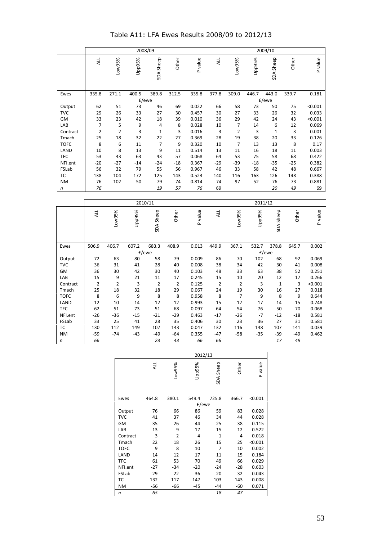Table A11: LFA Ewes Results 2008/09 to 2012/13

|                  |                |                |        | 2008/09        |       |         |                |                |        | 2009/10       |       |         |
|------------------|----------------|----------------|--------|----------------|-------|---------|----------------|----------------|--------|---------------|-------|---------|
|                  | <b>ALL</b>     | Low95%         | Upp95% | SDA Sheep      | Other | P value | <b>ALL</b>     | Low95%         | Upp95% | Sheep<br>SDA. | Other | P value |
| Ewes             | 335.8          | 271.1          | 400.5  | 389.8          | 312.5 | 335.8   | 377.8          | 309.0          | 446.7  | 443.0         | 339.7 | 0.181   |
|                  |                |                |        | £/ewe          |       |         |                |                |        | £/ewe         |       |         |
| Output           | 62             | 51             | 73     | 46             | 69    | 0.022   | 66             | 58             | 73     | 50            | 75    | < 0.001 |
| <b>TVC</b>       | 29             | 26             | 33     | 27             | 30    | 0.457   | 30             | 27             | 33     | 26            | 32    | 0.033   |
| GM               | 33             | 23             | 42     | 18             | 39    | 0.010   | 36             | 29             | 42     | 24            | 43    | < 0.001 |
| LAB              | 7              | 5              | 9      | $\sqrt{4}$     | 8     | 0.028   | 10             | $\overline{7}$ | 14     | 6             | 12    | 0.069   |
| Contract         | $\overline{2}$ | $\overline{2}$ | 3      | $\mathbf{1}$   | 3     | 0.016   | $\overline{3}$ | $\overline{2}$ | 3      | $\mathbf 1$   | 3     | 0.001   |
| Tmach            | 25             | 18             | 32     | 22             | 27    | 0.369   | 28             | 19             | 38     | 20            | 33    | 0.126   |
| <b>TOFC</b>      | $\bf 8$        | 6              | 11     | $\overline{7}$ | 9     | 0.320   | 10             | $\overline{7}$ | 13     | 13            | 8     | 0.17    |
| LAND             | 10             | 8              | 13     | 9              | 11    | 0.514   | 13             | 11             | 16     | 18            | 11    | 0.003   |
| <b>TFC</b>       | 53             | 43             | 63     | 43             | 57    | 0.068   | 64             | 53             | 75     | 58            | 68    | 0.422   |
| NFI.ent          | $-20$          | $-27$          | $-14$  | $-24$          | $-18$ | 0.367   | $-29$          | $-39$          | $-18$  | $-35$         | $-25$ | 0.382   |
| FSLab            | 56             | 32             | 79     | 55             | 56    | 0.967   | 46             | 33             | 58     | 42            | 48    | 0.667   |
| ТC               | 138            | 104            | 172    | 125            | 143   | 0.523   | 140            | 116            | 163    | 126           | 148   | 0.388   |
| NM               | $-76$          | $-102$         | -50    | $-79$          | $-74$ | 0.814   | $-74$          | -97            | $-52$  | $-76$         | $-73$ | 0.881   |
| $\boldsymbol{n}$ | 76             |                |        | 19             | 57    | 76      | 69             |                |        | 20            | 49    | 69      |

|                  |                |                |        | 2010/11   |                |         |                |                | 2011/12 |              |       |         |
|------------------|----------------|----------------|--------|-----------|----------------|---------|----------------|----------------|---------|--------------|-------|---------|
|                  | <b>ALL</b>     | Low95%         | Upp95% | SDA Sheep | Other          | P value | <b>ALL</b>     | Low95%         | Upp95%  | SDA Sheep    | Other | P value |
| Ewes             | 506.9          | 406.7          | 607.2  | 683.3     | 408.9          | 0.013   | 449.9          | 367.1          | 532.7   | 378.8        | 645.7 | 0.002   |
|                  |                |                |        | £/ewe     |                |         |                |                | £/ewe   |              |       |         |
| Output           | 72             | 63             | 80     | 58        | 79             | 0.009   | 86             | 70             | 102     | 68           | 92    | 0.069   |
| <b>TVC</b>       | 36             | 31             | 41     | 28        | 40             | 0.008   | 38             | 34             | 42      | 30           | 41    | 0.008   |
| GM               | 36             | 30             | 42     | 30        | 40             | 0.103   | 48             | 33             | 63      | 38           | 52    | 0.251   |
| LAB              | 15             | 9              | 21     | 11        | 17             | 0.245   | 15             | 10             | 20      | 12           | 17    | 0.266   |
| Contract         | $\overline{2}$ | $\overline{2}$ | 3      | 2         | $\overline{2}$ | 0.125   | $\overline{2}$ | $\overline{2}$ | 3       | $\mathbf{1}$ | 3     | < 0.001 |
| Tmach            | 25             | 18             | 32     | 18        | 29             | 0.067   | 24             | 19             | 30      | 16           | 27    | 0.018   |
| <b>TOFC</b>      | 8              | 6              | 9      | 8         | 8              | 0.958   | 8              | $\overline{7}$ | 9       | 8            | 9     | 0.644   |
| LAND             | 12             | 10             | 14     | 12        | 12             | 0.993   | 15             | 12             | 17      | 14           | 15    | 0.748   |
| <b>TFC</b>       | 62             | 51             | 73     | 51        | 68             | 0.097   | 64             | 54             | 76      | 50           | 70    | 0.068   |
| NFI.ent          | $-26$          | $-36$          | $-15$  | $-21$     | $-29$          | 0.463   | $-17$          | $-26$          | $-7$    | $-12$        | $-18$ | 0.581   |
| FSLab            | 33             | 25             | 41     | 28        | 35             | 0.406   | 30             | 23             | 36      | 27           | 31    | 0.581   |
| TC               | 130            | 112            | 149    | 107       | 143            | 0.047   | 132            | 116            | 148     | 107          | 141   | 0.039   |
| NM               | $-59$          | $-74$          | $-43$  | -49       | -64            | 0.355   | $-47$          | $-58$          | $-35$   | $-39$        | $-49$ | 0.462   |
| $\boldsymbol{n}$ | 66             |                |        | 23        | 43             | 66      | 66             |                |         | 17           | 49    |         |

|              |       |                | 2012/13        |              |       |         |
|--------------|-------|----------------|----------------|--------------|-------|---------|
|              | ALL   | Low95%         | Upp95%         | SDA Sheep    | Other | P value |
| Ewes         | 464.8 | 380.1          | 549.4          | 725.8        | 366.7 | < 0.001 |
|              |       |                | £/ewe          |              |       |         |
| Output       | 76    | 66             | 86             | 59           | 83    | 0.028   |
| <b>TVC</b>   | 41    | 37             | 46             | 34           | 44    | 0.028   |
| GM           | 35    | 26             | 44             | 25           | 38    | 0.115   |
| LAB          | 13    | 9              | 17             | 15           | 12    | 0.522   |
| Contract     | 3     | $\overline{2}$ | $\overline{4}$ | $\mathbf{1}$ | 4     | 0.018   |
| Tmach        | 22    | 18             | 26             | 15           | 25    | < 0.001 |
| <b>TOFC</b>  | 9     | 8              | 10             | 7            | 10    | 0.002   |
| LAND         | 14    | 12             | 17             | 11           | 15    | 0.184   |
| <b>TFC</b>   | 61    | 53             | 70             | 49           | 66    | 0.029   |
| NFI.ent      | $-27$ | $-34$          | $-20$          | $-24$        | $-28$ | 0.603   |
| FSLab        | 29    | 22             | 36             | 20           | 32    | 0.043   |
| ТC           | 132   | 117            | 147            | 103          | 143   | 0.008   |
| <b>NM</b>    | $-56$ | -66            | $-45$          | $-44$        | $-60$ | 0.071   |
| $\mathsf{n}$ | 65    |                |                | 18           | 47    |         |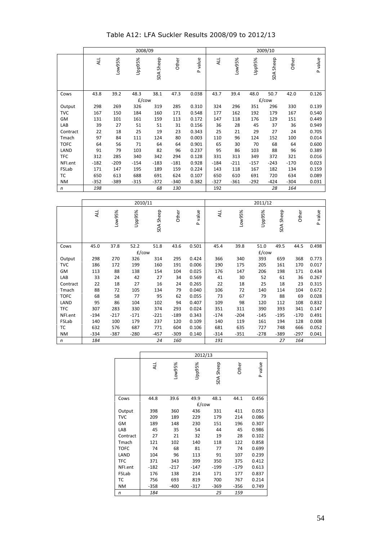|                  |        |        | 2008/09 |           |        |         | 2009/10 |        |        |                     |        |         |
|------------------|--------|--------|---------|-----------|--------|---------|---------|--------|--------|---------------------|--------|---------|
|                  | ALL    | Low95% | Upp95%  | SDA Sheep | Other  | P value | ALL     | Low95% | Upp95% | Sheep<br><b>Ads</b> | Other  | P value |
| Cows             | 43.8   | 39.2   | 48.3    | 38.1      | 47.3   | 0.038   | 43.7    | 39.4   | 48.0   | 50.7                | 42.0   | 0.126   |
|                  |        |        | £/cow   |           |        |         |         |        |        | £/cow               |        |         |
| Output           | 298    | 269    | 326     | 319       | 285    | 0.310   | 324     | 296    | 351    | 296                 | 330    | 0.139   |
| <b>TVC</b>       | 167    | 150    | 184     | 160       | 171    | 0.548   | 177     | 162    | 192    | 179                 | 167    | 0.540   |
| GM               | 131    | 101    | 161     | 159       | 113    | 0.172   | 147     | 118    | 176    | 129                 | 151    | 0.449   |
| LAB              | 39     | 27     | 51      | 51        | 31     | 0.156   | 36      | 28     | 45     | 37                  | 36     | 0.949   |
| Contract         | 22     | 18     | 25      | 19        | 23     | 0.343   | 25      | 21     | 29     | 27                  | 24     | 0.705   |
| Tmach            | 97     | 84     | 111     | 124       | 80     | 0.003   | 110     | 96     | 124    | 152                 | 100    | 0.014   |
| <b>TOFC</b>      | 64     | 56     | 71      | 64        | 64     | 0.901   | 65      | 30     | 70     | 68                  | 64     | 0.600   |
| LAND             | 91     | 79     | 103     | 82        | 96     | 0.237   | 95      | 86     | 103    | 88                  | 96     | 0.389   |
| <b>TFC</b>       | 312    | 285    | 340     | 342       | 294    | 0.128   | 331     | 313    | 349    | 372                 | 321    | 0.016   |
| NFI.ent          | $-182$ | $-209$ | $-154$  | $-183$    | $-181$ | 0.928   | $-184$  | $-211$ | $-157$ | $-243$              | $-170$ | 0.023   |
| FSLab            | 171    | 147    | 195     | 189       | 159    | 0.224   | 143     | 118    | 167    | 182                 | 134    | 0.159   |
| TC               | 650    | 613    | 688     | 691       | 624    | 0.107   | 650     | 610    | 691    | 720                 | 634    | 0.089   |
| <b>NM</b>        | $-352$ | $-389$ | $-315$  | $-372$    | $-340$ | 0.382   | $-327$  | $-361$ | $-292$ | $-424$              | $-304$ | 0.031   |
| $\boldsymbol{n}$ | 198    |        |         | 68        | 130    |         | 192     |        |        | 28                  | 164    |         |

Table A12: LFA Suckler Results 2008/09 to 2012/13

|             |            |        | 2010/11  |           |        |         |        |        | 2011/12 |             |        |         |
|-------------|------------|--------|----------|-----------|--------|---------|--------|--------|---------|-------------|--------|---------|
|             | <b>ALL</b> | Low95% | Upp95%   | SDA Sheep | Other  | P value | ALL    | Low95% | Upp95%  | Sheep<br>ЯQ | Other  | P value |
| Cows        | 45.0       | 37.8   | 52.2     | 51.8      | 43.6   | 0.501   | 45.4   | 39.8   | 51.0    | 49.5        | 44.5   | 0.498   |
|             |            |        | $E$ /cow |           |        |         |        |        | £/cow   |             |        |         |
| Output      | 298        | 270    | 326      | 314       | 295    | 0.424   | 366    | 340    | 393     | 659         | 368    | 0.773   |
| <b>TVC</b>  | 186        | 172    | 199      | 160       | 191    | 0.006   | 190    | 175    | 205     | 161         | 170    | 0.017   |
| GM          | 113        | 88     | 138      | 154       | 104    | 0.025   | 176    | 147    | 206     | 198         | 171    | 0.434   |
| LAB         | 33         | 24     | 42       | 27        | 34     | 0.569   | 41     | 30     | 52      | 61          | 36     | 0.267   |
| Contract    | 22         | 18     | 27       | 16        | 24     | 0.265   | 22     | 18     | 25      | 18          | 23     | 0.315   |
| Tmach       | 88         | 72     | 105      | 134       | 79     | 0.040   | 106    | 72     | 140     | 114         | 104    | 0.672   |
| <b>TOFC</b> | 68         | 58     | 77       | 95        | 62     | 0.055   | 73     | 67     | 79      | 88          | 69     | 0.028   |
| LAND        | 95         | 86     | 104      | 102       | 94     | 0.407   | 109    | 98     | 120     | 112         | 108    | 0.832   |
| <b>TFC</b>  | 307        | 283    | 330      | 374       | 293    | 0.024   | 351    | 311    | 390     | 393         | 341    | 0.147   |
| NFI.ent     | $-194$     | $-217$ | $-171$   | $-221$    | $-189$ | 0.343   | $-174$ | $-204$ | $-145$  | $-195$      | $-170$ | 0.491   |
| FSLab       | 140        | 100    | 179      | 237       | 120    | 0.109   | 140    | 119    | 161     | 194         | 128    | 0.008   |
| TC          | 632        | 576    | 687      | 771       | 604    | 0.106   | 681    | 635    | 727     | 748         | 666    | 0.052   |
| <b>NM</b>   | $-334$     | $-387$ | $-280$   | $-457$    | $-309$ | 0.140   | $-314$ | $-351$ | $-278$  | $-389$      | $-297$ | 0.041   |
| n           | 184        |        |          | 24        | 160    |         | 191    |        |         | 27          | 164    |         |

|             |            |        |        | 2012/13   |        |         |
|-------------|------------|--------|--------|-----------|--------|---------|
|             | <b>ALL</b> | Low95% | Upp95% | SDA Sheep | Other  | P value |
| Cows        | 44.8       | 39.6   | 49.9   | 48.1      | 44.1   | 0.456   |
|             |            |        |        | £/cow     |        |         |
| Output      | 398        | 360    | 436    | 331       | 411    | 0.053   |
| <b>TVC</b>  | 209        | 189    | 229    | 179       | 214    | 0.086   |
| GM          | 189        | 148    | 230    | 151       | 196    | 0.307   |
| LAB         | 45         | 35     | 54     | 44        | 45     | 0.986   |
| Contract    | 27         | 21     | 32     | 19        | 28     | 0.102   |
| Tmach       | 121        | 102    | 140    | 118       | 122    | 0.858   |
| <b>TOFC</b> | 74         | 68     | 81     | 77        | 74     | 0.699   |
| LAND        | 104        | 96     | 113    | 91        | 107    | 0.239   |
| <b>TFC</b>  | 371        | 343    | 399    | 350       | 375    | 0.412   |
| NFI.ent     | $-182$     | $-217$ | $-147$ | $-199$    | $-179$ | 0.613   |
| FSLab       | 176        | 138    | 214    | 171       | 177    | 0.837   |
| ТC          | 756        | 693    | 819    | 700       | 767    | 0.214   |
| <b>NM</b>   | $-358$     | $-400$ | $-317$ | $-369$    | $-356$ | 0.749   |
| n           | 184        |        |        | 25        | 159    |         |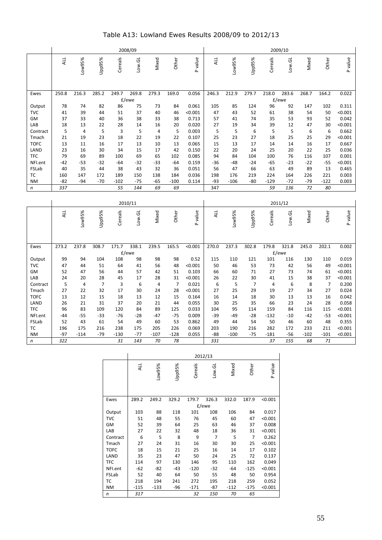|              |       |        |        |         | 2008/09 |       |        |                 |       |        |        |         | 2009/10 |       |        |         |
|--------------|-------|--------|--------|---------|---------|-------|--------|-----------------|-------|--------|--------|---------|---------|-------|--------|---------|
|              | ALL   | Low95% | Upp95% | Cereals | Low.GL  | Mixed | Other  | value<br>$\sim$ | ALL   | Low95% | Upp95% | Cereals | Low.GL  | Mixed | Other  | P value |
| Ewes         | 250.8 | 216.3  | 285.2  | 249.7   | 269.8   | 279.3 | 169.0  | 0.056           | 246.3 | 212.9  | 279.7  | 218.0   | 283.6   | 268.7 | 164.2  | 0.022   |
|              |       |        |        |         | £/ewe   |       |        |                 |       |        |        |         | £/ewe   |       |        |         |
| Output       | 78    | 74     | 82     | 86      | 75      | 73    | 84     | 0.061           | 105   | 85     | 124    | 96      | 92      | 147   | 102    | 0.311   |
| <b>TVC</b>   | 41    | 39     | 44     | 51      | 37      | 40    | 46     | < 0.001         | 47    | 43     | 52     | 61      | 38      | 54    | 50     | < 0.001 |
| GM           | 37    | 33     | 40     | 36      | 38      | 33    | 38     | 0.713           | 57    | 41     | 74     | 35      | 53      | 93    | 52     | 0.042   |
| LAB          | 18    | 13     | 22     | 28      | 14      | 16    | 20     | 0.020           | 27    | 19     | 34     | 39      | 12      | 47    | 30     | < 0.001 |
| Contract     | 5     | 4      | 5      | 3       | 5       | 4     | 5      | 0.003           | 5     | 5      | 6      | 5       | 5       | 6     | 6      | 0.662   |
| Tmach        | 21    | 19     | 23     | 18      | 22      | 19    | 22     | 0.107           | 25    | 23     | 27     | 18      | 25      | 25    | 29     | < 0.001 |
| <b>TOFC</b>  | 13    | 11     | 16     | 17      | 13      | 10    | 13     | 0.065           | 15    | 13     | 17     | 14      | 14      | 16    | 17     | 0.667   |
| LAND         | 23    | 16     | 30     | 34      | 15      | 17    | 42     | 0.150           | 22    | 20     | 24     | 25      | 20      | 22    | 25     | 0.036   |
| <b>TFC</b>   | 79    | 69     | 89     | 100     | 69      | 65    | 102    | 0.085           | 94    | 84     | 104    | 100     | 76      | 116   | 107    | 0.001   |
| NFI.ent      | $-42$ | $-53$  | $-32$  | -64     | $-32$   | $-33$ | -64    | 0.159           | -36   | $-48$  | $-24$  | $-65$   | $-23$   | $-22$ | $-55$  | < 0.001 |
| FSLab        | 40    | 35     | 44     | 38      | 43      | 32    | 36     | 0.051           | 56    | 47     | 66     | 63      | 49      | 89    | 13     | 0.465   |
| TC           | 160   | 147    | 172    | 189     | 150     | 138   | 184    | 0.036           | 198   | 176    | 219    | 224     | 164     | 226   | 221    | 0.003   |
| <b>NM</b>    | -82   | $-94$  | $-70$  | $-102$  | $-75$   | $-65$ | $-100$ | 0.114           | -93   | $-106$ | -80    | $-129$  | $-72$   | $-79$ | $-122$ | 0.003   |
| $\mathsf{n}$ | 337   |        |        | 55      | 144     | 69    | 69     |                 | 347   |        |        | 59      | 136     | 72    | 80     |         |

|             |       |        |        |         | 2010/11 |                |                |         |       |        |        |                | 2011/12       |        |        |         |
|-------------|-------|--------|--------|---------|---------|----------------|----------------|---------|-------|--------|--------|----------------|---------------|--------|--------|---------|
|             | ALL   | Low95% | Upp95% | Cereals | Low.GL  | Mixed          | Other          | P value | ALL   | Low95% | Upp95% | Cereals        | <b>Low.GL</b> | Mixed  | Other  | P value |
| Ewes        | 273.2 | 237.8  | 308.7  | 171.7   | 338.1   | 239.5          | 165.5          | < 0.001 | 270.0 | 237.3  | 302.8  | 179.8          | 321.8         | 245.0  | 202.1  | 0.002   |
|             |       |        |        |         | E/ewe   |                |                |         |       |        |        |                | £/ewe         |        |        |         |
| Output      | 99    | 94     | 104    | 108     | 98      | 98             | 98             | 0.52    | 115   | 110    | 121    | 101            | 116           | 130    | 110    | 0.019   |
| <b>TVC</b>  | 47    | 44     | 51     | 64      | 41      | 56             | 48             | < 0.001 | 50    | 46     | 53     | 73             | 42            | 56     | 49     | < 0.001 |
| GM          | 52    | 47     | 56     | 44      | 57      | 42             | 51             | 0.103   | 66    | 60     | 71     | 27             | 73            | 74     | 61     | < 0.001 |
| LAB         | 24    | 20     | 28     | 45      | 17      | 28             | 31             | < 0.001 | 26    | 22     | 30     | 41             | 15            | 38     | 37     | < 0.001 |
| Contract    | 5     | 4      | 7      | 3       | 6       | $\overline{4}$ | $\overline{7}$ | 0.021   | 6     | 5      | 7      | $\overline{4}$ | 6             | 8      | 7      | 0.200   |
| Tmach       | 27    | 22     | 32     | 17      | 30      | 24             | 28             | < 0.001 | 27    | 25     | 29     | 19             | 27            | 34     | 27     | 0.024   |
| <b>TOFC</b> | 13    | 12     | 15     | 18      | 13      | 12             | 15             | 0.164   | 16    | 14     | 18     | 30             | 13            | 13     | 16     | 0.042   |
| LAND        | 26    | 21     | 31     | 37      | 20      | 21             | 44             | 0.055   | 30    | 25     | 35     | 66             | 23            | 24     | 28     | 0.058   |
| <b>TFC</b>  | 96    | 83     | 109    | 120     | 84      | 89             | 125            | 0.033   | 104   | 95     | 114    | 159            | 84            | 116    | 115    | < 0.001 |
| NFI.ent     | -44   | $-55$  | -33    | $-76$   | $-28$   | $-47$          | $-75$          | 0.009   | -39   | $-49$  | $-28$  | $-132$         | $-10$         | $-42$  | $-53$  | < 0.001 |
| FSLab       | 52    | 43     | 61     | 54      | 49      | 60             | 53             | 0.862   | 49    | 44     | 54     | 50             | 46            | 60     | 48     | 0.355   |
| <b>TC</b>   | 196   | 175    | 216    | 238     | 175     | 205            | 226            | 0.069   | 203   | 190    | 216    | 282            | 172           | 233    | 211    | < 0.001 |
| <b>NM</b>   | $-97$ | $-114$ | $-79$  | $-130$  | $-77$   | $-107$         | $-128$         | 0.055   | -88   | $-100$ | $-75$  | $-181$         | -56           | $-102$ | $-101$ | < 0.001 |
| n           | 322   |        |        | 31      | 143     | 70             | 78             |         | 331   |        |        | 37             | 155           | 68     | 71     |         |

|             |        | 2012/13 |        |         |                |        |                |         |  |  |  |  |  |
|-------------|--------|---------|--------|---------|----------------|--------|----------------|---------|--|--|--|--|--|
|             | ALL    | Low95%  | Upp95% | Cereals | Low.GL         | Mixed  | Other          | P value |  |  |  |  |  |
| Ewes        | 289.2  | 249.2   | 329.2  | 179.7   | 326.3          | 332.0  | 187.9          | < 0.001 |  |  |  |  |  |
|             |        |         |        |         | £/ewe          |        |                |         |  |  |  |  |  |
| Output      | 103    | 88      | 118    | 101     | 108            | 106    | 84             | 0.017   |  |  |  |  |  |
| <b>TVC</b>  | 51     | 48      | 55     | 76      | 45             | 60     | 47             | < 0.001 |  |  |  |  |  |
| GM          | 52     | 39      | 64     | 25      | 63             | 46     | 37             | 0.008   |  |  |  |  |  |
| LAB         | 27     | 22      | 32     | 48      | 18             | 36     | 31             | < 0.001 |  |  |  |  |  |
| Contract    | 6      | 5       | 8      | 9       | $\overline{7}$ | 5      | $\overline{7}$ | 0.262   |  |  |  |  |  |
| Tmach       | 27     | 24      | 31     | 16      | 30             | 30     | 25             | < 0.001 |  |  |  |  |  |
| <b>TOFC</b> | 18     | 15      | 21     | 25      | 16             | 14     | 17             | 0.102   |  |  |  |  |  |
| LAND        | 35     | 23      | 47     | 50      | 24             | 25     | 72             | 0.137   |  |  |  |  |  |
| <b>TFC</b>  | 114    | 97      | 130    | 146     | 95             | 110    | 162            | 0.049   |  |  |  |  |  |
| NFI.ent     | $-62$  | $-82$   | $-43$  | $-120$  | $-32$          | $-64$  | $-125$         | < 0.001 |  |  |  |  |  |
| FSLab       | 52     | 40      | 64     | 50      | 55             | 48     | 50             | 0.954   |  |  |  |  |  |
| ТC          | 218    | 194     | 241    | 272     | 195            | 218    | 259            | 0.052   |  |  |  |  |  |
| <b>NM</b>   | $-115$ | $-133$  | -96    | $-171$  | $-87$          | $-112$ | $-175$         | < 0.001 |  |  |  |  |  |
| n           | 317    |         |        | 32      | 150            | 70     | 65             |         |  |  |  |  |  |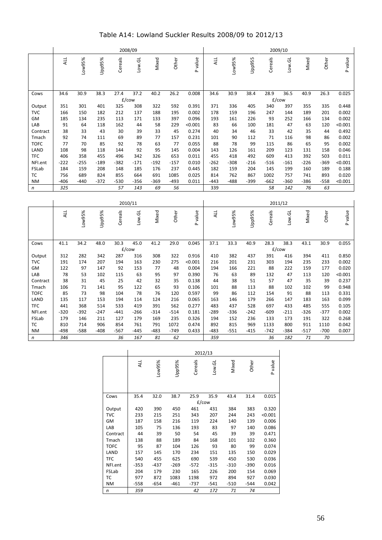| Table A14: Lowland Suckler Results 2008/09 to 2012/13 |  |  |  |
|-------------------------------------------------------|--|--|--|
|-------------------------------------------------------|--|--|--|

|              |        |        |        |         | 2008/09 |        |        |         |        |        |        |         | 2009/10 |        |        |         |
|--------------|--------|--------|--------|---------|---------|--------|--------|---------|--------|--------|--------|---------|---------|--------|--------|---------|
|              | ALL    | Low95% | Upp95% | Cereals | Low.GL  | Mixed  | Other  | P value | ALL    | Low95% | Upp955 | Cereals | Low.GL  | Mixed  | Other  | P value |
| Cows         | 34.6   | 30.9   | 38.3   | 27.4    | 37.2    | 40.2   | 26.2   | 0.008   | 34.6   | 30.9   | 38.4   | 28.9    | 36.5    | 40.9   | 26.3   | 0.025   |
|              | £/cow  |        |        |         |         |        |        |         |        |        |        |         | £/cow   |        |        |         |
| Output       | 351    | 301    | 401    | 325     | 308     | 322    | 592    | 0.391   | 371    | 336    | 405    | 340     | 397     | 355    | 335    | 0.448   |
| <b>TVC</b>   | 166    | 150    | 182    | 212     | 137     | 188    | 195    | 0.002   | 178    | 159    | 196    | 247     | 144     | 189    | 201    | 0.002   |
| GM           | 185    | 134    | 235    | 113     | 171     | 133    | 397    | 0.096   | 193    | 161    | 226    | 93      | 252     | 166    | 134    | 0.002   |
| LAB          | 91     | 64     | 118    | 162     | 44      | 58     | 229    | < 0.001 | 83     | 66     | 100    | 181     | 47      | 63     | 120    | < 0.001 |
| Contract     | 38     | 33     | 43     | 30      | 39      | 33     | 45     | 0.274   | 40     | 34     | 46     | 33      | 42      | 35     | 44     | 0.492   |
| Tmach        | 92     | 74     | 111    | 69      | 89      | 77     | 157    | 0.231   | 101    | 90     | 112    | 71      | 116     | 98     | 86     | 0.002   |
| TOFC         | 77     | 70     | 85     | 92      | 78      | 63     | 77     | 0.055   | 88     | 78     | 99     | 115     | 86      | 65     | 95     | 0.002   |
| LAND         | 108    | 98     | 118    | 144     | 92      | 95     | 145    | 0.004   | 143    | 126    | 161    | 209     | 123     | 131    | 158    | 0.046   |
| <b>TFC</b>   | 406    | 358    | 455    | 496     | 342     | 326    | 653    | 0.011   | 455    | 418    | 492    | 609     | 413     | 392    | 503    | 0.011   |
| NFI.ent      | $-222$ | $-255$ | $-189$ | -382    | $-171$  | $-192$ | $-157$ | 0.010   | $-262$ | $-308$ | $-216$ | $-516$  | $-161$  | $-226$ | -369   | < 0.001 |
| FSLab        | 184    | 159    | 208    | 148     | 185     | 176    | 237    | 0.445   | 182    | 159    | 204    | 145     | 199     | 160    | 189    | 0.188   |
| <b>TC</b>    | 756    | 689    | 824    | 855     | 664     | 691    | 1085   | 0.025   | 814    | 762    | 867    | 1002    | 757     | 741    | 893    | 0.020   |
| <b>NM</b>    | $-406$ | $-440$ | $-372$ | $-530$  | $-356$  | $-369$ | $-493$ | 0.011   | $-443$ | $-488$ | $-399$ | $-662$  | $-360$  | $-386$ | $-558$ | < 0.001 |
| $\mathsf{n}$ | 325    |        |        | 57      | 143     | 69     | 56     |         | 339    |        |        | 58      | 142     | 76     | 63     |         |

|             |        |        |        |         | 2010/11 |        |        |         |        |        |        |         | 2011/12 |        |        |         |
|-------------|--------|--------|--------|---------|---------|--------|--------|---------|--------|--------|--------|---------|---------|--------|--------|---------|
|             | ALL    | Low95% | Upp95% | Cereals | Low.GL  | Mixed  | Other  | P value | ALL    | Low95% | Upp95% | Cereals | Low.GL  | Mixed  | Other  | P value |
| Cows        | 41.1   | 34.2   | 48.0   | 30.3    | 45.0    | 41.2   | 29.0   | 0.045   | 37.1   | 33.3   | 40.9   | 28.3    | 38.3    | 43.1   | 30.9   | 0.055   |
|             |        |        |        |         | E/cow   |        |        |         |        |        |        |         | E/cow   |        |        |         |
| Output      | 312    | 282    | 342    | 287     | 316     | 308    | 322    | 0.916   | 410    | 382    | 437    | 391     | 416     | 394    | 411    | 0.850   |
| <b>TVC</b>  | 191    | 174    | 207    | 194     | 163     | 230    | 275    | < 0.001 | 216    | 201    | 231    | 303     | 194     | 235    | 233    | 0.002   |
| GM          | 122    | 97     | 147    | 92      | 153     | 77     | 48     | 0.004   | 194    | 166    | 221    | 88      | 222     | 159    | 177    | 0.020   |
| LAB         | 78     | 53     | 102    | 115     | 63      | 95     | 97     | 0.390   | 76     | 63     | 89     | 132     | 47      | 113    | 120    | < 0.001 |
| Contract    | 38     | 31     | 45     | 25      | 42      | 32     | 35     | 0.138   | 44     | 38     | 51     | 57      | 47      | 35     | 39     | 0.237   |
| Tmach       | 106    | 71     | 141    | 95      | 122     | 65     | 93     | 0.106   | 101    | 88     | 113    | 88      | 102     | 102    | 99     | 0.948   |
| <b>TOFC</b> | 85     | 73     | 98     | 104     | 78      | 76     | 120    | 0.597   | 99     | 86     | 112    | 154     | 91      | 88     | 113    | 0.331   |
| LAND        | 135    | 117    | 153    | 194     | 114     | 124    | 216    | 0.065   | 163    | 146    | 179    | 266     | 147     | 183    | 163    | 0.099   |
| <b>TFC</b>  | 441    | 368    | 514    | 533     | 419     | 391    | 562    | 0.277   | 483    | 437    | 528    | 697     | 433     | 485    | 555    | 0.105   |
| NFI.ent     | $-320$ | $-392$ | $-247$ | $-441$  | $-266$  | $-314$ | $-514$ | 0.181   | $-289$ | $-336$ | $-242$ | $-609$  | $-211$  | $-326$ | $-377$ | 0.002   |
| FSLab       | 179    | 146    | 211    | 127     | 179     | 169    | 235    | 0.326   | 194    | 152    | 236    | 133     | 173     | 191    | 322    | 0.268   |
| <b>TC</b>   | 810    | 714    | 906    | 854     | 761     | 791    | 1072   | 0.474   | 892    | 815    | 969    | 1133    | 800     | 911    | 1110   | 0.042   |
| <b>NM</b>   | $-498$ | $-588$ | $-408$ | $-567$  | $-445$  | $-483$ | $-749$ | 0.433   | $-483$ | $-551$ | $-415$ | $-742$  | $-384$  | $-517$ | $-700$ | 0.007   |
| n           | 346    |        |        | 36      | 167     | 81     | 62     |         | 359    |        |        | 36      | 182     | 71     | 70     |         |

|              |            |        |        |         | 2012/13 |        |        |         |
|--------------|------------|--------|--------|---------|---------|--------|--------|---------|
|              | <b>ALL</b> | Low95% | Upp95% | Cereals | Low.GL  | Mixed  | Other  | P value |
| Cows         | 35.4       | 32.0   | 38.7   | 25.9    | 35.9    | 43.4   | 31.4   | 0.015   |
|              |            |        |        |         | £/cow   |        |        |         |
| Output       | 420        | 390    | 450    | 461     | 431     | 384    | 383    | 0.320   |
| <b>TVC</b>   | 233        | 215    | 251    | 343     | 207     | 244    | 243    | < 0.001 |
| GM           | 187        | 158    | 216    | 119     | 224     | 140    | 139    | 0.006   |
| LAB          | 105        | 75     | 136    | 193     | 83      | 97     | 140    | 0.086   |
| Contract     | 44         | 39     | 50     | 54      | 45      | 39     | 39     | 0.471   |
| Tmach        | 138        | 88     | 189    | 84      | 168     | 101    | 102    | 0.360   |
| <b>TOFC</b>  | 95         | 87     | 104    | 126     | 93      | 80     | 99     | 0.074   |
| LAND         | 157        | 145    | 170    | 234     | 151     | 135    | 150    | 0.029   |
| <b>TFC</b>   | 540        | 455    | 625    | 690     | 539     | 450    | 530    | 0.036   |
| NFI.ent      | $-353$     | $-437$ | $-269$ | $-572$  | $-315$  | $-310$ | $-390$ | 0.016   |
| FSLab        | 204        | 179    | 230    | 165     | 226     | 200    | 154    | 0.069   |
| тс           | 977        | 872    | 1083   | 1198    | 972     | 894    | 927    | 0.030   |
| <b>NM</b>    | $-558$     | $-654$ | $-461$ | $-737$  | $-541$  | $-510$ | $-544$ | 0.042   |
| $\mathsf{n}$ | 359        |        |        | 42      | 172     | 71     | 74     |         |